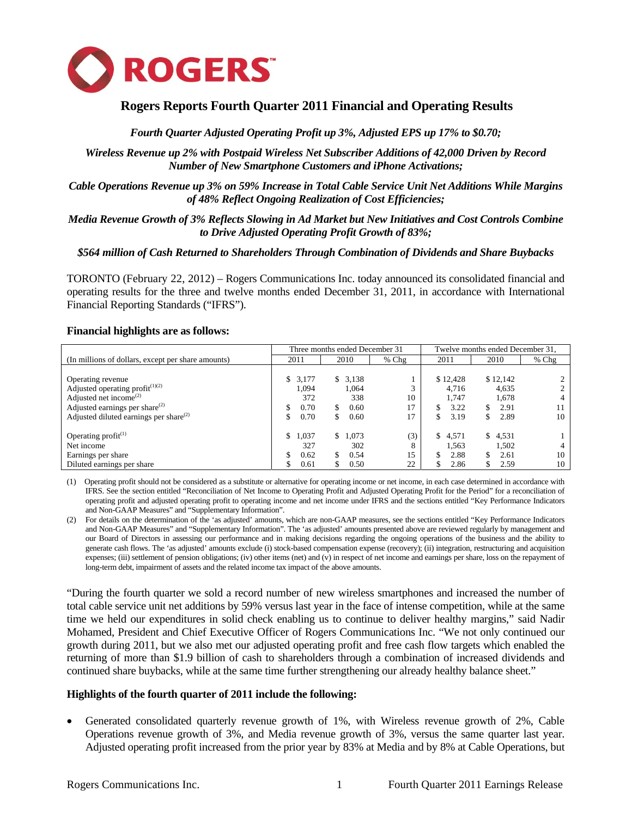

# **Rogers Reports Fourth Quarter 2011 Financial and Operating Results**

# *Fourth Quarter Adjusted Operating Profit up 3%, Adjusted EPS up 17% to \$0.70;*

*Wireless Revenue up 2% with Postpaid Wireless Net Subscriber Additions of 42,000 Driven by Record Number of New Smartphone Customers and iPhone Activations;* 

*Cable Operations Revenue up 3% on 59% Increase in Total Cable Service Unit Net Additions While Margins of 48% Reflect Ongoing Realization of Cost Efficiencies;* 

## *Media Revenue Growth of 3% Reflects Slowing in Ad Market but New Initiatives and Cost Controls Combine to Drive Adjusted Operating Profit Growth of 83%;*

#### *\$564 million of Cash Returned to Shareholders Through Combination of Dividends and Share Buybacks*

TORONTO (February 22, 2012) – Rogers Communications Inc. today announced its consolidated financial and operating results for the three and twelve months ended December 31, 2011, in accordance with International Financial Reporting Standards ("IFRS").

#### **Financial highlights are as follows:**

|                                                    |             | Three months ended December 31 |         | Twelve months ended December 31, |              |         |  |  |  |
|----------------------------------------------------|-------------|--------------------------------|---------|----------------------------------|--------------|---------|--|--|--|
| (In millions of dollars, except per share amounts) | 2011        | 2010                           | $%$ Chg | 2011                             | 2010         | $%$ Chg |  |  |  |
|                                                    |             |                                |         |                                  |              |         |  |  |  |
| Operating revenue                                  | \$3,177     | \$3,138                        |         | \$12,428                         | \$12,142     |         |  |  |  |
| Adjusted operating profit $(1)(2)$                 | 1.094       | 1.064                          |         | 4.716                            | 4,635        |         |  |  |  |
| Adjusted net income <sup><math>(2)</math></sup>    | 372         | 338                            | 10      | 1.747                            | 1,678        |         |  |  |  |
| Adjusted earnings per share $^{(2)}$               | 0.70        | S.<br>0.60                     | 17      | 3.22                             | 2.91<br>\$   |         |  |  |  |
| Adjusted diluted earnings per share $^{(2)}$       | 0.70        | 0.60<br>\$                     |         | 3.19<br>\$                       | 2.89<br>S    | 10      |  |  |  |
|                                                    |             |                                |         |                                  |              |         |  |  |  |
| Operating $profit^{(1)}$                           | 1,037<br>\$ | 1.073<br>\$.                   | (3)     | 4,571<br>S.                      | 4,531<br>\$. |         |  |  |  |
| Net income                                         | 327         | 302                            | 8       | 1,563                            | 1,502        |         |  |  |  |
| Earnings per share                                 | 0.62<br>S   | S.<br>0.54                     | 15      | 2.88<br>S                        | 2.61<br>S    | 10      |  |  |  |
| Diluted earnings per share                         | 0.61        | 0.50<br>S                      | 22      | 2.86                             | 2.59         | 10      |  |  |  |

(1) Operating profit should not be considered as a substitute or alternative for operating income or net income, in each case determined in accordance with IFRS. See the section entitled "Reconciliation of Net Income to Operating Profit and Adjusted Operating Profit for the Period" for a reconciliation of operating profit and adjusted operating profit to operating income and net income under IFRS and the sections entitled "Key Performance Indicators and Non-GAAP Measures" and "Supplementary Information".

(2) For details on the determination of the 'as adjusted' amounts, which are non-GAAP measures, see the sections entitled "Key Performance Indicators and Non-GAAP Measures" and "Supplementary Information". The 'as adjusted' amounts presented above are reviewed regularly by management and our Board of Directors in assessing our performance and in making decisions regarding the ongoing operations of the business and the ability to generate cash flows. The 'as adjusted' amounts exclude (i) stock-based compensation expense (recovery); (ii) integration, restructuring and acquisition expenses; (iii) settlement of pension obligations; (iv) other items (net) and (v) in respect of net income and earnings per share, loss on the repayment of long-term debt, impairment of assets and the related income tax impact of the above amounts.

"During the fourth quarter we sold a record number of new wireless smartphones and increased the number of total cable service unit net additions by 59% versus last year in the face of intense competition, while at the same time we held our expenditures in solid check enabling us to continue to deliver healthy margins," said Nadir Mohamed, President and Chief Executive Officer of Rogers Communications Inc. "We not only continued our growth during 2011, but we also met our adjusted operating profit and free cash flow targets which enabled the returning of more than \$1.9 billion of cash to shareholders through a combination of increased dividends and continued share buybacks, while at the same time further strengthening our already healthy balance sheet."

#### **Highlights of the fourth quarter of 2011 include the following:**

• Generated consolidated quarterly revenue growth of 1%, with Wireless revenue growth of 2%, Cable Operations revenue growth of 3%, and Media revenue growth of 3%, versus the same quarter last year. Adjusted operating profit increased from the prior year by 83% at Media and by 8% at Cable Operations, but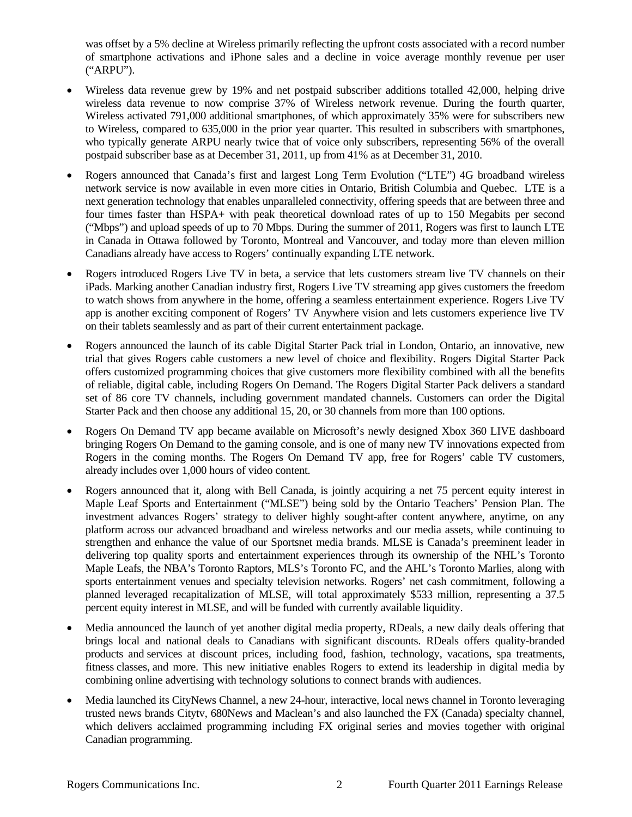was offset by a 5% decline at Wireless primarily reflecting the upfront costs associated with a record number of smartphone activations and iPhone sales and a decline in voice average monthly revenue per user ("ARPU").

- Wireless data revenue grew by 19% and net postpaid subscriber additions totalled 42,000, helping drive wireless data revenue to now comprise 37% of Wireless network revenue. During the fourth quarter, Wireless activated 791,000 additional smartphones, of which approximately 35% were for subscribers new to Wireless, compared to 635,000 in the prior year quarter. This resulted in subscribers with smartphones, who typically generate ARPU nearly twice that of voice only subscribers, representing 56% of the overall postpaid subscriber base as at December 31, 2011, up from 41% as at December 31, 2010.
- Rogers announced that Canada's first and largest Long Term Evolution ("LTE") 4G broadband wireless network service is now available in even more cities in Ontario, British Columbia and Quebec. LTE is a next generation technology that enables unparalleled connectivity, offering speeds that are between three and four times faster than HSPA+ with peak theoretical download rates of up to 150 Megabits per second ("Mbps") and upload speeds of up to 70 Mbps. During the summer of 2011, Rogers was first to launch LTE in Canada in Ottawa followed by Toronto, Montreal and Vancouver, and today more than eleven million Canadians already have access to Rogers' continually expanding LTE network.
- Rogers introduced Rogers Live TV in beta, a service that lets customers stream live TV channels on their iPads. Marking another Canadian industry first, Rogers Live TV streaming app gives customers the freedom to watch shows from anywhere in the home, offering a seamless entertainment experience. Rogers Live TV app is another exciting component of Rogers' TV Anywhere vision and lets customers experience live TV on their tablets seamlessly and as part of their current entertainment package.
- Rogers announced the launch of its cable Digital Starter Pack trial in London, Ontario, an innovative, new trial that gives Rogers cable customers a new level of choice and flexibility. Rogers Digital Starter Pack offers customized programming choices that give customers more flexibility combined with all the benefits of reliable, digital cable, including Rogers On Demand. The Rogers Digital Starter Pack delivers a standard set of 86 core TV channels, including government mandated channels. Customers can order the Digital Starter Pack and then choose any additional 15, 20, or 30 channels from more than 100 options.
- Rogers On Demand TV app became available on Microsoft's newly designed Xbox 360 LIVE dashboard bringing Rogers On Demand to the gaming console, and is one of many new TV innovations expected from Rogers in the coming months. The Rogers On Demand TV app, free for Rogers' cable TV customers, already includes over 1,000 hours of video content.
- Rogers announced that it, along with Bell Canada, is jointly acquiring a net 75 percent equity interest in Maple Leaf Sports and Entertainment ("MLSE") being sold by the Ontario Teachers' Pension Plan. The investment advances Rogers' strategy to deliver highly sought-after content anywhere, anytime, on any platform across our advanced broadband and wireless networks and our media assets, while continuing to strengthen and enhance the value of our Sportsnet media brands. MLSE is Canada's preeminent leader in delivering top quality sports and entertainment experiences through its ownership of the NHL's Toronto Maple Leafs, the NBA's Toronto Raptors, MLS's Toronto FC, and the AHL's Toronto Marlies, along with sports entertainment venues and specialty television networks. Rogers' net cash commitment, following a planned leveraged recapitalization of MLSE, will total approximately \$533 million, representing a 37.5 percent equity interest in MLSE, and will be funded with currently available liquidity.
- Media announced the launch of yet another digital media property, RDeals, a new daily deals offering that brings local and national deals to Canadians with significant discounts. RDeals offers quality-branded products and services at discount prices, including food, fashion, technology, vacations, spa treatments, fitness classes, and more. This new initiative enables Rogers to extend its leadership in digital media by combining online advertising with technology solutions to connect brands with audiences.
- Media launched its CityNews Channel, a new 24-hour, interactive, local news channel in Toronto leveraging trusted news brands Citytv, 680News and Maclean's and also launched the FX (Canada) specialty channel, which delivers acclaimed programming including FX original series and movies together with original Canadian programming.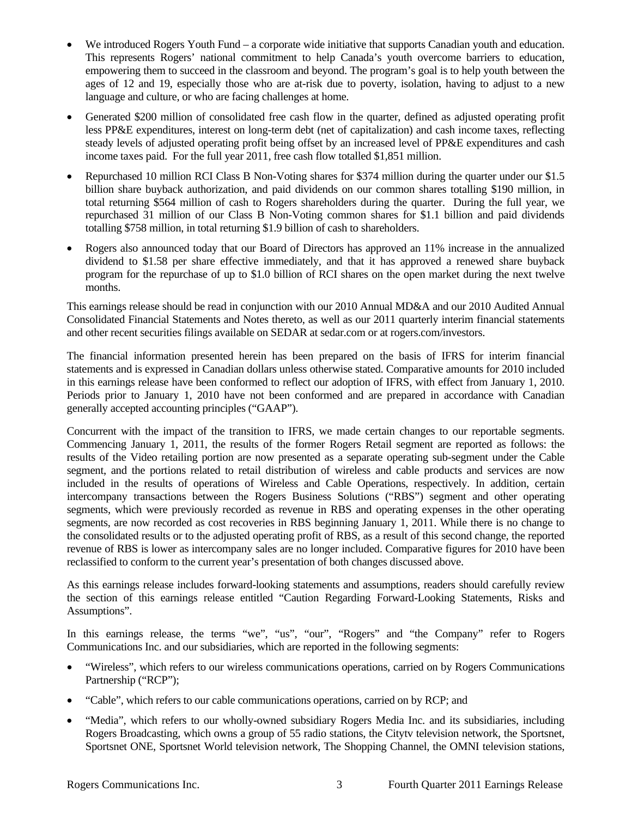- We introduced Rogers Youth Fund a corporate wide initiative that supports Canadian youth and education. This represents Rogers' national commitment to help Canada's youth overcome barriers to education, empowering them to succeed in the classroom and beyond. The program's goal is to help youth between the ages of 12 and 19, especially those who are at-risk due to poverty, isolation, having to adjust to a new language and culture, or who are facing challenges at home.
- Generated \$200 million of consolidated free cash flow in the quarter, defined as adjusted operating profit less PP&E expenditures, interest on long-term debt (net of capitalization) and cash income taxes, reflecting steady levels of adjusted operating profit being offset by an increased level of PP&E expenditures and cash income taxes paid. For the full year 2011, free cash flow totalled \$1,851 million.
- Repurchased 10 million RCI Class B Non-Voting shares for \$374 million during the quarter under our \$1.5 billion share buyback authorization, and paid dividends on our common shares totalling \$190 million, in total returning \$564 million of cash to Rogers shareholders during the quarter. During the full year, we repurchased 31 million of our Class B Non-Voting common shares for \$1.1 billion and paid dividends totalling \$758 million, in total returning \$1.9 billion of cash to shareholders.
- Rogers also announced today that our Board of Directors has approved an 11% increase in the annualized dividend to \$1.58 per share effective immediately, and that it has approved a renewed share buyback program for the repurchase of up to \$1.0 billion of RCI shares on the open market during the next twelve months.

This earnings release should be read in conjunction with our 2010 Annual MD&A and our 2010 Audited Annual Consolidated Financial Statements and Notes thereto, as well as our 2011 quarterly interim financial statements and other recent securities filings available on SEDAR at sedar.com or at rogers.com/investors.

The financial information presented herein has been prepared on the basis of IFRS for interim financial statements and is expressed in Canadian dollars unless otherwise stated. Comparative amounts for 2010 included in this earnings release have been conformed to reflect our adoption of IFRS, with effect from January 1, 2010. Periods prior to January 1, 2010 have not been conformed and are prepared in accordance with Canadian generally accepted accounting principles ("GAAP").

Concurrent with the impact of the transition to IFRS, we made certain changes to our reportable segments. Commencing January 1, 2011, the results of the former Rogers Retail segment are reported as follows: the results of the Video retailing portion are now presented as a separate operating sub-segment under the Cable segment, and the portions related to retail distribution of wireless and cable products and services are now included in the results of operations of Wireless and Cable Operations, respectively. In addition, certain intercompany transactions between the Rogers Business Solutions ("RBS") segment and other operating segments, which were previously recorded as revenue in RBS and operating expenses in the other operating segments, are now recorded as cost recoveries in RBS beginning January 1, 2011. While there is no change to the consolidated results or to the adjusted operating profit of RBS, as a result of this second change, the reported revenue of RBS is lower as intercompany sales are no longer included. Comparative figures for 2010 have been reclassified to conform to the current year's presentation of both changes discussed above.

As this earnings release includes forward-looking statements and assumptions, readers should carefully review the section of this earnings release entitled "Caution Regarding Forward-Looking Statements, Risks and Assumptions".

In this earnings release, the terms "we", "us", "our", "Rogers" and "the Company" refer to Rogers Communications Inc. and our subsidiaries, which are reported in the following segments:

- "Wireless", which refers to our wireless communications operations, carried on by Rogers Communications Partnership ("RCP");
- "Cable", which refers to our cable communications operations, carried on by RCP; and
- "Media", which refers to our wholly-owned subsidiary Rogers Media Inc. and its subsidiaries, including Rogers Broadcasting, which owns a group of 55 radio stations, the Citytv television network, the Sportsnet, Sportsnet ONE, Sportsnet World television network, The Shopping Channel, the OMNI television stations,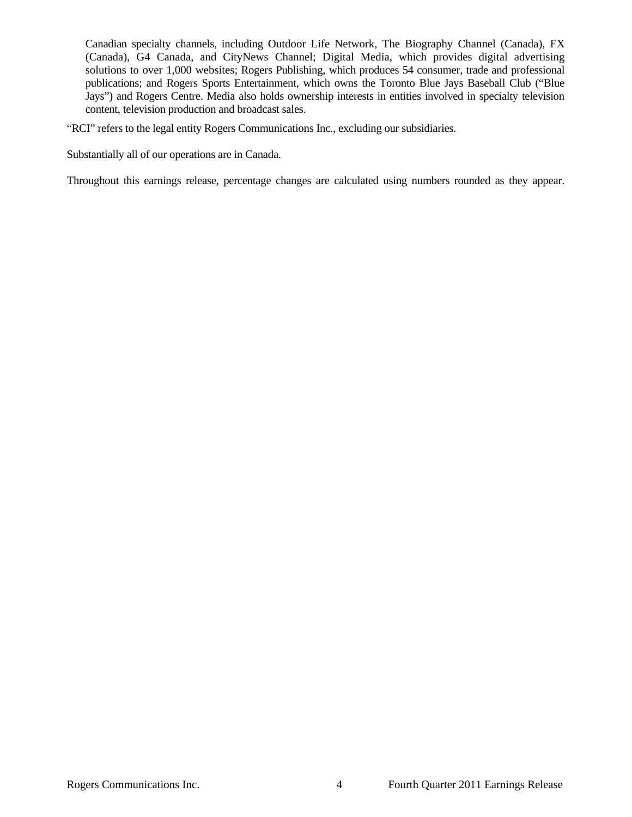Canadian specialty channels, including Outdoor Life Network, The Biography Channel (Canada), FX (Canada), G4 Canada, and CityNews Channel; Digital Media, which provides digital advertising solutions to over 1,000 websites; Rogers Publishing, which produces 54 consumer, trade and professional publications; and Rogers Sports Entertainment, which owns the Toronto Blue Jays Baseball Club ("Blue Jays") and Rogers Centre. Media also holds ownership interests in entities involved in specialty television content, television production and broadcast sales.

"RCI" refers to the legal entity Rogers Communications Inc., excluding our subsidiaries.

Substantially all of our operations are in Canada.

Throughout this earnings release, percentage changes are calculated using numbers rounded as they appear.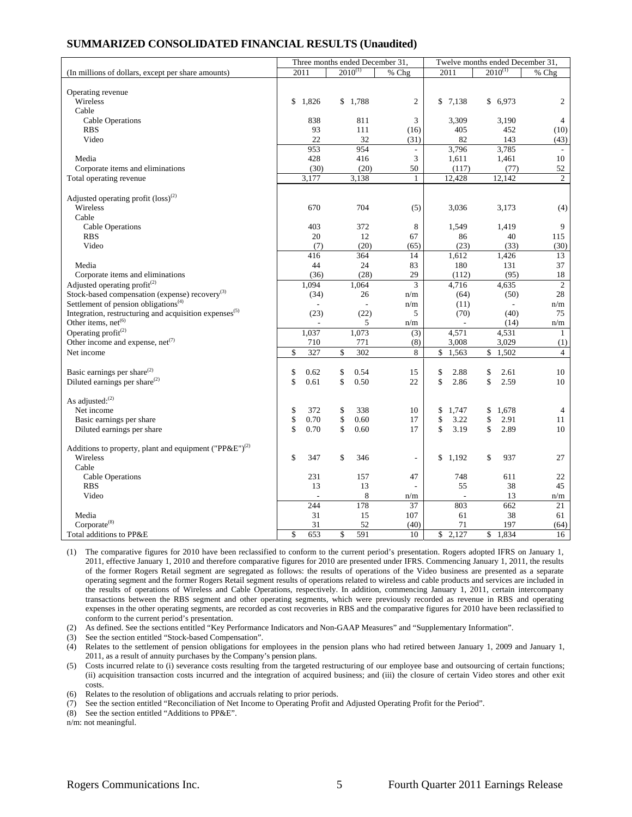## **SUMMARIZED CONSOLIDATED FINANCIAL RESULTS (Unaudited)**

|                                                                    | Three months ended December 31, |              |                 |    | Twelve months ended December 31, |              |                        |
|--------------------------------------------------------------------|---------------------------------|--------------|-----------------|----|----------------------------------|--------------|------------------------|
| (In millions of dollars, except per share amounts)                 | 2011                            | $2010^{(1)}$ | % Chg           |    | 2011                             | $2010^{(1)}$ | % Chg                  |
|                                                                    |                                 |              |                 |    |                                  |              |                        |
| Operating revenue                                                  |                                 |              |                 |    |                                  |              |                        |
| Wireless                                                           | \$<br>1,826                     | \$1,788      | $\overline{c}$  | \$ | 7,138                            | \$6,973      | 2                      |
| Cable                                                              |                                 |              |                 |    |                                  |              |                        |
| <b>Cable Operations</b><br><b>RBS</b>                              | 838<br>93                       | 811<br>111   | 3<br>(16)       |    | 3,309<br>405                     | 3,190<br>452 | $\overline{4}$<br>(10) |
| Video                                                              | 22                              | 32           | (31)            |    | 82                               | 143          | (43)                   |
|                                                                    | 953                             | 954          | $\frac{1}{2}$   |    | 3,796                            | 3,785        |                        |
| Media                                                              | 428                             | 416          | $\overline{3}$  |    | 1,611                            | 1,461        | 10                     |
| Corporate items and eliminations                                   | (30)                            | (20)         | 50              |    | (117)                            | (77)         | 52                     |
| Total operating revenue                                            | 3.177                           | 3,138        | $\mathbf{1}$    |    | 12.428                           | 12.142       | $\overline{c}$         |
|                                                                    |                                 |              |                 |    |                                  |              |                        |
| Adjusted operating profit $(\text{loss})^{(2)}$                    |                                 |              |                 |    |                                  |              |                        |
| Wireless                                                           | 670                             | 704          | (5)             |    | 3,036                            | 3,173        | (4)                    |
| Cable                                                              |                                 |              |                 |    |                                  |              |                        |
| <b>Cable Operations</b>                                            | 403                             | 372          | 8               |    | 1,549                            | 1,419        | 9                      |
| <b>RBS</b>                                                         | 20                              | 12           | 67              |    | 86                               | 40           | 115                    |
| Video                                                              | (7)                             | (20)         | (65)            |    | (23)                             | (33)         | (30)                   |
|                                                                    | 416                             | 364          | 14              |    | 1,612                            | 1,426        | 13                     |
| Media                                                              | 44                              | 24           | 83              |    | 180                              | 131          | 37                     |
| Corporate items and eliminations                                   | (36)                            | (28)         | 29              |    | (112)                            | (95)         | 18                     |
| Adjusted operating profit $(2)$                                    | 1.094                           | 1,064        | $\overline{3}$  |    | 4,716                            | 4.635        | $\overline{2}$         |
| Stock-based compensation (expense) recovery <sup>(3)</sup>         | (34)                            | 26           | n/m             |    | (64)                             | (50)         | 28                     |
| Settlement of pension obligations <sup>(4)</sup>                   | $\sim$                          |              | n/m             |    | (11)                             |              | n/m                    |
| Integration, restructuring and acquisition expenses <sup>(5)</sup> | (23)                            | (22)         | 5               |    | (70)                             | (40)         | 75                     |
| Other items, net <sup>(6)</sup>                                    |                                 | 5            | n/m             |    |                                  | (14)         | n/m                    |
| Operating $profit^{(2)}$                                           | 1,037                           | 1.073        | (3)             |    | 4,571                            | 4,531        | 1                      |
| Other income and expense, $net^{(7)}$                              | 710                             | 771          | (8)             |    | 3,008                            | 3,029        | (1)                    |
| Net income                                                         | \$<br>327                       | \$<br>302    | 8               | \$ | 1,563                            | \$<br>1,502  | $\overline{4}$         |
|                                                                    |                                 |              |                 |    |                                  |              |                        |
| Basic earnings per share <sup>(2)</sup>                            | \$<br>0.62                      | \$<br>0.54   | 15              | \$ | 2.88                             | \$<br>2.61   | 10                     |
| Diluted earnings per share <sup>(2)</sup>                          | \$<br>0.61                      | \$<br>0.50   | 22              | \$ | 2.86                             | \$<br>2.59   | 10                     |
| As adjusted: <sup>(2)</sup>                                        |                                 |              |                 |    |                                  |              |                        |
| Net income                                                         | \$<br>372                       | \$<br>338    | 10              | \$ | 1,747                            | \$<br>1,678  | 4                      |
| Basic earnings per share                                           | \$<br>0.70                      | \$<br>0.60   | 17              | \$ | 3.22                             | \$<br>2.91   | 11                     |
| Diluted earnings per share                                         | \$<br>0.70                      | \$<br>0.60   | 17              | \$ | 3.19                             | \$<br>2.89   | 10                     |
|                                                                    |                                 |              |                 |    |                                  |              |                        |
| Additions to property, plant and equipment ("PP&E") <sup>(2)</sup> |                                 |              |                 |    |                                  |              |                        |
| Wireless                                                           | \$<br>347                       | \$<br>346    |                 | \$ | 1,192                            | \$<br>937    | 27                     |
| Cable                                                              |                                 |              |                 |    |                                  |              |                        |
| Cable Operations                                                   | 231                             | 157          | 47              |    | 748                              | 611          | 22                     |
| <b>RBS</b>                                                         | 13                              | 13           |                 |    | 55                               | 38           | 45                     |
| Video                                                              |                                 | 8            | n/m             |    | $\overline{a}$                   | 13           | n/m                    |
|                                                                    | 244                             | 178          | $\overline{37}$ |    | 803                              | 662          | 21                     |
| Media                                                              | 31                              | 15           | 107             |    | 61                               | 38           | 61                     |
| Corporate <sup>(8)</sup>                                           | 31                              | 52           | (40)            |    | 71                               | 197          | (64)                   |
| Total additions to PP&E                                            | \$<br>653                       | \$<br>591    | 10              |    | \$2,127                          | \$1,834      | 16                     |

(1) The comparative figures for 2010 have been reclassified to conform to the current period's presentation. Rogers adopted IFRS on January 1, 2011, effective January 1, 2010 and therefore comparative figures for 2010 are presented under IFRS. Commencing January 1, 2011, the results of the former Rogers Retail segment are segregated as follows: the results of operations of the Video business are presented as a separate operating segment and the former Rogers Retail segment results of operations related to wireless and cable products and services are included in the results of operations of Wireless and Cable Operations, respectively. In addition, commencing January 1, 2011, certain intercompany transactions between the RBS segment and other operating segments, which were previously recorded as revenue in RBS and operating expenses in the other operating segments, are recorded as cost recoveries in RBS and the comparative figures for 2010 have been reclassified to conform to the current period's presentation.

(2) As defined. See the sections entitled "Key Performance Indicators and Non-GAAP Measures" and "Supplementary Information".

(3) See the section entitled "Stock-based Compensation".

(4) Relates to the settlement of pension obligations for employees in the pension plans who had retired between January 1, 2009 and January 1, 2011, as a result of annuity purchases by the Company's pension plans.

(5) Costs incurred relate to (i) severance costs resulting from the targeted restructuring of our employee base and outsourcing of certain functions; (ii) acquisition transaction costs incurred and the integration of acquired business; and (iii) the closure of certain Video stores and other exit costs.

(6) Relates to the resolution of obligations and accruals relating to prior periods.

(7) See the section entitled "Reconciliation of Net Income to Operating Profit and Adjusted Operating Profit for the Period".

(8) See the section entitled "Additions to PP&E".

n/m: not meaningful.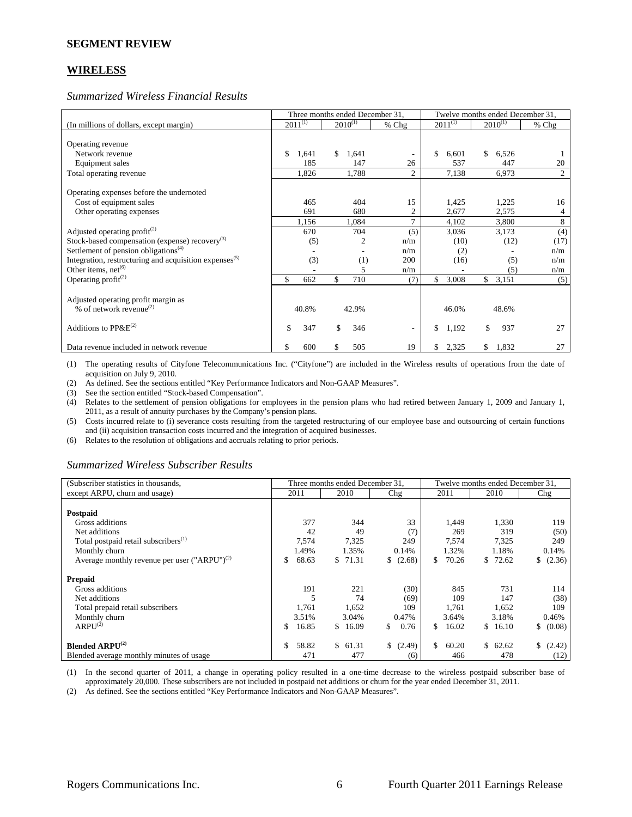#### **SEGMENT REVIEW**

## **WIRELESS**

*Summarized Wireless Financial Results* 

|                                                                    |              |     |              | Three months ended December 31, |              | Twelve months ended December 31, |                |
|--------------------------------------------------------------------|--------------|-----|--------------|---------------------------------|--------------|----------------------------------|----------------|
| (In millions of dollars, except margin)                            | $2011^{(1)}$ |     | $2010^{(1)}$ | $%$ Chg                         | $2011^{(1)}$ | $2010^{(1)}$                     | $%$ Chg        |
|                                                                    |              |     |              |                                 |              |                                  |                |
| Operating revenue                                                  |              |     |              |                                 |              |                                  |                |
| Network revenue                                                    | \$<br>1,641  |     | \$<br>1,641  | $\overline{\phantom{a}}$        | \$<br>6,601  | \$<br>6,526                      |                |
| Equipment sales                                                    |              | 185 | 147          | 26                              | 537          | 447                              | 20             |
| Total operating revenue                                            | 1,826        |     | 1,788        | $\overline{c}$                  | 7,138        | 6,973                            | $\overline{c}$ |
|                                                                    |              |     |              |                                 |              |                                  |                |
| Operating expenses before the undernoted                           |              |     |              |                                 |              |                                  |                |
| Cost of equipment sales                                            |              | 465 | 404          | 15                              | 1,425        | 1,225                            | 16             |
| Other operating expenses                                           |              | 691 | 680          | 2                               | 2,677        | 2,575                            | 4              |
|                                                                    | 1,156        |     | 1,084        | $\mathcal{I}$                   | 4,102        | 3,800                            | 8              |
| Adjusted operating profit <sup>(2)</sup>                           |              | 670 | 704          | (5)                             | 3,036        | 3,173                            | (4)            |
| Stock-based compensation (expense) recovery <sup>(3)</sup>         |              | (5) |              | $\overline{2}$<br>n/m           | (10)         | (12)                             | (17)           |
| Settlement of pension obligations <sup>(4)</sup>                   |              |     |              | n/m                             | (2)          |                                  | n/m            |
| Integration, restructuring and acquisition expenses <sup>(5)</sup> |              | (3) |              | (1)<br>200                      | (16)         | (5)                              | n/m            |
| Other items, $net^{(6)}$                                           |              |     |              | 5<br>n/m                        |              | (5)                              | n/m            |
| Operating profit <sup>(2)</sup>                                    | \$.          | 662 | \$<br>710    | (7)                             | \$<br>3,008  | 3,151<br>\$                      | (5)            |
|                                                                    |              |     |              |                                 |              |                                  |                |
| Adjusted operating profit margin as                                |              |     |              |                                 |              |                                  |                |
| % of network revenue <sup>(2)</sup>                                | 40.8%        |     | 42.9%        |                                 | 46.0%        | 48.6%                            |                |
|                                                                    |              |     |              |                                 |              |                                  |                |
| Additions to $PPAE^{(2)}$                                          | \$           | 347 | \$<br>346    | $\overline{\phantom{a}}$        | \$<br>1,192  | \$<br>937                        | 27             |
| Data revenue included in network revenue                           | \$           | 600 | 505<br>\$    | 19                              | 2,325<br>S.  | 1,832<br>\$                      | 27             |

(1) The operating results of Cityfone Telecommunications Inc. ("Cityfone") are included in the Wireless results of operations from the date of acquisition on July 9, 2010.

(2) As defined. See the sections entitled "Key Performance Indicators and Non-GAAP Measures".

(3) See the section entitled "Stock-based Compensation".

(4) Relates to the settlement of pension obligations for employees in the pension plans who had retired between January 1, 2009 and January 1, 2011, as a result of annuity purchases by the Company's pension plans.

(5) Costs incurred relate to (i) severance costs resulting from the targeted restructuring of our employee base and outsourcing of certain functions and (ii) acquisition transaction costs incurred and the integration of acquired businesses.

(6) Relates to the resolution of obligations and accruals relating to prior periods.

#### *Summarized Wireless Subscriber Results*

| (Subscriber statistics in thousands,              |             | Three months ended December 31, |              | Twelve months ended December 31, |              |              |  |  |
|---------------------------------------------------|-------------|---------------------------------|--------------|----------------------------------|--------------|--------------|--|--|
| except ARPU, churn and usage)                     | 2011        | 2010                            | Chg          | 2011                             | 2010         | Chg          |  |  |
|                                                   |             |                                 |              |                                  |              |              |  |  |
| Postpaid                                          |             |                                 |              |                                  |              |              |  |  |
| Gross additions                                   | 377         | 344                             | 33           | 1,449                            | 1,330        | 119          |  |  |
| Net additions                                     | 42          | 49                              | (7)          | 269                              | 319          | (50)         |  |  |
| Total postpaid retail subscribers <sup>(1)</sup>  | 7,574       | 7,325                           | 249          | 7,574                            | 7,325        | 249          |  |  |
| Monthly churn                                     | 1.49%       | 1.35%                           | 0.14%        | 1.32%                            | 1.18%        | 0.14%        |  |  |
| Average monthly revenue per user $("ARPU")^{(2)}$ | 68.63<br>S  | 71.31<br>S.                     | (2.68)<br>S. | 70.26<br>S.                      | 72.62<br>\$. | (2.36)<br>S. |  |  |
| <b>Prepaid</b>                                    |             |                                 |              |                                  |              |              |  |  |
| Gross additions                                   | 191         | 221                             | (30)         | 845                              | 731          | 114          |  |  |
| Net additions                                     |             | 74                              | (69)         | 109                              | 147          | (38)         |  |  |
| Total prepaid retail subscribers                  | 1,761       | 1,652                           | 109          | 1,761                            | 1,652        | 109          |  |  |
| Monthly churn                                     | 3.51%       | 3.04%                           | 0.47%        | 3.64%                            | 3.18%        | 0.46%        |  |  |
| ARPU <sup>(2)</sup>                               | 16.85<br>\$ | 16.09<br>\$.                    | 0.76<br>\$   | 16.02<br>SS.                     | \$16.10      | \$ (0.08)    |  |  |
| <b>Blended ARPU<sup>(2)</sup></b>                 | 58.82       | \$61.31                         | \$<br>(2.49) | \$<br>60.20                      | \$<br>62.62  | \$<br>(2.42) |  |  |
| Blended average monthly minutes of usage          | 471         | 477                             | (6)          | 466                              | 478          | (12)         |  |  |

(1) In the second quarter of 2011, a change in operating policy resulted in a one-time decrease to the wireless postpaid subscriber base of approximately 20,000. These subscribers are not included in postpaid net additions or churn for the year ended December 31, 2011.

(2) As defined. See the sections entitled "Key Performance Indicators and Non-GAAP Measures".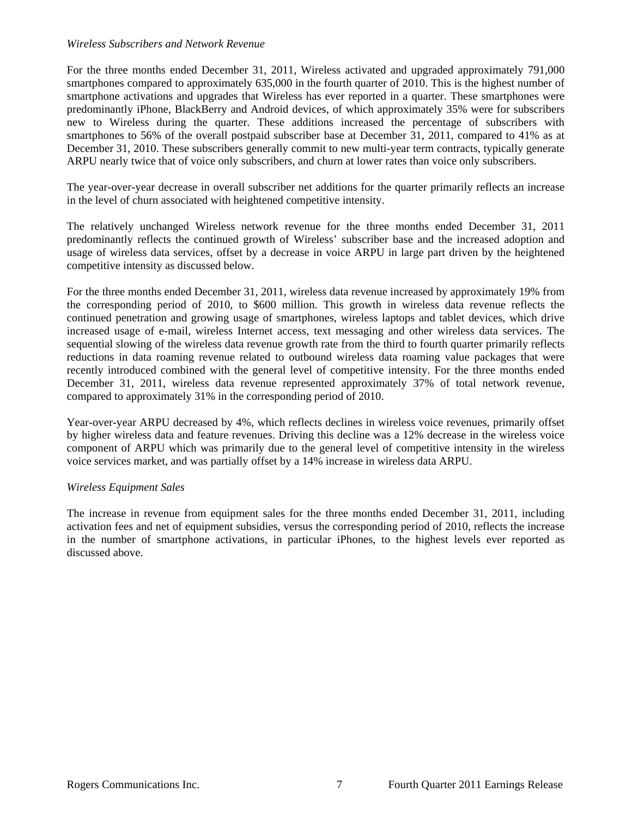#### *Wireless Subscribers and Network Revenue*

For the three months ended December 31, 2011, Wireless activated and upgraded approximately 791,000 smartphones compared to approximately 635,000 in the fourth quarter of 2010. This is the highest number of smartphone activations and upgrades that Wireless has ever reported in a quarter. These smartphones were predominantly iPhone, BlackBerry and Android devices, of which approximately 35% were for subscribers new to Wireless during the quarter. These additions increased the percentage of subscribers with smartphones to 56% of the overall postpaid subscriber base at December 31, 2011, compared to 41% as at December 31, 2010. These subscribers generally commit to new multi-year term contracts, typically generate ARPU nearly twice that of voice only subscribers, and churn at lower rates than voice only subscribers.

The year-over-year decrease in overall subscriber net additions for the quarter primarily reflects an increase in the level of churn associated with heightened competitive intensity.

The relatively unchanged Wireless network revenue for the three months ended December 31, 2011 predominantly reflects the continued growth of Wireless' subscriber base and the increased adoption and usage of wireless data services, offset by a decrease in voice ARPU in large part driven by the heightened competitive intensity as discussed below.

For the three months ended December 31, 2011, wireless data revenue increased by approximately 19% from the corresponding period of 2010, to \$600 million. This growth in wireless data revenue reflects the continued penetration and growing usage of smartphones, wireless laptops and tablet devices, which drive increased usage of e-mail, wireless Internet access, text messaging and other wireless data services. The sequential slowing of the wireless data revenue growth rate from the third to fourth quarter primarily reflects reductions in data roaming revenue related to outbound wireless data roaming value packages that were recently introduced combined with the general level of competitive intensity. For the three months ended December 31, 2011, wireless data revenue represented approximately 37% of total network revenue, compared to approximately 31% in the corresponding period of 2010.

Year-over-year ARPU decreased by 4%, which reflects declines in wireless voice revenues, primarily offset by higher wireless data and feature revenues. Driving this decline was a 12% decrease in the wireless voice component of ARPU which was primarily due to the general level of competitive intensity in the wireless voice services market, and was partially offset by a 14% increase in wireless data ARPU.

# *Wireless Equipment Sales*

The increase in revenue from equipment sales for the three months ended December 31, 2011, including activation fees and net of equipment subsidies, versus the corresponding period of 2010, reflects the increase in the number of smartphone activations, in particular iPhones, to the highest levels ever reported as discussed above.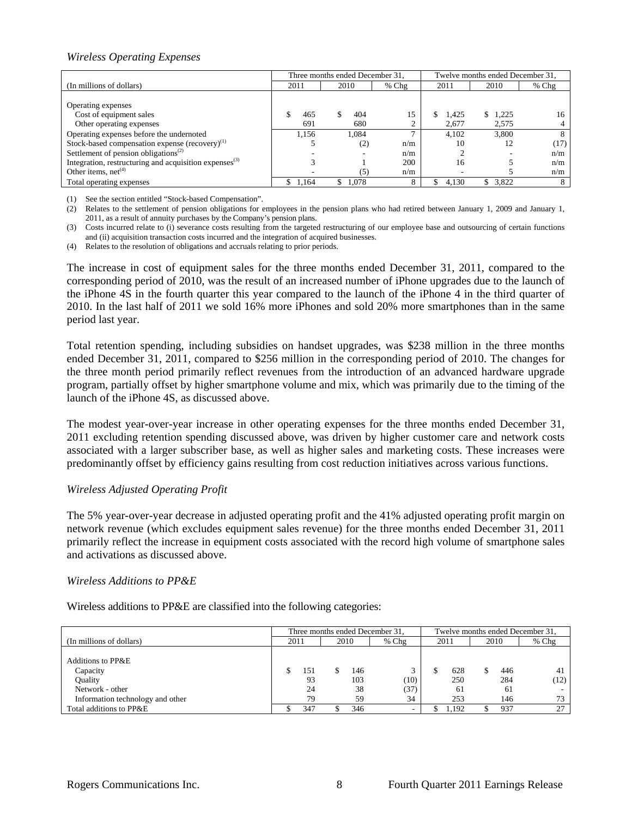# *Wireless Operating Expenses*

|                                                                    |       | Three months ended December 31. |         | Twelve months ended December 31, |             |         |  |  |
|--------------------------------------------------------------------|-------|---------------------------------|---------|----------------------------------|-------------|---------|--|--|
| (In millions of dollars)                                           | 2011  | 2010                            | $%$ Chg | 2011                             | 2010        | $%$ Chg |  |  |
|                                                                    |       |                                 |         |                                  |             |         |  |  |
| Operating expenses                                                 |       |                                 |         |                                  |             |         |  |  |
| Cost of equipment sales                                            | 465   | 404                             | 15      | 1.425                            | 1.225<br>S. | 16      |  |  |
| Other operating expenses                                           | 691   | 680                             |         | 2.677                            | 2,575       |         |  |  |
| Operating expenses before the undernoted                           | 1,156 | 1.084                           |         | 4.102                            | 3.800       | 8       |  |  |
| Stock-based compensation expense $(recovery)^{(1)}$                |       | (2)                             | n/m     | 10                               | 12          | (17)    |  |  |
| Settlement of pension obligations <sup>(2)</sup>                   |       | -                               | n/m     |                                  |             | n/m     |  |  |
| Integration, restructuring and acquisition expenses <sup>(3)</sup> |       |                                 | 200     | 16                               |             | n/m     |  |  |
| Other items, $net(4)$                                              |       | (5)                             | n/m     |                                  |             | n/m     |  |  |
| Total operating expenses                                           | 1.164 | \$1,078                         |         | 4.130                            | \$3,822     |         |  |  |

(1) See the section entitled "Stock-based Compensation".

(2) Relates to the settlement of pension obligations for employees in the pension plans who had retired between January 1, 2009 and January 1, 2011, as a result of annuity purchases by the Company's pension plans.

(3) Costs incurred relate to (i) severance costs resulting from the targeted restructuring of our employee base and outsourcing of certain functions and (ii) acquisition transaction costs incurred and the integration of acquired businesses.

(4) Relates to the resolution of obligations and accruals relating to prior periods.

The increase in cost of equipment sales for the three months ended December 31, 2011, compared to the corresponding period of 2010, was the result of an increased number of iPhone upgrades due to the launch of the iPhone 4S in the fourth quarter this year compared to the launch of the iPhone 4 in the third quarter of 2010. In the last half of 2011 we sold 16% more iPhones and sold 20% more smartphones than in the same period last year.

Total retention spending, including subsidies on handset upgrades, was \$238 million in the three months ended December 31, 2011, compared to \$256 million in the corresponding period of 2010. The changes for the three month period primarily reflect revenues from the introduction of an advanced hardware upgrade program, partially offset by higher smartphone volume and mix, which was primarily due to the timing of the launch of the iPhone 4S, as discussed above.

The modest year-over-year increase in other operating expenses for the three months ended December 31, 2011 excluding retention spending discussed above, was driven by higher customer care and network costs associated with a larger subscriber base, as well as higher sales and marketing costs. These increases were predominantly offset by efficiency gains resulting from cost reduction initiatives across various functions.

# *Wireless Adjusted Operating Profit*

The 5% year-over-year decrease in adjusted operating profit and the 41% adjusted operating profit margin on network revenue (which excludes equipment sales revenue) for the three months ended December 31, 2011 primarily reflect the increase in equipment costs associated with the record high volume of smartphone sales and activations as discussed above.

#### *Wireless Additions to PP&E*

Wireless additions to PP&E are classified into the following categories:

|                                  |      |     |      |     | Three months ended December 31. | Twelve months ended December 31. |       |      |     |         |
|----------------------------------|------|-----|------|-----|---------------------------------|----------------------------------|-------|------|-----|---------|
| (In millions of dollars)         | 2011 |     | 2010 |     | $%$ Chg                         | 2011                             |       | 2010 |     | $%$ Chg |
|                                  |      |     |      |     |                                 |                                  |       |      |     |         |
| Additions to PP&E                |      |     |      |     |                                 |                                  |       |      |     |         |
| Capacity                         |      | 151 |      | 146 |                                 |                                  | 628   |      | 446 | 41      |
| <b>Ouality</b>                   |      | 93  |      | 103 | (10)                            |                                  | 250   |      | 284 | (12)    |
| Network - other                  |      | 24  |      | 38  | (37)                            |                                  | 61    |      | 61  |         |
| Information technology and other |      | 79  |      | 59  | 34                              |                                  | 253   |      | 146 |         |
| Total additions to PP&E          |      | 347 |      | 346 | $\sim$                          |                                  | 1.192 |      | 937 | 27      |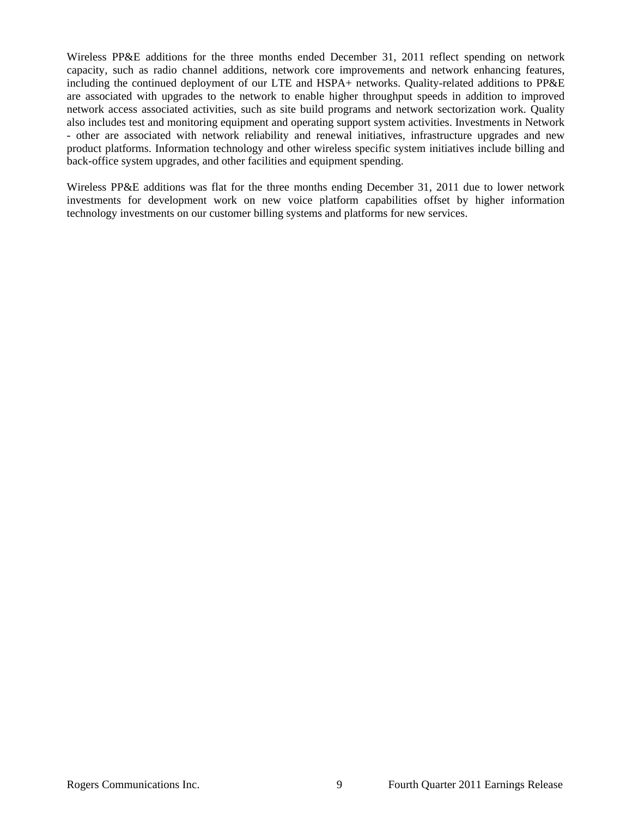Wireless PP&E additions for the three months ended December 31, 2011 reflect spending on network capacity, such as radio channel additions, network core improvements and network enhancing features, including the continued deployment of our LTE and HSPA+ networks. Quality-related additions to PP&E are associated with upgrades to the network to enable higher throughput speeds in addition to improved network access associated activities, such as site build programs and network sectorization work. Quality also includes test and monitoring equipment and operating support system activities. Investments in Network - other are associated with network reliability and renewal initiatives, infrastructure upgrades and new product platforms. Information technology and other wireless specific system initiatives include billing and back-office system upgrades, and other facilities and equipment spending.

Wireless PP&E additions was flat for the three months ending December 31, 2011 due to lower network investments for development work on new voice platform capabilities offset by higher information technology investments on our customer billing systems and platforms for new services.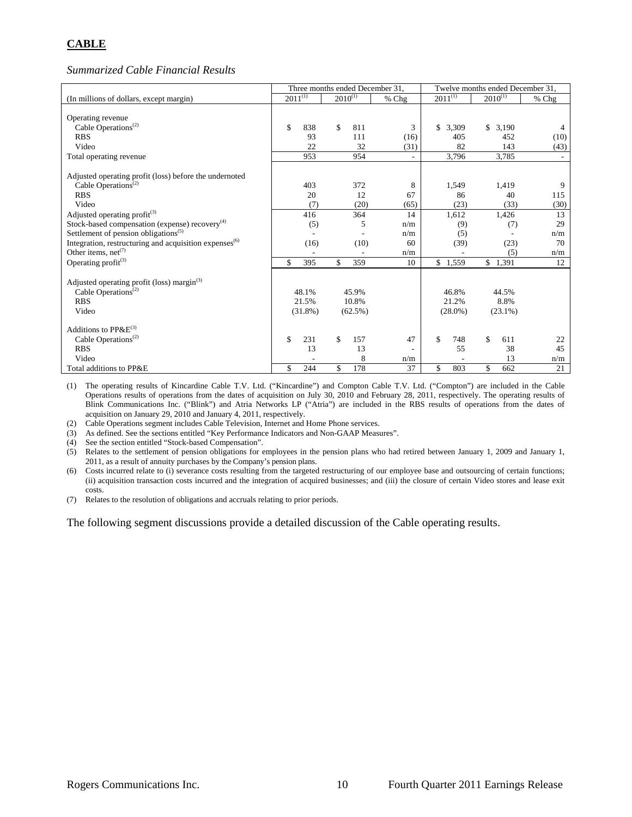# **CABLE**

*Summarized Cable Financial Results* 

|                                                                    |              |      |              |            | Three months ended December 31, |              |              |            | Twelve months ended December 31, |
|--------------------------------------------------------------------|--------------|------|--------------|------------|---------------------------------|--------------|--------------|------------|----------------------------------|
| (In millions of dollars, except margin)                            | $2011^{(1)}$ |      | $2010^{(1)}$ |            | $%$ Chg                         | $2011^{(1)}$ | $2010^{(1)}$ |            | % Chg                            |
|                                                                    |              |      |              |            |                                 |              |              |            |                                  |
| Operating revenue                                                  |              |      |              |            |                                 |              |              |            |                                  |
| Cable Operations <sup>(2)</sup>                                    | \$<br>838    |      | \$           | 811        | 3                               | \$<br>3,309  |              | \$3,190    | 4                                |
| <b>RBS</b>                                                         |              | 93   |              | 111        | (16)                            | 405          |              | 452        | (10)                             |
| Video                                                              |              | 22   |              | 32         | (31)                            | 82           |              | 143        | (43)                             |
| Total operating revenue                                            | 953          |      |              | 954        |                                 | 3,796        |              | 3,785      |                                  |
| Adjusted operating profit (loss) before the undernoted             |              |      |              |            |                                 |              |              |            |                                  |
| Cable Operations <sup><math>(2)</math></sup>                       | 403          |      |              | 372        | 8                               | 1,549        |              | 1.419      | 9                                |
| <b>RBS</b>                                                         |              | 20   |              | 12         | 67                              | 86           |              | 40         | 115                              |
| Video                                                              |              | (7)  |              | (20)       | (65)                            | (23)         |              | (33)       | (30)                             |
| Adjusted operating profit $^{(3)}$                                 | 416          |      |              | 364        | 14                              | 1,612        |              | 1,426      | 13                               |
| Stock-based compensation (expense) recovery $(4)$                  |              | (5)  |              | 5          | n/m                             | (9)          |              | (7)        | 29                               |
| Settlement of pension obligations <sup>(5)</sup>                   |              |      |              |            | n/m                             | (5)          |              |            | n/m                              |
| Integration, restructuring and acquisition expenses <sup>(6)</sup> |              | (16) |              | (10)       | 60                              | (39)         |              | (23)       | 70                               |
| Other items, net <sup><math>(7)</math></sup>                       |              |      |              |            | n/m                             |              |              | (5)        | n/m                              |
| Operating profit $(3)$                                             | \$<br>395    |      | \$           | 359        | 10                              | \$<br>1,559  |              | \$1,391    | 12                               |
|                                                                    |              |      |              |            |                                 |              |              |            |                                  |
| Adjusted operating profit (loss) margin <sup>(3)</sup>             |              |      |              |            |                                 |              |              |            |                                  |
| Cable Operations <sup>(2)</sup>                                    | 48.1%        |      |              | 45.9%      |                                 | 46.8%        |              | 44.5%      |                                  |
| <b>RBS</b>                                                         | 21.5%        |      |              | 10.8%      |                                 | 21.2%        |              | 8.8%       |                                  |
| Video                                                              | $(31.8\%)$   |      |              | $(62.5\%)$ |                                 | $(28.0\%)$   |              | $(23.1\%)$ |                                  |
| Additions to $PP\&E^{(3)}$                                         |              |      |              |            |                                 |              |              |            |                                  |
| Cable Operations <sup><math>(2)</math></sup>                       | \$<br>231    |      | \$           | 157        | 47                              | \$<br>748    | \$           | 611        | 22                               |
| <b>RBS</b>                                                         |              | 13   |              | 13         |                                 | 55           |              | 38         | 45                               |
| Video                                                              |              |      |              | 8          | n/m                             |              |              | 13         | n/m                              |
| Total additions to PP&E                                            | \$<br>244    |      | \$           | 178        | 37                              | \$<br>803    | \$           | 662        | 21                               |

(1) The operating results of Kincardine Cable T.V. Ltd. ("Kincardine") and Compton Cable T.V. Ltd. ("Compton") are included in the Cable Operations results of operations from the dates of acquisition on July 30, 2010 and February 28, 2011, respectively. The operating results of Blink Communications Inc. ("Blink") and Atria Networks LP ("Atria") are included in the RBS results of operations from the dates of acquisition on January 29, 2010 and January 4, 2011, respectively.

(2) Cable Operations segment includes Cable Television, Internet and Home Phone services.

(3) As defined. See the sections entitled "Key Performance Indicators and Non-GAAP Measures".

(4) See the section entitled "Stock-based Compensation".

(5) Relates to the settlement of pension obligations for employees in the pension plans who had retired between January 1, 2009 and January 1, 2011, as a result of annuity purchases by the Company's pension plans.

(6) Costs incurred relate to (i) severance costs resulting from the targeted restructuring of our employee base and outsourcing of certain functions; (ii) acquisition transaction costs incurred and the integration of acquired businesses; and (iii) the closure of certain Video stores and lease exit costs.

(7) Relates to the resolution of obligations and accruals relating to prior periods.

The following segment discussions provide a detailed discussion of the Cable operating results.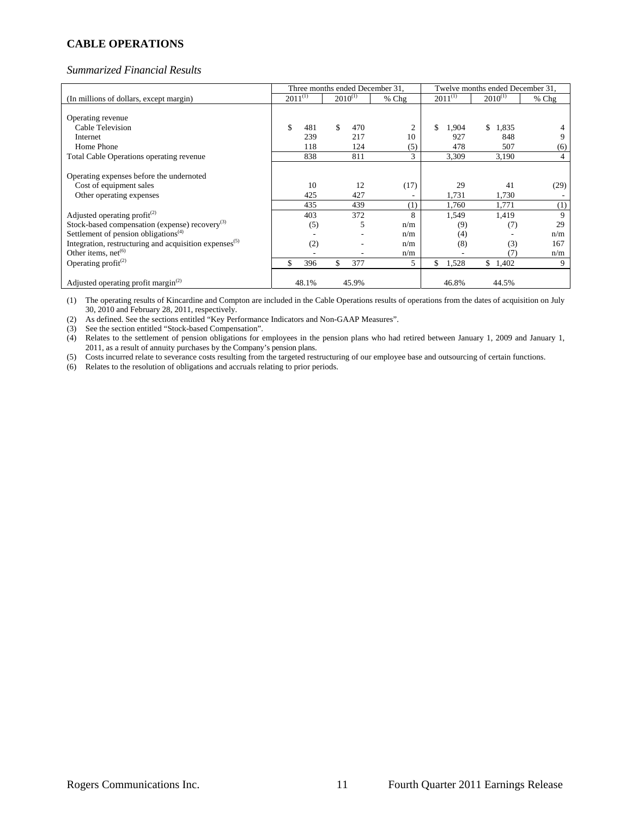# **CABLE OPERATIONS**

#### *Summarized Financial Results*

|                                                               |              |     |              |       | Three months ended December 31, |              |       | Twelve months ended December 31, |         |
|---------------------------------------------------------------|--------------|-----|--------------|-------|---------------------------------|--------------|-------|----------------------------------|---------|
| (In millions of dollars, except margin)                       | $2011^{(1)}$ |     | $2010^{(1)}$ |       | $%$ Chg                         | $2011^{(1)}$ |       | $2010^{(1)}$                     | $%$ Chg |
|                                                               |              |     |              |       |                                 |              |       |                                  |         |
| Operating revenue                                             |              |     |              |       |                                 |              |       |                                  |         |
| Cable Television                                              | \$<br>481    |     | \$           | 470   | 2                               | S.           | 1,904 | 1,835<br>\$.                     |         |
| Internet                                                      | 239          |     |              | 217   | 10                              |              | 927   | 848                              |         |
| Home Phone                                                    |              | 118 |              | 124   | (5)                             |              | 478   | 507                              | (6)     |
| <b>Total Cable Operations operating revenue</b>               | 838          |     |              | 811   | 3                               |              | 3,309 | 3,190                            | 4       |
|                                                               |              |     |              |       |                                 |              |       |                                  |         |
| Operating expenses before the undernoted                      |              |     |              |       |                                 |              |       |                                  |         |
| Cost of equipment sales                                       |              | 10  |              | 12    | (17)                            |              | 29    | 41                               | (29)    |
| Other operating expenses                                      | 425          |     |              | 427   |                                 |              | 1,731 | 1,730                            |         |
|                                                               | 435          |     |              | 439   | $^{(1)}$                        |              | 1,760 | 1,771                            | (1)     |
| Adjusted operating profit $(2)$                               | 403          |     |              | 372   | 8                               |              | 1,549 | 1,419                            | 9       |
| Stock-based compensation (expense) $recovery(3)$              |              | (5) |              | 5     | n/m                             |              | (9)   | (7)                              | 29      |
| Settlement of pension obligations <sup><math>(4)</math></sup> |              |     |              |       | n/m                             |              | (4)   |                                  | n/m     |
| Integration, restructuring and acquisition expenses $(5)$     |              | (2) |              |       | n/m                             |              | (8)   | (3)                              | 167     |
| Other items, $net^{(6)}$                                      |              |     |              |       | n/m                             |              |       | (7)                              | n/m     |
| Operating profit <sup>(2)</sup>                               | 396<br>\$    |     | \$           | 377   | 5                               | \$           | 1,528 | \$1,402                          | 9       |
|                                                               |              |     |              |       |                                 |              |       |                                  |         |
| Adjusted operating profit margin $^{(2)}$                     | 48.1%        |     |              | 45.9% |                                 |              | 46.8% | 44.5%                            |         |

(1) The operating results of Kincardine and Compton are included in the Cable Operations results of operations from the dates of acquisition on July 30, 2010 and February 28, 2011, respectively.

(2) As defined. See the sections entitled "Key Performance Indicators and Non-GAAP Measures".

(3) See the section entitled "Stock-based Compensation".

(4) Relates to the settlement of pension obligations for employees in the pension plans who had retired between January 1, 2009 and January 1, 2011, as a result of annuity purchases by the Company's pension plans.

(5) Costs incurred relate to severance costs resulting from the targeted restructuring of our employee base and outsourcing of certain functions.

(6) Relates to the resolution of obligations and accruals relating to prior periods.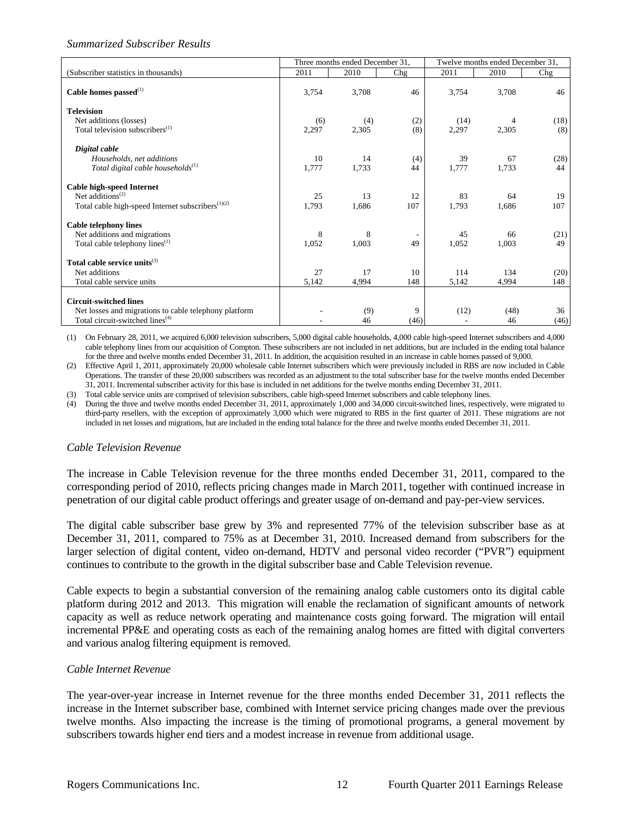# *Summarized Subscriber Results*

|                                                               |       | Three months ended December 31, |                |       | Twelve months ended December 31, |      |
|---------------------------------------------------------------|-------|---------------------------------|----------------|-------|----------------------------------|------|
| (Subscriber statistics in thousands)                          | 2011  | 2010                            | Chg            | 2011  | 2010                             | Chg  |
| Cable homes passed $^{(1)}$                                   | 3,754 | 3,708                           | 46             | 3,754 | 3,708                            | 46   |
| <b>Television</b>                                             |       |                                 |                |       |                                  |      |
| Net additions (losses)                                        | (6)   | (4)                             | (2)            | (14)  | 4                                | (18) |
| Total television subscribers <sup>(1)</sup>                   | 2,297 | 2,305                           | (8)            | 2,297 | 2,305                            | (8)  |
| Digital cable                                                 |       |                                 |                |       |                                  |      |
| Households, net additions                                     | 10    | 14                              | (4)            | 39    | 67                               | (28) |
| Total digital cable households $^{(1)}$                       | 1,777 | 1,733                           | 44             | 1,777 | 1,733                            | 44   |
| Cable high-speed Internet                                     |       |                                 |                |       |                                  |      |
| Net additions <sup><math>(2)</math></sup>                     | 25    | 13                              | 12             | 83    | 64                               | 19   |
| Total cable high-speed Internet subscribers <sup>(1)(2)</sup> | 1,793 | 1,686                           | 107            | 1,793 | 1,686                            | 107  |
| <b>Cable telephony lines</b>                                  |       |                                 |                |       |                                  |      |
| Net additions and migrations                                  | 8     | 8                               | $\overline{a}$ | 45    | 66                               | (21) |
| Total cable telephony lines <sup>(1)</sup>                    | 1,052 | 1,003                           | 49             | 1,052 | 1,003                            | 49   |
| Total cable service units <sup>(3)</sup>                      |       |                                 |                |       |                                  |      |
| Net additions                                                 | 27    | 17                              | 10             | 114   | 134                              | (20) |
| Total cable service units                                     | 5,142 | 4,994                           | 148            | 5,142 | 4,994                            | 148  |
| <b>Circuit-switched lines</b>                                 |       |                                 |                |       |                                  |      |
| Net losses and migrations to cable telephony platform         |       | (9)                             | 9              | (12)  | (48)                             | 36   |
| Total circuit-switched lines <sup>(4)</sup>                   |       | 46                              | (46)           |       | 46                               | (46) |

(1) On February 28, 2011, we acquired 6,000 television subscribers, 5,000 digital cable households, 4,000 cable high-speed Internet subscribers and 4,000 cable telephony lines from our acquisition of Compton. These subscribers are not included in net additions, but are included in the ending total balance for the three and twelve months ended December 31, 2011. In addition, the acquisition resulted in an increase in cable homes passed of 9,000.

(2) Effective April 1, 2011, approximately 20,000 wholesale cable Internet subscribers which were previously included in RBS are now included in Cable Operations. The transfer of these 20,000 subscribers was recorded as an adjustment to the total subscriber base for the twelve months ended December 31, 2011. Incremental subscriber activity for this base is included in net additions for the twelve months ending December 31, 2011.

(3) Total cable service units are comprised of television subscribers, cable high-speed Internet subscribers and cable telephony lines.

(4) During the three and twelve months ended December 31, 2011, approximately 1,000 and 34,000 circuit-switched lines, respectively, were migrated to third-party resellers, with the exception of approximately 3,000 which were migrated to RBS in the first quarter of 2011. These migrations are not included in net losses and migrations, but are included in the ending total balance for the three and twelve months ended December 31, 2011.

#### *Cable Television Revenue*

The increase in Cable Television revenue for the three months ended December 31, 2011, compared to the corresponding period of 2010, reflects pricing changes made in March 2011, together with continued increase in penetration of our digital cable product offerings and greater usage of on-demand and pay-per-view services.

The digital cable subscriber base grew by 3% and represented 77% of the television subscriber base as at December 31, 2011, compared to 75% as at December 31, 2010. Increased demand from subscribers for the larger selection of digital content, video on-demand, HDTV and personal video recorder ("PVR") equipment continues to contribute to the growth in the digital subscriber base and Cable Television revenue.

Cable expects to begin a substantial conversion of the remaining analog cable customers onto its digital cable platform during 2012 and 2013. This migration will enable the reclamation of significant amounts of network capacity as well as reduce network operating and maintenance costs going forward. The migration will entail incremental PP&E and operating costs as each of the remaining analog homes are fitted with digital converters and various analog filtering equipment is removed.

# *Cable Internet Revenue*

The year-over-year increase in Internet revenue for the three months ended December 31, 2011 reflects the increase in the Internet subscriber base, combined with Internet service pricing changes made over the previous twelve months. Also impacting the increase is the timing of promotional programs, a general movement by subscribers towards higher end tiers and a modest increase in revenue from additional usage.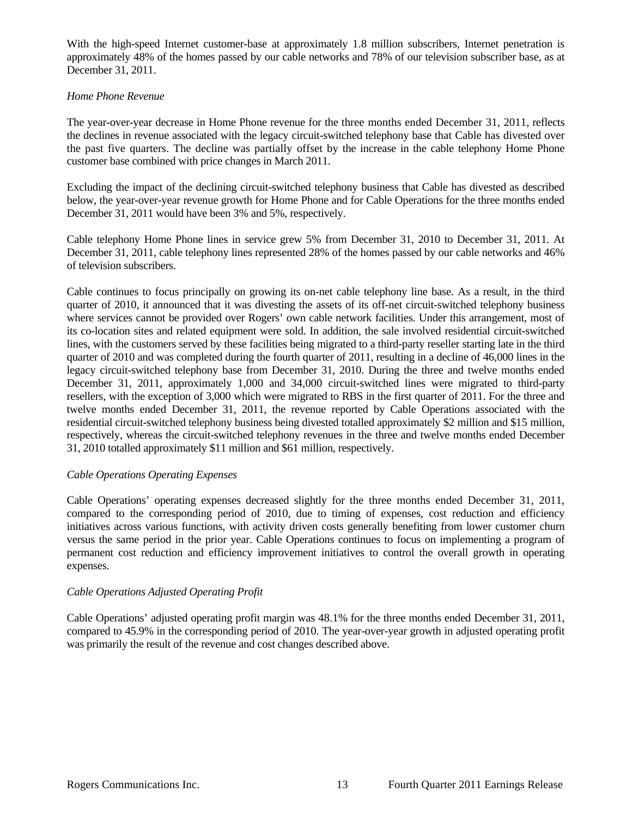With the high-speed Internet customer-base at approximately 1.8 million subscribers, Internet penetration is approximately 48% of the homes passed by our cable networks and 78% of our television subscriber base, as at December 31, 2011.

## *Home Phone Revenue*

The year-over-year decrease in Home Phone revenue for the three months ended December 31, 2011, reflects the declines in revenue associated with the legacy circuit-switched telephony base that Cable has divested over the past five quarters. The decline was partially offset by the increase in the cable telephony Home Phone customer base combined with price changes in March 2011.

Excluding the impact of the declining circuit-switched telephony business that Cable has divested as described below, the year-over-year revenue growth for Home Phone and for Cable Operations for the three months ended December 31, 2011 would have been 3% and 5%, respectively.

Cable telephony Home Phone lines in service grew 5% from December 31, 2010 to December 31, 2011. At December 31, 2011, cable telephony lines represented 28% of the homes passed by our cable networks and 46% of television subscribers.

Cable continues to focus principally on growing its on-net cable telephony line base. As a result, in the third quarter of 2010, it announced that it was divesting the assets of its off-net circuit-switched telephony business where services cannot be provided over Rogers' own cable network facilities. Under this arrangement, most of its co-location sites and related equipment were sold. In addition, the sale involved residential circuit-switched lines, with the customers served by these facilities being migrated to a third-party reseller starting late in the third quarter of 2010 and was completed during the fourth quarter of 2011, resulting in a decline of 46,000 lines in the legacy circuit-switched telephony base from December 31, 2010. During the three and twelve months ended December 31, 2011, approximately 1,000 and 34,000 circuit-switched lines were migrated to third-party resellers, with the exception of 3,000 which were migrated to RBS in the first quarter of 2011. For the three and twelve months ended December 31, 2011, the revenue reported by Cable Operations associated with the residential circuit-switched telephony business being divested totalled approximately \$2 million and \$15 million, respectively, whereas the circuit-switched telephony revenues in the three and twelve months ended December 31, 2010 totalled approximately \$11 million and \$61 million, respectively.

# *Cable Operations Operating Expenses*

Cable Operations' operating expenses decreased slightly for the three months ended December 31, 2011, compared to the corresponding period of 2010, due to timing of expenses, cost reduction and efficiency initiatives across various functions, with activity driven costs generally benefiting from lower customer churn versus the same period in the prior year. Cable Operations continues to focus on implementing a program of permanent cost reduction and efficiency improvement initiatives to control the overall growth in operating expenses.

# *Cable Operations Adjusted Operating Profit*

Cable Operations' adjusted operating profit margin was 48.1% for the three months ended December 31, 2011, compared to 45.9% in the corresponding period of 2010. The year-over-year growth in adjusted operating profit was primarily the result of the revenue and cost changes described above.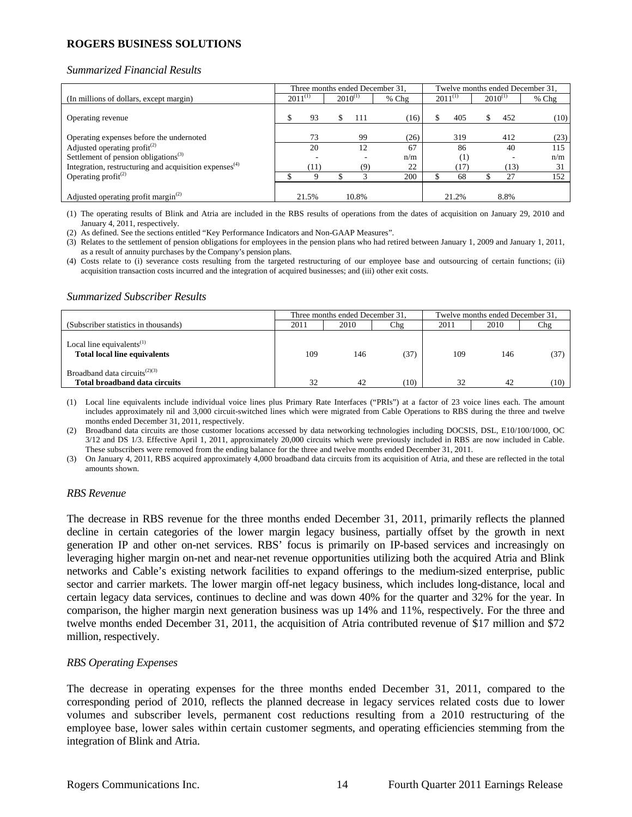# **ROGERS BUSINESS SOLUTIONS**

#### *Summarized Financial Results*

|                                                                    | Three months ended December 31, |       |              |       |         |  | Twelve months ended December 31, |              |      |         |  |
|--------------------------------------------------------------------|---------------------------------|-------|--------------|-------|---------|--|----------------------------------|--------------|------|---------|--|
| (In millions of dollars, except margin)                            | $2011^{(1)}$                    |       | $2010^{(1)}$ |       | $%$ Chg |  | $2011^{(1)}$                     | $2010^{(1)}$ |      | $%$ Chg |  |
| Operating revenue                                                  |                                 | 93    |              | 111   | (16)    |  | 405                              |              | 452  | (10)    |  |
| Operating expenses before the undernoted                           |                                 | 73    |              | 99    | (26)    |  | 319                              |              | 412  | (23)    |  |
| Adjusted operating profit $(2)$                                    |                                 | 20    |              | 12    | 67      |  | 86                               |              | 40   | 115     |  |
| Settlement of pension obligations <sup>(3)</sup>                   |                                 |       |              |       | n/m     |  | [1]                              |              |      | n/m     |  |
| Integration, restructuring and acquisition expenses <sup>(4)</sup> |                                 | (11)  |              | (9)   | 22      |  | (17)                             |              | (13) | 31      |  |
| Operating $profit^{(2)}$                                           |                                 |       |              | 2     | 200     |  | 68                               |              | 27   | 152     |  |
| Adjusted operating profit margin <sup>(2)</sup>                    |                                 | 21.5% |              | 10.8% |         |  | 21.2%                            |              | 8.8% |         |  |

(1) The operating results of Blink and Atria are included in the RBS results of operations from the dates of acquisition on January 29, 2010 and January 4, 2011, respectively.

(2) As defined. See the sections entitled "Key Performance Indicators and Non-GAAP Measures".

(3) Relates to the settlement of pension obligations for employees in the pension plans who had retired between January 1, 2009 and January 1, 2011, as a result of annuity purchases by the Company's pension plans.

(4) Costs relate to (i) severance costs resulting from the targeted restructuring of our employee base and outsourcing of certain functions; (ii) acquisition transaction costs incurred and the integration of acquired businesses; and (iii) other exit costs.

#### *Summarized Subscriber Results*

|                                                                                           |      | Three months ended December 31, |                       | Twelve months ended December 31, |      |                 |  |  |  |
|-------------------------------------------------------------------------------------------|------|---------------------------------|-----------------------|----------------------------------|------|-----------------|--|--|--|
| (Subscriber statistics in thousands)                                                      | 2011 | 2010                            | Chg                   | 2011                             | 2010 | $\mathbb{C}$ hg |  |  |  |
| Local line equivalents <sup><math>(1)</math></sup><br><b>Total local line equivalents</b> | 109  | 146                             | 37)                   | 109                              | 146  |                 |  |  |  |
| Broadband data circuits <sup><math>(2)(3)</math></sup><br>Total broadband data circuits   | 32   | 42                              | $^{\prime}10^{\cdot}$ | 32                               | 42   | (10)            |  |  |  |

(1) Local line equivalents include individual voice lines plus Primary Rate Interfaces ("PRIs") at a factor of 23 voice lines each. The amount includes approximately nil and 3,000 circuit-switched lines which were migrated from Cable Operations to RBS during the three and twelve months ended December 31, 2011, respectively.

(2) Broadband data circuits are those customer locations accessed by data networking technologies including DOCSIS, DSL, E10/100/1000, OC 3/12 and DS 1/3. Effective April 1, 2011, approximately 20,000 circuits which were previously included in RBS are now included in Cable. These subscribers were removed from the ending balance for the three and twelve months ended December 31, 2011.

(3) On January 4, 2011, RBS acquired approximately 4,000 broadband data circuits from its acquisition of Atria, and these are reflected in the total amounts shown.

#### *RBS Revenue*

The decrease in RBS revenue for the three months ended December 31, 2011, primarily reflects the planned decline in certain categories of the lower margin legacy business, partially offset by the growth in next generation IP and other on-net services. RBS' focus is primarily on IP-based services and increasingly on leveraging higher margin on-net and near-net revenue opportunities utilizing both the acquired Atria and Blink networks and Cable's existing network facilities to expand offerings to the medium-sized enterprise, public sector and carrier markets. The lower margin off-net legacy business, which includes long-distance, local and certain legacy data services, continues to decline and was down 40% for the quarter and 32% for the year. In comparison, the higher margin next generation business was up 14% and 11%, respectively. For the three and twelve months ended December 31, 2011, the acquisition of Atria contributed revenue of \$17 million and \$72 million, respectively.

# *RBS Operating Expenses*

The decrease in operating expenses for the three months ended December 31, 2011, compared to the corresponding period of 2010, reflects the planned decrease in legacy services related costs due to lower volumes and subscriber levels, permanent cost reductions resulting from a 2010 restructuring of the employee base, lower sales within certain customer segments, and operating efficiencies stemming from the integration of Blink and Atria.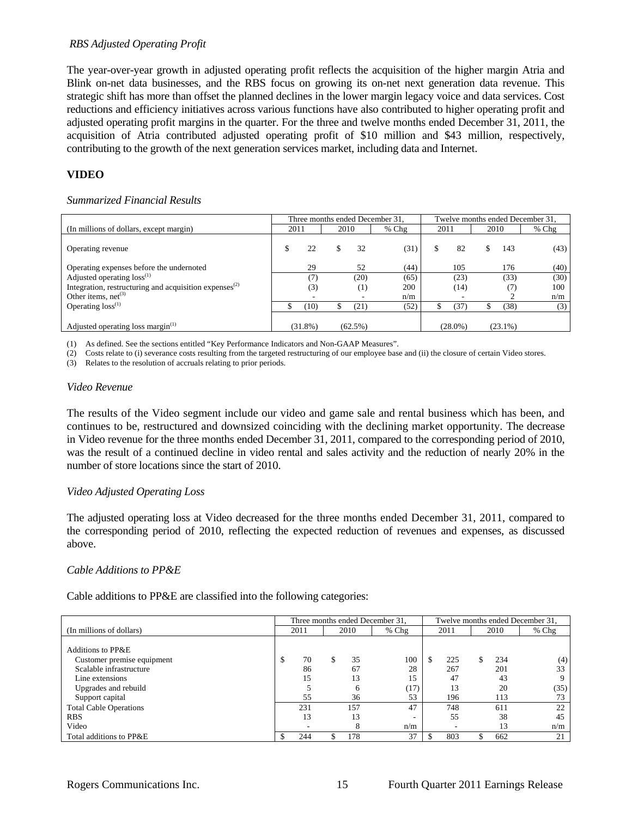#### *RBS Adjusted Operating Profit*

The year-over-year growth in adjusted operating profit reflects the acquisition of the higher margin Atria and Blink on-net data businesses, and the RBS focus on growing its on-net next generation data revenue. This strategic shift has more than offset the planned declines in the lower margin legacy voice and data services. Cost reductions and efficiency initiatives across various functions have also contributed to higher operating profit and adjusted operating profit margins in the quarter. For the three and twelve months ended December 31, 2011, the acquisition of Atria contributed adjusted operating profit of \$10 million and \$43 million, respectively, contributing to the growth of the next generation services market, including data and Internet.

# **VIDEO**

#### *Summarized Financial Results*

|                                                                    |      |            |      |            | Three months ended December 31, | Twelve months ended December 31, |            |      |            |         |
|--------------------------------------------------------------------|------|------------|------|------------|---------------------------------|----------------------------------|------------|------|------------|---------|
| (In millions of dollars, except margin)                            | 2011 |            | 2010 |            | $%$ Chg                         | 2011                             |            | 2010 |            | $%$ Chg |
| Operating revenue                                                  |      | 22         |      | 32         | (31)                            |                                  | 82         |      | 143        | (43)    |
| Operating expenses before the undernoted                           |      | 29         |      | 52         | (44)                            |                                  | 105        |      | 176        | (40)    |
| Adjusted operating loss <sup>(1)</sup>                             |      |            |      | (20)       | (65)                            |                                  | (23)       |      | (33)       | (30)    |
| Integration, restructuring and acquisition expenses <sup>(2)</sup> |      | (3)        |      | (1)        | 200                             |                                  | (14)       |      | (7)        | 100     |
| Other items, $net^{(3)}$                                           |      |            |      |            | n/m                             |                                  |            |      |            | n/m     |
| Operating $loss^{(1)}$                                             |      | (10)       |      | (21)       | (52)                            |                                  | (37)       |      | (38)       | (3)     |
| Adjusted operating loss margin $(1)$                               |      | $(31.8\%)$ |      | $(62.5\%)$ |                                 |                                  | $(28.0\%)$ |      | $(23.1\%)$ |         |

(1) As defined. See the sections entitled "Key Performance Indicators and Non-GAAP Measures".

(2) Costs relate to (i) severance costs resulting from the targeted restructuring of our employee base and (ii) the closure of certain Video stores.

(3) Relates to the resolution of accruals relating to prior periods.

#### *Video Revenue*

The results of the Video segment include our video and game sale and rental business which has been, and continues to be, restructured and downsized coinciding with the declining market opportunity. The decrease in Video revenue for the three months ended December 31, 2011, compared to the corresponding period of 2010, was the result of a continued decline in video rental and sales activity and the reduction of nearly 20% in the number of store locations since the start of 2010.

#### *Video Adjusted Operating Loss*

The adjusted operating loss at Video decreased for the three months ended December 31, 2011, compared to the corresponding period of 2010, reflecting the expected reduction of revenues and expenses, as discussed above.

#### *Cable Additions to PP&E*

Cable additions to PP&E are classified into the following categories:

|                               | Three months ended December 31, |      |  |              |         | Twelve months ended December 31, |      |  |      |       |
|-------------------------------|---------------------------------|------|--|--------------|---------|----------------------------------|------|--|------|-------|
| (In millions of dollars)      |                                 | 2011 |  | 2010         | $%$ Chg |                                  | 2011 |  | 2010 | % Chg |
|                               |                                 |      |  |              |         |                                  |      |  |      |       |
| Additions to PP&E             |                                 |      |  |              |         |                                  |      |  |      |       |
| Customer premise equipment    | \$                              | 70   |  | 35           | 100     |                                  | 225  |  | 234  | (4)   |
| Scalable infrastructure       |                                 | 86   |  | 67           | 28      |                                  | 267  |  | 201  | 33    |
| Line extensions               |                                 | 15   |  | 13           | 15      |                                  | 47   |  | 43   |       |
| Upgrades and rebuild          |                                 |      |  | <sub>6</sub> | (17)    |                                  | 13   |  | 20   | (35)  |
| Support capital               |                                 | 55   |  | 36           | 53      |                                  | 196  |  | 113  |       |
| <b>Total Cable Operations</b> |                                 | 231  |  | 157          | 47      |                                  | 748  |  | 611  | 22    |
| <b>RBS</b>                    |                                 | 13   |  | 13           |         |                                  | 55   |  | 38   | 45    |
| Video                         |                                 | ۰    |  | 8            | n/m     |                                  |      |  | 13   | n/m   |
| Total additions to PP&E       |                                 | 244  |  | 178          | 37      |                                  | 803  |  | 662  | 21    |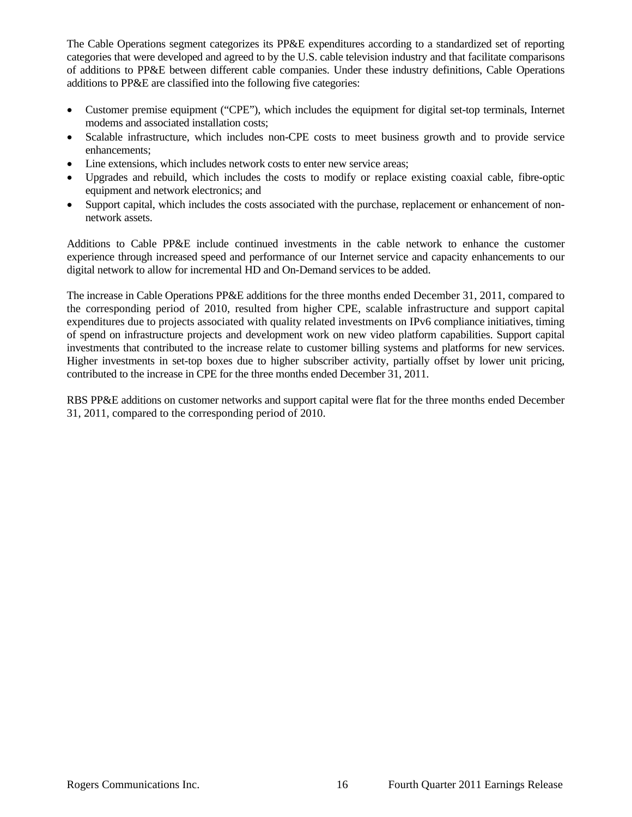The Cable Operations segment categorizes its PP&E expenditures according to a standardized set of reporting categories that were developed and agreed to by the U.S. cable television industry and that facilitate comparisons of additions to PP&E between different cable companies. Under these industry definitions, Cable Operations additions to PP&E are classified into the following five categories:

- Customer premise equipment ("CPE"), which includes the equipment for digital set-top terminals, Internet modems and associated installation costs;
- Scalable infrastructure, which includes non-CPE costs to meet business growth and to provide service enhancements;
- Line extensions, which includes network costs to enter new service areas;
- Upgrades and rebuild, which includes the costs to modify or replace existing coaxial cable, fibre-optic equipment and network electronics; and
- Support capital, which includes the costs associated with the purchase, replacement or enhancement of nonnetwork assets.

Additions to Cable PP&E include continued investments in the cable network to enhance the customer experience through increased speed and performance of our Internet service and capacity enhancements to our digital network to allow for incremental HD and On-Demand services to be added.

The increase in Cable Operations PP&E additions for the three months ended December 31, 2011, compared to the corresponding period of 2010, resulted from higher CPE, scalable infrastructure and support capital expenditures due to projects associated with quality related investments on IPv6 compliance initiatives, timing of spend on infrastructure projects and development work on new video platform capabilities. Support capital investments that contributed to the increase relate to customer billing systems and platforms for new services. Higher investments in set-top boxes due to higher subscriber activity, partially offset by lower unit pricing, contributed to the increase in CPE for the three months ended December 31, 2011.

RBS PP&E additions on customer networks and support capital were flat for the three months ended December 31, 2011, compared to the corresponding period of 2010.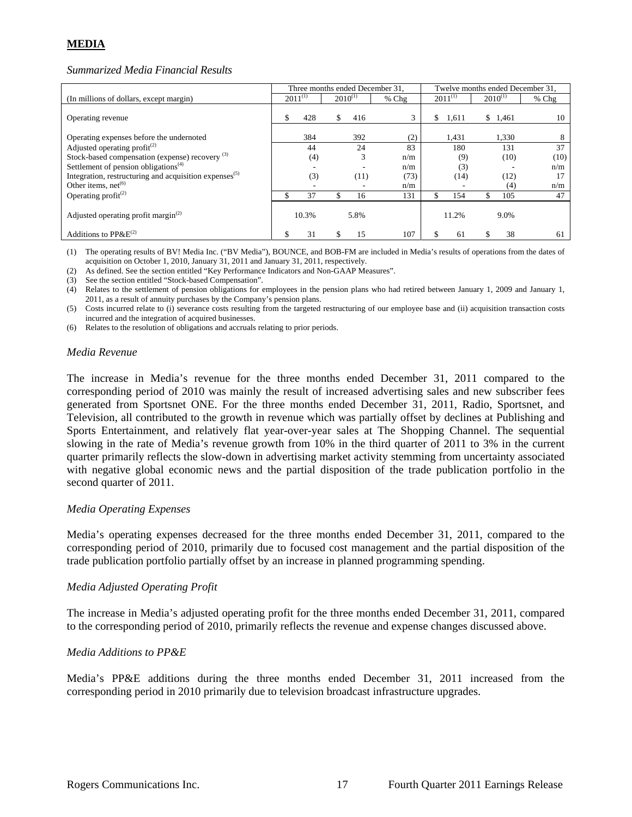# **MEDIA**

#### *Summarized Media Financial Results*

|                                                                    |              |       |              |      | Three months ended December 31, | Twelve months ended December 31, |              |   |              |       |
|--------------------------------------------------------------------|--------------|-------|--------------|------|---------------------------------|----------------------------------|--------------|---|--------------|-------|
| (In millions of dollars, except margin)                            | $2011^{(1)}$ |       | $2010^{(1)}$ |      | $%$ Chg                         |                                  | $2011^{(1)}$ |   | $2010^{(1)}$ | % Chg |
| Operating revenue                                                  |              | 428   | \$           | 416  |                                 | \$                               | 1,611        | S | 1.461        | 10    |
| Operating expenses before the undernoted                           |              | 384   |              | 392  | (2)                             |                                  | 1,431        |   | 1,330        | 8     |
| Adjusted operating profit <sup>(2)</sup>                           |              | 44    |              | 24   | 83                              |                                  | 180          |   | 131          | 37    |
| Stock-based compensation (expense) recovery <sup>(3)</sup>         |              | (4)   |              | 3    | n/m                             |                                  | (9)          |   | (10)         | (10)  |
| Settlement of pension obligations <sup>(4)</sup>                   |              |       |              |      | n/m                             |                                  | (3)          |   |              | n/m   |
| Integration, restructuring and acquisition expenses <sup>(5)</sup> |              | (3)   |              | (11) | (73)                            |                                  | (14)         |   | (12)         |       |
| Other items, $net^{(6)}$                                           |              |       |              |      | n/m                             |                                  |              |   | (4)          | n/m   |
| Operating profit <sup>(2)</sup>                                    |              | 37    |              | 16   | 131                             |                                  | 154          |   | 105          | 47    |
| Adjusted operating profit margin <sup>(2)</sup>                    |              | 10.3% |              | 5.8% |                                 |                                  | 11.2%        |   | 9.0%         |       |
| Additions to $PPAE^{(2)}$                                          |              | 31    |              | 15   | 107                             |                                  | 61           |   | 38           | 61    |

(1) The operating results of BV! Media Inc. ("BV Media"), BOUNCE, and BOB-FM are included in Media's results of operations from the dates of acquisition on October 1, 2010, January 31, 2011 and January 31, 2011, respectively.

(2) As defined. See the section entitled "Key Performance Indicators and Non-GAAP Measures".

(3) See the section entitled "Stock-based Compensation".

(4) Relates to the settlement of pension obligations for employees in the pension plans who had retired between January 1, 2009 and January 1, 2011, as a result of annuity purchases by the Company's pension plans.

(5) Costs incurred relate to (i) severance costs resulting from the targeted restructuring of our employee base and (ii) acquisition transaction costs incurred and the integration of acquired businesses.

(6) Relates to the resolution of obligations and accruals relating to prior periods.

#### *Media Revenue*

The increase in Media's revenue for the three months ended December 31, 2011 compared to the corresponding period of 2010 was mainly the result of increased advertising sales and new subscriber fees generated from Sportsnet ONE. For the three months ended December 31, 2011, Radio, Sportsnet, and Television, all contributed to the growth in revenue which was partially offset by declines at Publishing and Sports Entertainment, and relatively flat year-over-year sales at The Shopping Channel. The sequential slowing in the rate of Media's revenue growth from 10% in the third quarter of 2011 to 3% in the current quarter primarily reflects the slow-down in advertising market activity stemming from uncertainty associated with negative global economic news and the partial disposition of the trade publication portfolio in the second quarter of 2011.

#### *Media Operating Expenses*

Media's operating expenses decreased for the three months ended December 31, 2011, compared to the corresponding period of 2010, primarily due to focused cost management and the partial disposition of the trade publication portfolio partially offset by an increase in planned programming spending.

#### *Media Adjusted Operating Profit*

The increase in Media's adjusted operating profit for the three months ended December 31, 2011, compared to the corresponding period of 2010, primarily reflects the revenue and expense changes discussed above.

#### *Media Additions to PP&E*

Media's PP&E additions during the three months ended December 31, 2011 increased from the corresponding period in 2010 primarily due to television broadcast infrastructure upgrades.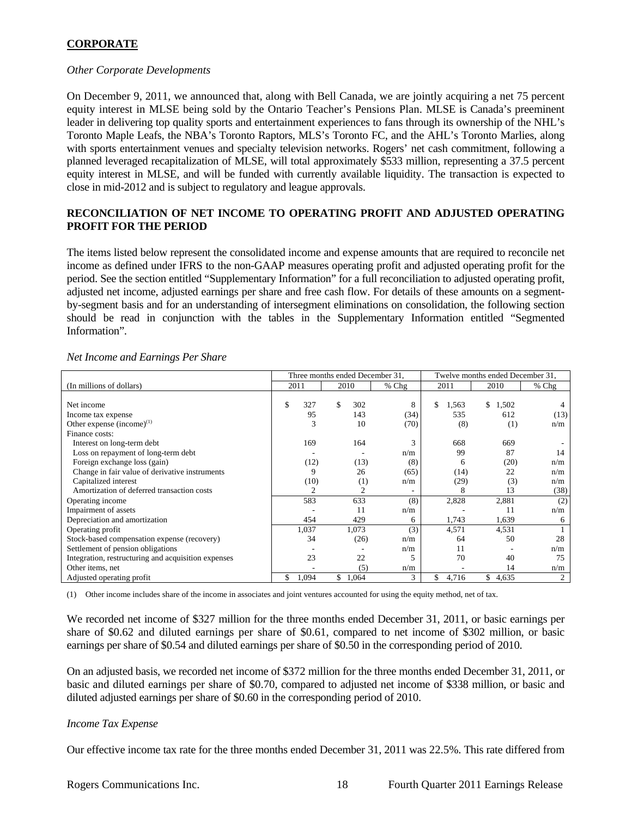# **CORPORATE**

### *Other Corporate Developments*

On December 9, 2011, we announced that, along with Bell Canada, we are jointly acquiring a net 75 percent equity interest in MLSE being sold by the Ontario Teacher's Pensions Plan. MLSE is Canada's preeminent leader in delivering top quality sports and entertainment experiences to fans through its ownership of the NHL's Toronto Maple Leafs, the NBA's Toronto Raptors, MLS's Toronto FC, and the AHL's Toronto Marlies, along with sports entertainment venues and specialty television networks. Rogers' net cash commitment, following a planned leveraged recapitalization of MLSE, will total approximately \$533 million, representing a 37.5 percent equity interest in MLSE, and will be funded with currently available liquidity. The transaction is expected to close in mid-2012 and is subject to regulatory and league approvals.

# **RECONCILIATION OF NET INCOME TO OPERATING PROFIT AND ADJUSTED OPERATING PROFIT FOR THE PERIOD**

The items listed below represent the consolidated income and expense amounts that are required to reconcile net income as defined under IFRS to the non-GAAP measures operating profit and adjusted operating profit for the period. See the section entitled "Supplementary Information" for a full reconciliation to adjusted operating profit, adjusted net income, adjusted earnings per share and free cash flow. For details of these amounts on a segmentby-segment basis and for an understanding of intersegment eliminations on consolidation, the following section should be read in conjunction with the tables in the Supplementary Information entitled "Segmented Information".

|                                                     | Three months ended December 31, |                |       |             | Twelve months ended December 31, |       |
|-----------------------------------------------------|---------------------------------|----------------|-------|-------------|----------------------------------|-------|
| (In millions of dollars)                            | 2011                            | 2010           | % Chg | 2011        | 2010                             | % Chg |
|                                                     |                                 |                |       |             |                                  |       |
| Net income                                          | 327<br>S                        | 302<br>\$.     | 8     | \$<br>1,563 | \$<br>1,502                      |       |
| Income tax expense                                  | 95                              | 143            | (34)  | 535         | 612                              | (13)  |
| Other expense $(income)^{(1)}$                      | 3                               | 10             | (70)  | (8)         | (1)                              | n/m   |
| Finance costs:                                      |                                 |                |       |             |                                  |       |
| Interest on long-term debt                          | 169                             | 164            |       | 668         | 669                              |       |
| Loss on repayment of long-term debt                 |                                 |                | n/m   | 99          | 87                               | 14    |
| Foreign exchange loss (gain)                        | (12)                            | (13)           | (8)   | 6           | (20)                             | n/m   |
| Change in fair value of derivative instruments      | 9                               | 26             | (65)  | (14)        | 22                               | n/m   |
| Capitalized interest                                | (10)                            | (1)            | n/m   | (29)        | (3)                              | n/m   |
| Amortization of deferred transaction costs          | $\overline{c}$                  | $\overline{2}$ |       | 8           | 13                               | (38)  |
| Operating income                                    | 583                             | 633            | (8)   | 2,828       | 2,881                            | (2)   |
| Impairment of assets                                |                                 | 11             | n/m   |             | 11                               | n/m   |
| Depreciation and amortization                       | 454                             | 429            | 6     | 1,743       | 1,639                            | 6     |
| Operating profit                                    | 1,037                           | 1,073          | (3)   | 4,571       | 4,531                            |       |
| Stock-based compensation expense (recovery)         | 34                              | (26)           | n/m   | 64          | 50                               | 28    |
| Settlement of pension obligations                   |                                 |                | n/m   | 11          |                                  | n/m   |
| Integration, restructuring and acquisition expenses | 23                              | 22             |       | 70          | 40                               | 75    |
| Other items, net                                    |                                 | (5)            | n/m   |             | 14                               | n/m   |
| Adjusted operating profit                           | 1,094                           | \$<br>1,064    | 3     | 4,716<br>S  | \$<br>4,635                      | 2     |

*Net Income and Earnings Per Share* 

(1) Other income includes share of the income in associates and joint ventures accounted for using the equity method, net of tax.

We recorded net income of \$327 million for the three months ended December 31, 2011, or basic earnings per share of \$0.62 and diluted earnings per share of \$0.61, compared to net income of \$302 million, or basic earnings per share of \$0.54 and diluted earnings per share of \$0.50 in the corresponding period of 2010.

On an adjusted basis, we recorded net income of \$372 million for the three months ended December 31, 2011, or basic and diluted earnings per share of \$0.70, compared to adjusted net income of \$338 million, or basic and diluted adjusted earnings per share of \$0.60 in the corresponding period of 2010.

# *Income Tax Expense*

Our effective income tax rate for the three months ended December 31, 2011 was 22.5%. This rate differed from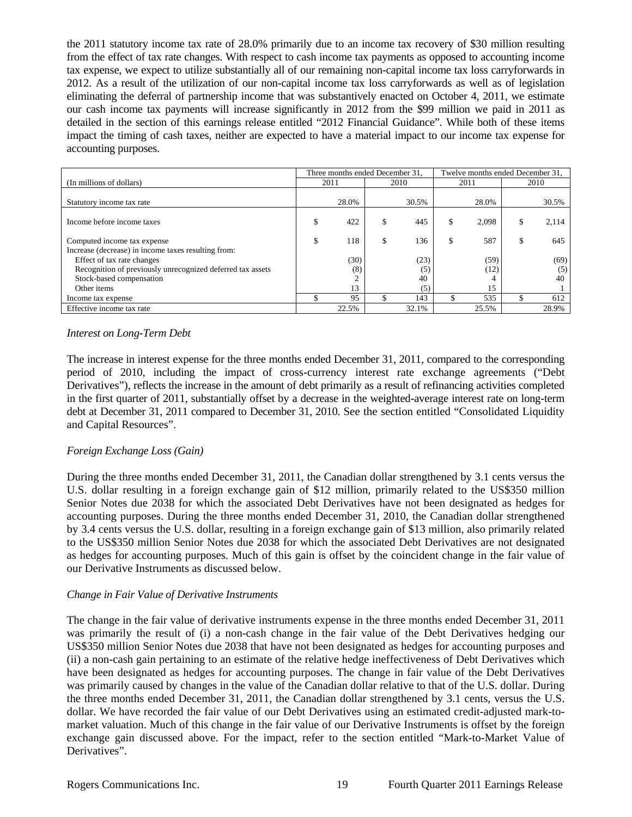the 2011 statutory income tax rate of 28.0% primarily due to an income tax recovery of \$30 million resulting from the effect of tax rate changes. With respect to cash income tax payments as opposed to accounting income tax expense, we expect to utilize substantially all of our remaining non-capital income tax loss carryforwards in 2012. As a result of the utilization of our non-capital income tax loss carryforwards as well as of legislation eliminating the deferral of partnership income that was substantively enacted on October 4, 2011, we estimate our cash income tax payments will increase significantly in 2012 from the \$99 million we paid in 2011 as detailed in the section of this earnings release entitled "2012 Financial Guidance". While both of these items impact the timing of cash taxes, neither are expected to have a material impact to our income tax expense for accounting purposes.

|                                                            |    | Three months ended December 31, |           | Twelve months ended December 31. |       |    |       |
|------------------------------------------------------------|----|---------------------------------|-----------|----------------------------------|-------|----|-------|
| (In millions of dollars)                                   |    | 2011                            | 2010      |                                  | 2011  |    | 2010  |
|                                                            |    |                                 |           |                                  |       |    |       |
| Statutory income tax rate                                  |    | 28.0%                           | 30.5%     |                                  | 28.0% |    | 30.5% |
| Income before income taxes                                 | ъ  | 422                             | \$<br>445 |                                  | 2.098 |    | 2.114 |
| Computed income tax expense                                | \$ | 118                             | \$<br>136 | \$                               | 587   | \$ | 645   |
| Increase (decrease) in income taxes resulting from:        |    |                                 |           |                                  |       |    |       |
| Effect of tax rate changes                                 |    | (30)                            | (23)      |                                  | (59)  |    | (69)  |
| Recognition of previously unrecognized deferred tax assets |    | (8)                             | (5)       |                                  | (12)  |    | (5)   |
| Stock-based compensation                                   |    |                                 | 40        |                                  |       |    | 40    |
| Other items                                                |    | 13                              | (5)       |                                  | 15    |    |       |
| Income tax expense                                         |    | 95                              | 143       |                                  | 535   |    | 612   |
| Effective income tax rate                                  |    | 22.5%                           | 32.1%     |                                  | 25.5% |    | 28.9% |

#### *Interest on Long-Term Debt*

The increase in interest expense for the three months ended December 31, 2011, compared to the corresponding period of 2010, including the impact of cross-currency interest rate exchange agreements ("Debt Derivatives"), reflects the increase in the amount of debt primarily as a result of refinancing activities completed in the first quarter of 2011, substantially offset by a decrease in the weighted-average interest rate on long-term debt at December 31, 2011 compared to December 31, 2010. See the section entitled "Consolidated Liquidity and Capital Resources".

# *Foreign Exchange Loss (Gain)*

During the three months ended December 31, 2011, the Canadian dollar strengthened by 3.1 cents versus the U.S. dollar resulting in a foreign exchange gain of \$12 million, primarily related to the US\$350 million Senior Notes due 2038 for which the associated Debt Derivatives have not been designated as hedges for accounting purposes. During the three months ended December 31, 2010, the Canadian dollar strengthened by 3.4 cents versus the U.S. dollar, resulting in a foreign exchange gain of \$13 million, also primarily related to the US\$350 million Senior Notes due 2038 for which the associated Debt Derivatives are not designated as hedges for accounting purposes. Much of this gain is offset by the coincident change in the fair value of our Derivative Instruments as discussed below.

#### *Change in Fair Value of Derivative Instruments*

The change in the fair value of derivative instruments expense in the three months ended December 31, 2011 was primarily the result of (i) a non-cash change in the fair value of the Debt Derivatives hedging our US\$350 million Senior Notes due 2038 that have not been designated as hedges for accounting purposes and (ii) a non-cash gain pertaining to an estimate of the relative hedge ineffectiveness of Debt Derivatives which have been designated as hedges for accounting purposes. The change in fair value of the Debt Derivatives was primarily caused by changes in the value of the Canadian dollar relative to that of the U.S. dollar. During the three months ended December 31, 2011, the Canadian dollar strengthened by 3.1 cents, versus the U.S. dollar. We have recorded the fair value of our Debt Derivatives using an estimated credit-adjusted mark-tomarket valuation. Much of this change in the fair value of our Derivative Instruments is offset by the foreign exchange gain discussed above. For the impact, refer to the section entitled "Mark-to-Market Value of Derivatives".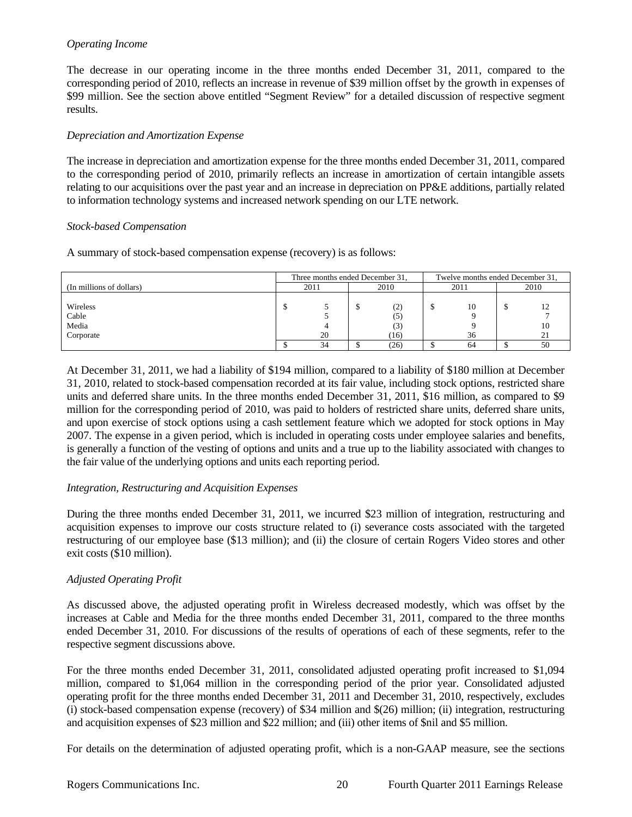# *Operating Income*

The decrease in our operating income in the three months ended December 31, 2011, compared to the corresponding period of 2010, reflects an increase in revenue of \$39 million offset by the growth in expenses of \$99 million. See the section above entitled "Segment Review" for a detailed discussion of respective segment results.

## *Depreciation and Amortization Expense*

The increase in depreciation and amortization expense for the three months ended December 31, 2011, compared to the corresponding period of 2010, primarily reflects an increase in amortization of certain intangible assets relating to our acquisitions over the past year and an increase in depreciation on PP&E additions, partially related to information technology systems and increased network spending on our LTE network.

#### *Stock-based Compensation*

A summary of stock-based compensation expense (recovery) is as follows:

|                          | Three months ended December 31, |    |      |      | Twelve months ended December 31, |    |      |    |
|--------------------------|---------------------------------|----|------|------|----------------------------------|----|------|----|
| (In millions of dollars) | 2011                            |    | 2010 |      | 2011                             |    | 2010 |    |
|                          |                                 |    |      |      |                                  |    |      |    |
| Wireless                 |                                 |    |      | (2)  | D                                | 10 |      |    |
| Cable                    |                                 |    |      | (C)  |                                  |    |      |    |
| Media                    |                                 |    |      |      |                                  |    |      |    |
| Corporate                |                                 | 20 |      | (16) |                                  | 36 |      |    |
|                          |                                 | 34 |      | (26) |                                  | 64 |      | 50 |

At December 31, 2011, we had a liability of \$194 million, compared to a liability of \$180 million at December 31, 2010, related to stock-based compensation recorded at its fair value, including stock options, restricted share units and deferred share units. In the three months ended December 31, 2011, \$16 million, as compared to \$9 million for the corresponding period of 2010, was paid to holders of restricted share units, deferred share units, and upon exercise of stock options using a cash settlement feature which we adopted for stock options in May 2007. The expense in a given period, which is included in operating costs under employee salaries and benefits, is generally a function of the vesting of options and units and a true up to the liability associated with changes to the fair value of the underlying options and units each reporting period.

# *Integration, Restructuring and Acquisition Expenses*

During the three months ended December 31, 2011, we incurred \$23 million of integration, restructuring and acquisition expenses to improve our costs structure related to (i) severance costs associated with the targeted restructuring of our employee base (\$13 million); and (ii) the closure of certain Rogers Video stores and other exit costs (\$10 million).

# *Adjusted Operating Profit*

As discussed above, the adjusted operating profit in Wireless decreased modestly, which was offset by the increases at Cable and Media for the three months ended December 31, 2011, compared to the three months ended December 31, 2010. For discussions of the results of operations of each of these segments, refer to the respective segment discussions above.

For the three months ended December 31, 2011, consolidated adjusted operating profit increased to \$1,094 million, compared to \$1,064 million in the corresponding period of the prior year. Consolidated adjusted operating profit for the three months ended December 31, 2011 and December 31, 2010, respectively, excludes (i) stock-based compensation expense (recovery) of \$34 million and \$(26) million; (ii) integration, restructuring and acquisition expenses of \$23 million and \$22 million; and (iii) other items of \$nil and \$5 million.

For details on the determination of adjusted operating profit, which is a non-GAAP measure, see the sections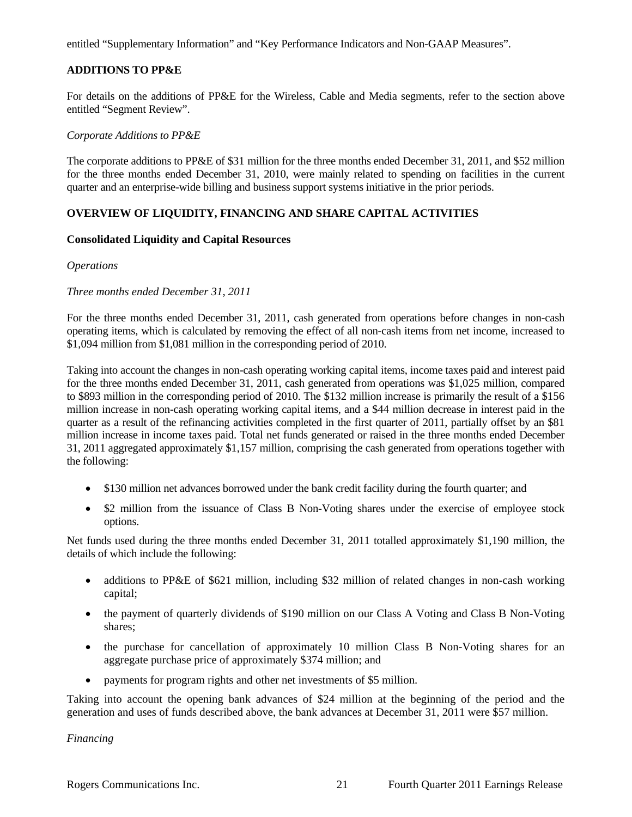entitled "Supplementary Information" and "Key Performance Indicators and Non-GAAP Measures".

# **ADDITIONS TO PP&E**

For details on the additions of PP&E for the Wireless, Cable and Media segments, refer to the section above entitled "Segment Review".

#### *Corporate Additions to PP&E*

The corporate additions to PP&E of \$31 million for the three months ended December 31, 2011, and \$52 million for the three months ended December 31, 2010, were mainly related to spending on facilities in the current quarter and an enterprise-wide billing and business support systems initiative in the prior periods.

# **OVERVIEW OF LIQUIDITY, FINANCING AND SHARE CAPITAL ACTIVITIES**

#### **Consolidated Liquidity and Capital Resources**

#### *Operations*

#### *Three months ended December 31, 2011*

For the three months ended December 31, 2011, cash generated from operations before changes in non-cash operating items, which is calculated by removing the effect of all non-cash items from net income, increased to \$1,094 million from \$1,081 million in the corresponding period of 2010.

Taking into account the changes in non-cash operating working capital items, income taxes paid and interest paid for the three months ended December 31, 2011, cash generated from operations was \$1,025 million, compared to \$893 million in the corresponding period of 2010. The \$132 million increase is primarily the result of a \$156 million increase in non-cash operating working capital items, and a \$44 million decrease in interest paid in the quarter as a result of the refinancing activities completed in the first quarter of 2011, partially offset by an \$81 million increase in income taxes paid. Total net funds generated or raised in the three months ended December 31, 2011 aggregated approximately \$1,157 million, comprising the cash generated from operations together with the following:

- \$130 million net advances borrowed under the bank credit facility during the fourth quarter; and
- \$2 million from the issuance of Class B Non-Voting shares under the exercise of employee stock options.

Net funds used during the three months ended December 31, 2011 totalled approximately \$1,190 million, the details of which include the following:

- additions to PP&E of \$621 million, including \$32 million of related changes in non-cash working capital;
- the payment of quarterly dividends of \$190 million on our Class A Voting and Class B Non-Voting shares;
- the purchase for cancellation of approximately 10 million Class B Non-Voting shares for an aggregate purchase price of approximately \$374 million; and
- payments for program rights and other net investments of \$5 million.

Taking into account the opening bank advances of \$24 million at the beginning of the period and the generation and uses of funds described above, the bank advances at December 31, 2011 were \$57 million.

*Financing*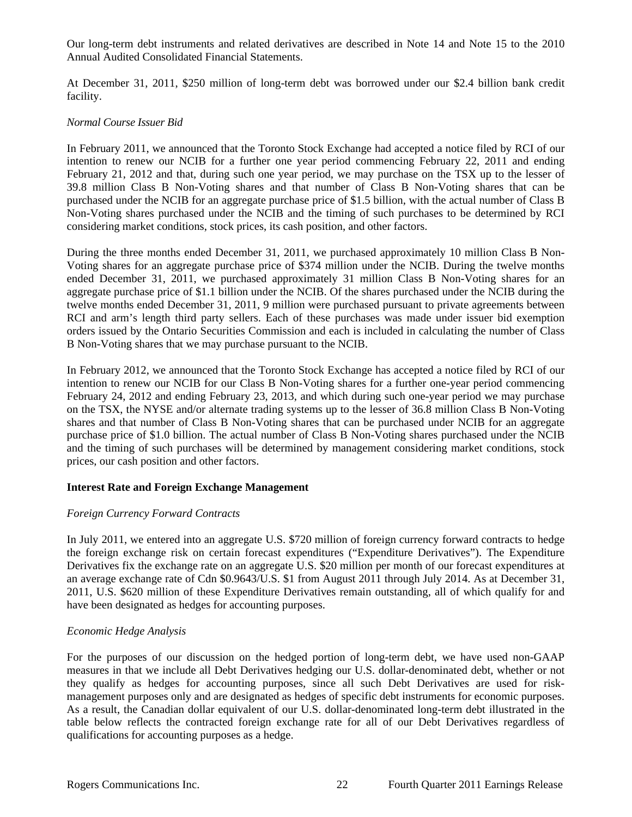Our long-term debt instruments and related derivatives are described in Note 14 and Note 15 to the 2010 Annual Audited Consolidated Financial Statements.

At December 31, 2011, \$250 million of long-term debt was borrowed under our \$2.4 billion bank credit facility.

# *Normal Course Issuer Bid*

In February 2011, we announced that the Toronto Stock Exchange had accepted a notice filed by RCI of our intention to renew our NCIB for a further one year period commencing February 22, 2011 and ending February 21, 2012 and that, during such one year period, we may purchase on the TSX up to the lesser of 39.8 million Class B Non-Voting shares and that number of Class B Non-Voting shares that can be purchased under the NCIB for an aggregate purchase price of \$1.5 billion, with the actual number of Class B Non-Voting shares purchased under the NCIB and the timing of such purchases to be determined by RCI considering market conditions, stock prices, its cash position, and other factors.

During the three months ended December 31, 2011, we purchased approximately 10 million Class B Non-Voting shares for an aggregate purchase price of \$374 million under the NCIB. During the twelve months ended December 31, 2011, we purchased approximately 31 million Class B Non-Voting shares for an aggregate purchase price of \$1.1 billion under the NCIB. Of the shares purchased under the NCIB during the twelve months ended December 31, 2011, 9 million were purchased pursuant to private agreements between RCI and arm's length third party sellers. Each of these purchases was made under issuer bid exemption orders issued by the Ontario Securities Commission and each is included in calculating the number of Class B Non-Voting shares that we may purchase pursuant to the NCIB.

In February 2012, we announced that the Toronto Stock Exchange has accepted a notice filed by RCI of our intention to renew our NCIB for our Class B Non-Voting shares for a further one-year period commencing February 24, 2012 and ending February 23, 2013, and which during such one-year period we may purchase on the TSX, the NYSE and/or alternate trading systems up to the lesser of 36.8 million Class B Non-Voting shares and that number of Class B Non-Voting shares that can be purchased under NCIB for an aggregate purchase price of \$1.0 billion. The actual number of Class B Non-Voting shares purchased under the NCIB and the timing of such purchases will be determined by management considering market conditions, stock prices, our cash position and other factors.

# **Interest Rate and Foreign Exchange Management**

# *Foreign Currency Forward Contracts*

In July 2011, we entered into an aggregate U.S. \$720 million of foreign currency forward contracts to hedge the foreign exchange risk on certain forecast expenditures ("Expenditure Derivatives"). The Expenditure Derivatives fix the exchange rate on an aggregate U.S. \$20 million per month of our forecast expenditures at an average exchange rate of Cdn \$0.9643/U.S. \$1 from August 2011 through July 2014. As at December 31, 2011, U.S. \$620 million of these Expenditure Derivatives remain outstanding, all of which qualify for and have been designated as hedges for accounting purposes.

# *Economic Hedge Analysis*

For the purposes of our discussion on the hedged portion of long-term debt, we have used non-GAAP measures in that we include all Debt Derivatives hedging our U.S. dollar-denominated debt, whether or not they qualify as hedges for accounting purposes, since all such Debt Derivatives are used for riskmanagement purposes only and are designated as hedges of specific debt instruments for economic purposes. As a result, the Canadian dollar equivalent of our U.S. dollar-denominated long-term debt illustrated in the table below reflects the contracted foreign exchange rate for all of our Debt Derivatives regardless of qualifications for accounting purposes as a hedge.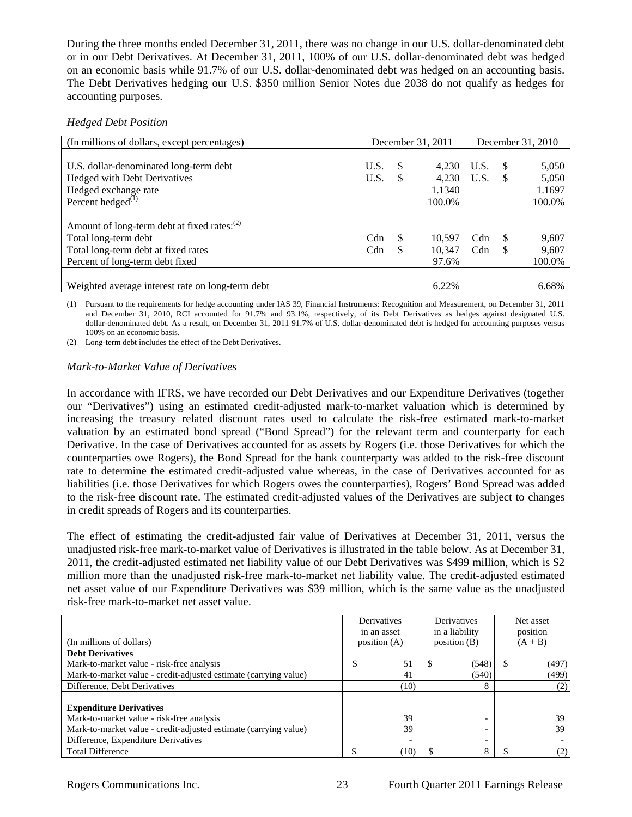During the three months ended December 31, 2011, there was no change in our U.S. dollar-denominated debt or in our Debt Derivatives. At December 31, 2011, 100% of our U.S. dollar-denominated debt was hedged on an economic basis while 91.7% of our U.S. dollar-denominated debt was hedged on an accounting basis. The Debt Derivatives hedging our U.S. \$350 million Senior Notes due 2038 do not qualify as hedges for accounting purposes.

# *Hedged Debt Position*

| (In millions of dollars, except percentages)            | December 31, 2011 |               |        | December 31, 2010 |          |        |
|---------------------------------------------------------|-------------------|---------------|--------|-------------------|----------|--------|
|                                                         |                   |               |        |                   |          |        |
| U.S. dollar-denominated long-term debt                  | U.S.              | S             | 4,230  | U.S.              | \$.      | 5,050  |
| Hedged with Debt Derivatives                            | U.S.              | <sup>\$</sup> | 4,230  | U.S.              | \$       | 5,050  |
| Hedged exchange rate                                    |                   |               | 1.1340 |                   |          | 1.1697 |
| Percent hedged $^{(1)}$                                 |                   |               | 100.0% |                   |          | 100.0% |
|                                                         |                   |               |        |                   |          |        |
| Amount of long-term debt at fixed rates: <sup>(2)</sup> |                   |               |        |                   |          |        |
| Total long-term debt                                    | Cdn               | S             | 10,597 | Cdn               | <b>S</b> | 9,607  |
| Total long-term debt at fixed rates                     | Cdn               |               | 10,347 | Cdn               |          | 9,607  |
| Percent of long-term debt fixed                         |                   |               | 97.6%  |                   |          | 100.0% |
|                                                         |                   |               |        |                   |          |        |
| Weighted average interest rate on long-term debt        |                   |               | 6.22%  |                   |          | 6.68%  |

(1) Pursuant to the requirements for hedge accounting under IAS 39, Financial Instruments: Recognition and Measurement, on December 31, 2011 and December 31, 2010, RCI accounted for 91.7% and 93.1%, respectively, of its Debt Derivatives as hedges against designated U.S. dollar-denominated debt. As a result, on December 31, 2011 91.7% of U.S. dollar-denominated debt is hedged for accounting purposes versus 100% on an economic basis.

(2) Long-term debt includes the effect of the Debt Derivatives.

# *Mark-to-Market Value of Derivatives*

In accordance with IFRS, we have recorded our Debt Derivatives and our Expenditure Derivatives (together our "Derivatives") using an estimated credit-adjusted mark-to-market valuation which is determined by increasing the treasury related discount rates used to calculate the risk-free estimated mark-to-market valuation by an estimated bond spread ("Bond Spread") for the relevant term and counterparty for each Derivative. In the case of Derivatives accounted for as assets by Rogers (i.e. those Derivatives for which the counterparties owe Rogers), the Bond Spread for the bank counterparty was added to the risk-free discount rate to determine the estimated credit-adjusted value whereas, in the case of Derivatives accounted for as liabilities (i.e. those Derivatives for which Rogers owes the counterparties), Rogers' Bond Spread was added to the risk-free discount rate. The estimated credit-adjusted values of the Derivatives are subject to changes in credit spreads of Rogers and its counterparties.

The effect of estimating the credit-adjusted fair value of Derivatives at December 31, 2011, versus the unadjusted risk-free mark-to-market value of Derivatives is illustrated in the table below. As at December 31, 2011, the credit-adjusted estimated net liability value of our Debt Derivatives was \$499 million, which is \$2 million more than the unadjusted risk-free mark-to-market net liability value. The credit-adjusted estimated net asset value of our Expenditure Derivatives was \$39 million, which is the same value as the unadjusted risk-free mark-to-market net asset value.

|                                                                  | Derivatives<br>in an asset | <b>Derivatives</b><br>in a liability | Net asset<br>position |
|------------------------------------------------------------------|----------------------------|--------------------------------------|-----------------------|
| (In millions of dollars)                                         | position $(A)$             | position $(B)$                       | $(A + B)$             |
| <b>Debt Derivatives</b>                                          |                            |                                      |                       |
| Mark-to-market value - risk-free analysis                        | 51<br>S                    | (548)                                | (497)                 |
| Mark-to-market value - credit-adjusted estimate (carrying value) | 41                         | (540)                                | (499)                 |
| Difference, Debt Derivatives                                     | (10)                       | 8                                    | (2)                   |
|                                                                  |                            |                                      |                       |
| <b>Expenditure Derivatives</b>                                   |                            |                                      |                       |
| Mark-to-market value - risk-free analysis                        | 39                         | -                                    | 39                    |
| Mark-to-market value - credit-adjusted estimate (carrying value) | 39                         | $\overline{\phantom{0}}$             | 39                    |
| Difference, Expenditure Derivatives                              |                            | $\overline{\phantom{0}}$             |                       |
| <b>Total Difference</b>                                          | (10)                       | 8                                    | (2)                   |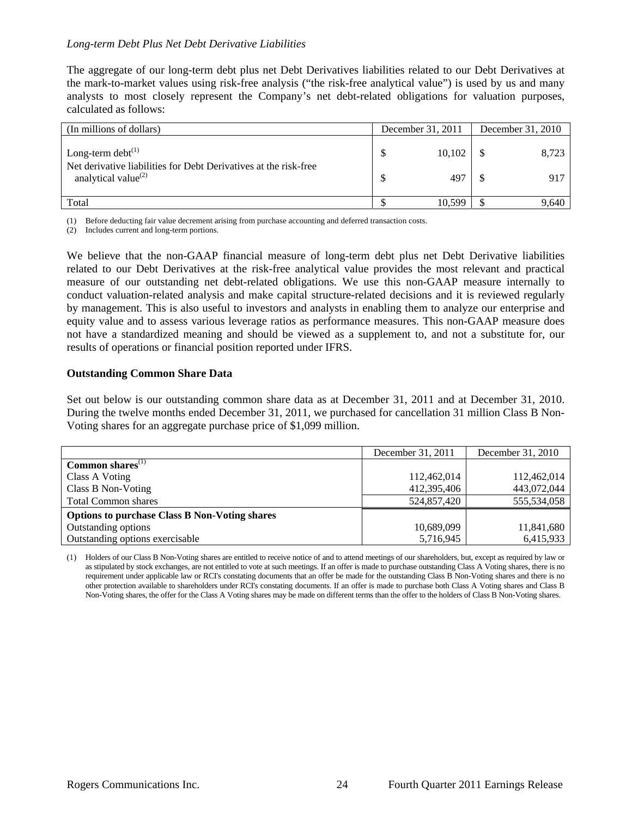## *Long-term Debt Plus Net Debt Derivative Liabilities*

The aggregate of our long-term debt plus net Debt Derivatives liabilities related to our Debt Derivatives at the mark-to-market values using risk-free analysis ("the risk-free analytical value") is used by us and many analysts to most closely represent the Company's net debt-related obligations for valuation purposes, calculated as follows:

| (In millions of dollars)                                                                    | December 31, 2011 |        | December 31, 2010 |       |  |
|---------------------------------------------------------------------------------------------|-------------------|--------|-------------------|-------|--|
| Long-term debt $^{(1)}$<br>Net derivative liabilities for Debt Derivatives at the risk-free |                   | 10.102 |                   | 8,723 |  |
| analytical value $^{(2)}$                                                                   |                   | 497    |                   | 917   |  |
| Total                                                                                       |                   | 10.599 |                   | 9,640 |  |

(1) Before deducting fair value decrement arising from purchase accounting and deferred transaction costs.

(2) Includes current and long-term portions.

We believe that the non-GAAP financial measure of long-term debt plus net Debt Derivative liabilities related to our Debt Derivatives at the risk-free analytical value provides the most relevant and practical measure of our outstanding net debt-related obligations. We use this non-GAAP measure internally to conduct valuation-related analysis and make capital structure-related decisions and it is reviewed regularly by management. This is also useful to investors and analysts in enabling them to analyze our enterprise and equity value and to assess various leverage ratios as performance measures. This non-GAAP measure does not have a standardized meaning and should be viewed as a supplement to, and not a substitute for, our results of operations or financial position reported under IFRS.

#### **Outstanding Common Share Data**

Set out below is our outstanding common share data as at December 31, 2011 and at December 31, 2010. During the twelve months ended December 31, 2011, we purchased for cancellation 31 million Class B Non-Voting shares for an aggregate purchase price of \$1,099 million.

|                                                      | December 31, 2011 | December 31, 2010 |
|------------------------------------------------------|-------------------|-------------------|
| Common shares $(1)$                                  |                   |                   |
| Class A Voting                                       | 112,462,014       | 112,462,014       |
| Class B Non-Voting                                   | 412,395,406       | 443,072,044       |
| <b>Total Common shares</b>                           | 524,857,420       | 555,534,058       |
| <b>Options to purchase Class B Non-Voting shares</b> |                   |                   |
| Outstanding options                                  | 10,689,099        | 11,841,680        |
| Outstanding options exercisable                      | 5,716,945         | 6,415,933         |

(1) Holders of our Class B Non-Voting shares are entitled to receive notice of and to attend meetings of our shareholders, but, except as required by law or as stipulated by stock exchanges, are not entitled to vote at such meetings. If an offer is made to purchase outstanding Class A Voting shares, there is no requirement under applicable law or RCI's constating documents that an offer be made for the outstanding Class B Non-Voting shares and there is no other protection available to shareholders under RCI's constating documents. If an offer is made to purchase both Class A Voting shares and Class B Non-Voting shares, the offer for the Class A Voting shares may be made on different terms than the offer to the holders of Class B Non-Voting shares.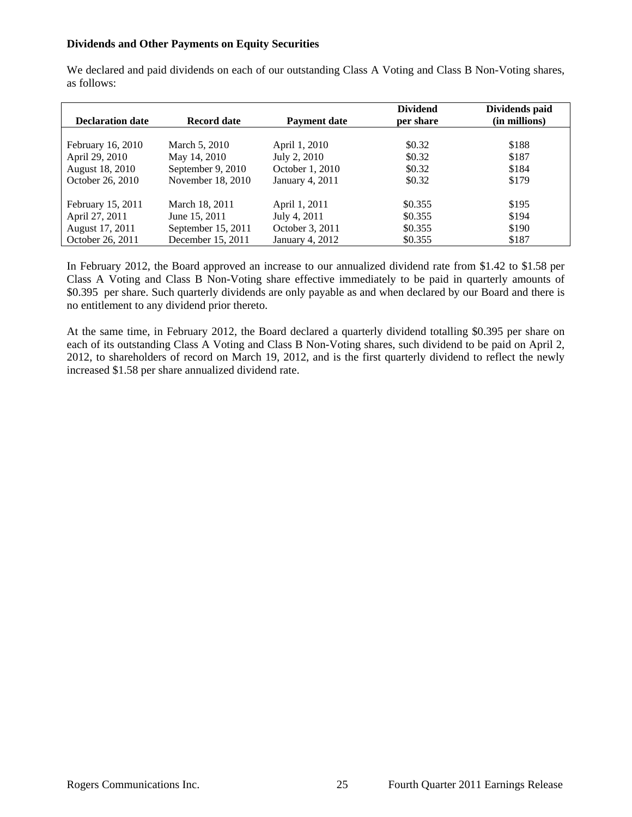## **Dividends and Other Payments on Equity Securities**

We declared and paid dividends on each of our outstanding Class A Voting and Class B Non-Voting shares, as follows:

| <b>Declaration date</b> | <b>Record date</b> | <b>Payment date</b> | <b>Dividend</b><br>per share | Dividends paid<br>(in millions) |
|-------------------------|--------------------|---------------------|------------------------------|---------------------------------|
|                         |                    |                     |                              |                                 |
| February 16, 2010       | March 5, 2010      | April 1, 2010       | \$0.32                       | \$188                           |
| April 29, 2010          | May 14, 2010       | July 2, 2010        | \$0.32                       | \$187                           |
| August 18, 2010         | September 9, 2010  | October 1, 2010     | \$0.32                       | \$184                           |
| October 26, 2010        | November 18, 2010  | January 4, 2011     | \$0.32                       | \$179                           |
| February 15, 2011       | March 18, 2011     | April 1, 2011       | \$0.355                      | \$195                           |
| April 27, 2011          | June 15, 2011      | July 4, 2011        | \$0.355                      | \$194                           |
| August 17, 2011         | September 15, 2011 | October 3, 2011     | \$0.355                      | \$190                           |
| October 26, 2011        | December 15, 2011  | January 4, 2012     | \$0.355                      | \$187                           |

In February 2012, the Board approved an increase to our annualized dividend rate from \$1.42 to \$1.58 per Class A Voting and Class B Non-Voting share effective immediately to be paid in quarterly amounts of \$0.395 per share. Such quarterly dividends are only payable as and when declared by our Board and there is no entitlement to any dividend prior thereto.

At the same time, in February 2012, the Board declared a quarterly dividend totalling \$0.395 per share on each of its outstanding Class A Voting and Class B Non-Voting shares, such dividend to be paid on April 2, 2012, to shareholders of record on March 19, 2012, and is the first quarterly dividend to reflect the newly increased \$1.58 per share annualized dividend rate.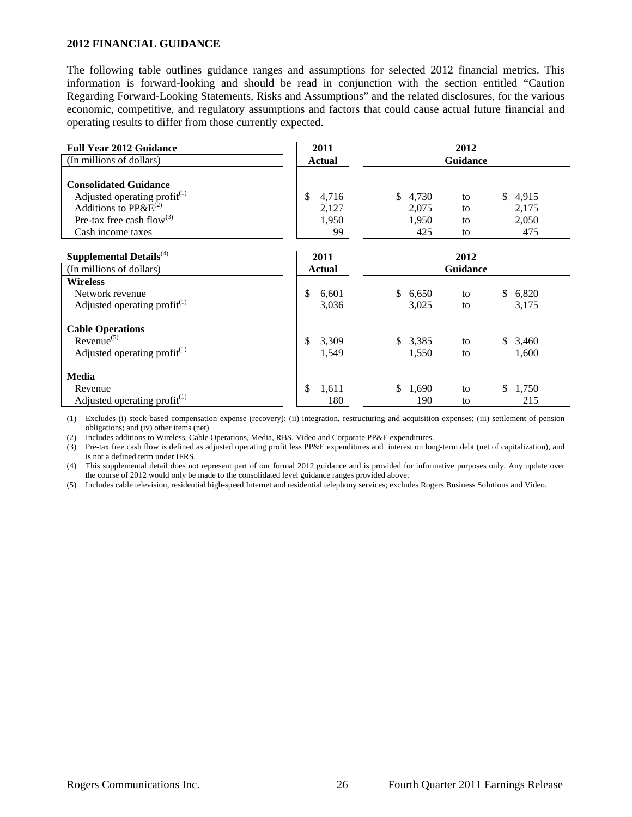#### **2012 FINANCIAL GUIDANCE**

The following table outlines guidance ranges and assumptions for selected 2012 financial metrics. This information is forward-looking and should be read in conjunction with the section entitled "Caution Regarding Forward-Looking Statements, Risks and Assumptions" and the related disclosures, for the various economic, competitive, and regulatory assumptions and factors that could cause actual future financial and operating results to differ from those currently expected.

| <b>Full Year 2012 Guidance</b>                                         | 2011   | 2012    |                 |          |  |  |  |
|------------------------------------------------------------------------|--------|---------|-----------------|----------|--|--|--|
| (In millions of dollars)                                               | Actual |         | <b>Guidance</b> |          |  |  |  |
| <b>Consolidated Guidance</b>                                           |        |         |                 |          |  |  |  |
| Adjusted operating profit <sup>(1)</sup><br>Additions to $PP\&E^{(2)}$ | 4.716  | \$4,730 | to              | \$ 4,915 |  |  |  |
|                                                                        | 2,127  | 2,075   | to              | 2,175    |  |  |  |
| Pre-tax free cash flow <sup>(3)</sup>                                  | 1,950  | 1.950   | to              | 2,050    |  |  |  |
| Cash income taxes                                                      | 99     | 425     | to              | 475      |  |  |  |
|                                                                        |        |         |                 |          |  |  |  |

| Supplemental Details $^{(4)}$            | 2011        | 2012            |         |    |              |         |
|------------------------------------------|-------------|-----------------|---------|----|--------------|---------|
| (In millions of dollars)                 | Actual      | <b>Guidance</b> |         |    |              |         |
| <b>Wireless</b>                          |             |                 |         |    |              |         |
| Network revenue                          | \$<br>6,601 | \$              | 6,650   | to | <sup>S</sup> | 6,820   |
| Adjusted operating profit <sup>(1)</sup> | 3,036       |                 | 3,025   | to |              | 3,175   |
| <b>Cable Operations</b>                  |             |                 |         |    |              |         |
| $Revenue^{(5)}$                          | 3,309<br>\$ |                 | \$3,385 | to |              | \$3,460 |
| Adjusted operating profit $(1)$          | 1,549       |                 | 1,550   | to |              | 1,600   |
| <b>Media</b>                             |             |                 |         |    |              |         |
| Revenue                                  | \$<br>1,611 | \$              | 1,690   | to | \$           | 1,750   |
| Adjusted operating profit $^{(1)}$       | 180         |                 | 190     | to |              | 215     |

(1) Excludes (i) stock-based compensation expense (recovery); (ii) integration, restructuring and acquisition expenses; (iii) settlement of pension obligations; and (iv) other items (net)

(2) Includes additions to Wireless, Cable Operations, Media, RBS, Video and Corporate PP&E expenditures.

(3) Pre-tax free cash flow is defined as adjusted operating profit less PP&E expenditures and interest on long-term debt (net of capitalization), and is not a defined term under IFRS.

(4) This supplemental detail does not represent part of our formal 2012 guidance and is provided for informative purposes only. Any update over the course of 2012 would only be made to the consolidated level guidance ranges provided above.

(5) Includes cable television, residential high-speed Internet and residential telephony services; excludes Rogers Business Solutions and Video.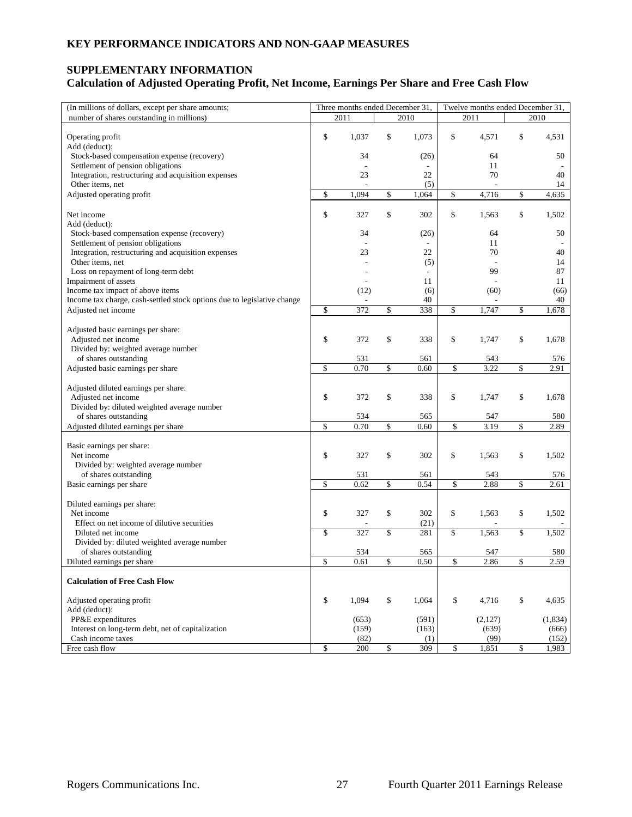# **SUPPLEMENTARY INFORMATION Calculation of Adjusted Operating Profit, Net Income, Earnings Per Share and Free Cash Flow**

| (In millions of dollars, except per share amounts;                      | Three months ended December 31, |                   | Twelve months ended December 31, |                   |
|-------------------------------------------------------------------------|---------------------------------|-------------------|----------------------------------|-------------------|
| number of shares outstanding in millions)                               | 2011                            | 2010              | 2011                             | 2010              |
|                                                                         |                                 |                   |                                  |                   |
| Operating profit                                                        | \$<br>1,037                     | \$<br>1,073       | \$<br>4,571                      | \$<br>4,531       |
| Add (deduct):                                                           |                                 |                   |                                  |                   |
| Stock-based compensation expense (recovery)                             | 34                              | (26)              | 64                               | 50                |
| Settlement of pension obligations                                       | L,                              |                   | 11                               |                   |
| Integration, restructuring and acquisition expenses                     | 23                              | 22                | 70                               | 40                |
| Other items, net                                                        |                                 | (5)               |                                  | 14                |
| Adjusted operating profit                                               | \$<br>1,094                     | \$<br>1,064       | \$<br>4,716                      | \$<br>4,635       |
| Net income                                                              | \$<br>327                       | \$<br>302         | \$<br>1,563                      | \$<br>1,502       |
| Add (deduct):                                                           |                                 |                   |                                  |                   |
| Stock-based compensation expense (recovery)                             | 34                              | (26)              | 64                               | 50                |
| Settlement of pension obligations                                       |                                 |                   | 11                               |                   |
| Integration, restructuring and acquisition expenses                     | 23                              | 22                | 70                               | 40                |
| Other items, net                                                        |                                 | (5)               |                                  | 14                |
| Loss on repayment of long-term debt                                     |                                 |                   | 99                               | 87                |
| Impairment of assets                                                    |                                 | 11                |                                  | 11                |
| Income tax impact of above items                                        | (12)                            | (6)               | (60)                             | (66)              |
| Income tax charge, cash-settled stock options due to legislative change |                                 | 40                |                                  | 40                |
| Adjusted net income                                                     | \$<br>372                       | \$<br>338         | \$<br>1,747                      | \$<br>1,678       |
|                                                                         |                                 |                   |                                  |                   |
| Adjusted basic earnings per share:                                      |                                 |                   |                                  |                   |
| Adjusted net income                                                     | \$<br>372                       | \$<br>338         | \$<br>1,747                      | \$<br>1,678       |
| Divided by: weighted average number                                     | 531                             |                   |                                  |                   |
| of shares outstanding<br>Adjusted basic earnings per share              | \$<br>0.70                      | \$<br>561<br>0.60 | \$<br>543<br>3.22                | \$<br>576<br>2.91 |
|                                                                         |                                 |                   |                                  |                   |
| Adjusted diluted earnings per share:                                    |                                 |                   |                                  |                   |
| Adjusted net income                                                     | \$<br>372                       | \$<br>338         | \$<br>1,747                      | \$<br>1,678       |
| Divided by: diluted weighted average number                             |                                 |                   |                                  |                   |
| of shares outstanding                                                   | 534                             | 565               | 547                              | 580               |
| Adjusted diluted earnings per share                                     | \$<br>0.70                      | \$<br>0.60        | \$<br>3.19                       | \$<br>2.89        |
|                                                                         |                                 |                   |                                  |                   |
| Basic earnings per share:                                               |                                 |                   |                                  |                   |
| Net income                                                              | \$<br>327                       | \$<br>302         | \$<br>1,563                      | \$<br>1,502       |
| Divided by: weighted average number                                     |                                 |                   |                                  |                   |
| of shares outstanding                                                   | 531                             | 561               | 543                              | 576               |
| Basic earnings per share                                                | \$<br>0.62                      | \$<br>0.54        | \$<br>2.88                       | \$<br>2.61        |
| Diluted earnings per share:                                             |                                 |                   |                                  |                   |
| Net income                                                              | \$<br>327                       | \$<br>302         | \$<br>1,563                      | \$<br>1,502       |
| Effect on net income of dilutive securities                             |                                 | (21)              |                                  |                   |
| Diluted net income                                                      | \$<br>327                       | \$<br>281         | \$<br>1,563                      | \$<br>1,502       |
| Divided by: diluted weighted average number                             |                                 |                   |                                  |                   |
| of shares outstanding                                                   | 534                             | 565               | 547                              | 580               |
| Diluted earnings per share                                              | \$<br>0.61                      | \$<br>0.50        | \$<br>2.86                       | \$<br>2.59        |
|                                                                         |                                 |                   |                                  |                   |
| <b>Calculation of Free Cash Flow</b>                                    |                                 |                   |                                  |                   |
| Adjusted operating profit                                               | \$<br>1,094                     | \$<br>1,064       | \$<br>4,716                      | \$<br>4,635       |
| Add (deduct):                                                           |                                 |                   |                                  |                   |
| PP&E expenditures                                                       | (653)                           | (591)             | (2,127)                          | (1,834)           |
| Interest on long-term debt, net of capitalization                       | (159)                           | (163)             | (639)                            | (666)             |
| Cash income taxes                                                       | (82)                            | (1)               | (99)                             | (152)             |
| Free cash flow                                                          | \$<br>200                       | \$<br>309         | \$<br>1,851                      | \$<br>1,983       |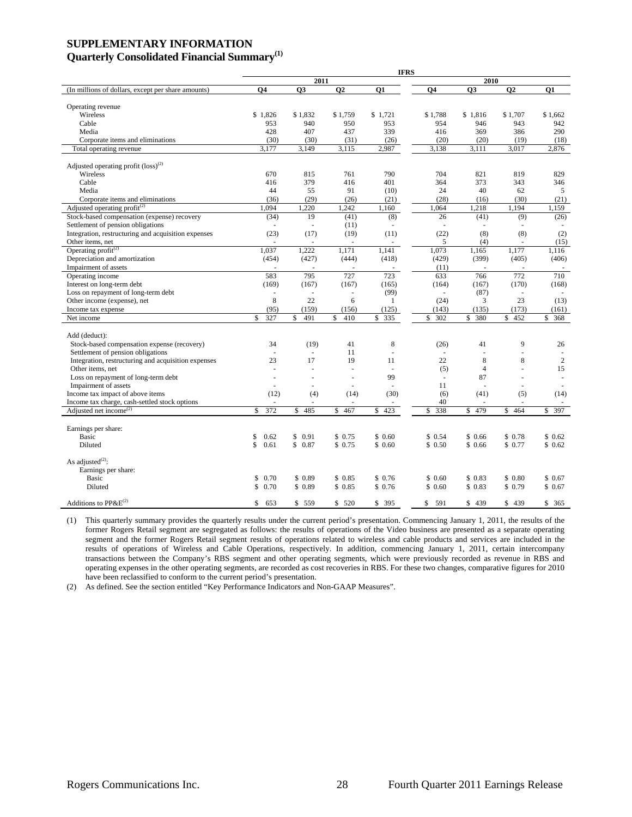## **SUPPLEMENTARY INFORMATION Quarterly Consolidated Financial Summary(1)**

|                                                     |                                |                          |                     | <b>IFRS</b>         |           |                |           |                |  |  |  |
|-----------------------------------------------------|--------------------------------|--------------------------|---------------------|---------------------|-----------|----------------|-----------|----------------|--|--|--|
|                                                     |                                | 2011                     |                     |                     |           | 2010           |           |                |  |  |  |
| (In millions of dollars, except per share amounts)  | <b>O4</b>                      | Q3                       | <b>O2</b>           | <b>O1</b>           | <b>O4</b> | <b>O3</b>      | <b>O2</b> | 01             |  |  |  |
|                                                     |                                |                          |                     |                     |           |                |           |                |  |  |  |
| Operating revenue                                   |                                |                          |                     |                     |           |                |           |                |  |  |  |
| Wireless                                            | \$1,826                        | \$1,832                  | \$1,759             | \$1,721             | \$1,788   | \$1,816        | \$1.707   | \$1.662        |  |  |  |
| Cable                                               | 953                            | 940                      | 950                 | 953                 | 954       | 946            | 943       | 942            |  |  |  |
| Media                                               | 428                            | 407                      | 437                 | 339                 | 416       | 369            | 386       | 290            |  |  |  |
| Corporate items and eliminations                    | (30)                           | (30)                     | (31)                | (26)                | (20)      | (20)           | (19)      | (18)           |  |  |  |
| Total operating revenue                             | 3,177                          | 3,149                    | 3,115               | 2,987               | 3,138     | 3,111          | 3,017     | 2,876          |  |  |  |
| Adjusted operating profit $(\text{loss})^{(2)}$     |                                |                          |                     |                     |           |                |           |                |  |  |  |
| Wireless                                            | 670                            | 815                      | 761                 | 790                 | 704       | 821            | 819       | 829            |  |  |  |
| Cable                                               | 416                            | 379                      | 416                 | 401                 | 364       | 373            | 343       | 346            |  |  |  |
| Media                                               | 44                             | 55                       | 91                  | (10)                | 24        | 40             | 62        | 5              |  |  |  |
| Corporate items and eliminations                    | (36)                           | (29)                     | (26)                | (21)                | (28)      | (16)           | (30)      | (21)           |  |  |  |
| Adjusted operating profit <sup>(2)</sup>            | 1,094                          | 1,220                    |                     | 1,160               | 1,064     | 1,218          | 1,194     | 1,159          |  |  |  |
|                                                     |                                |                          | 1,242               |                     |           |                |           |                |  |  |  |
| Stock-based compensation (expense) recovery         | (34)                           | 19                       | (41)                | (8)                 | 26        | (41)           | (9)       | (26)           |  |  |  |
| Settlement of pension obligations                   |                                | ä,                       | (11)                |                     | $\sim$    |                |           |                |  |  |  |
| Integration, restructuring and acquisition expenses | (23)                           | (17)                     | (19)                | (11)                | (22)      | (8)            | (8)       | (2)            |  |  |  |
| Other items, net                                    |                                |                          |                     |                     | 5         | (4)            | $\sim$    | (15)           |  |  |  |
| Operating profit $^{(2)}$                           | 1.037                          | 1.222                    | 1.171               | 1.141               | 1,073     | 1,165          | 1.177     | 1.116          |  |  |  |
| Depreciation and amortization                       | (454)                          | (427)                    | (444)               | (418)               | (429)     | (399)          | (405)     | (406)          |  |  |  |
| Impairment of assets                                |                                |                          |                     |                     | (11)      |                |           |                |  |  |  |
| Operating income                                    | 583                            | 795                      | 727                 | 723                 | 633       | 766            | 772       | 710            |  |  |  |
| Interest on long-term debt                          | (169)                          | (167)                    | (167)               | (165)               | (164)     | (167)          | (170)     | (168)          |  |  |  |
| Loss on repayment of long-term debt                 | $\overline{\phantom{a}}$       | $\omega$                 | ä,                  | (99)                | $\sim$    | (87)           | $\sim$    |                |  |  |  |
| Other income (expense), net                         | 8                              | 22                       | 6                   | 1                   | (24)      | 3              | 23        | (13)           |  |  |  |
| Income tax expense                                  | (95)                           | (159)                    | (156)               | (125)               | (143)     | (135)          | (173)     | (161)          |  |  |  |
| Net income                                          | 327<br>\$                      | S<br>491                 | \$<br>410           | \$335               | 302<br>\$ | \$ 380         | \$<br>452 | \$368          |  |  |  |
|                                                     |                                |                          |                     |                     |           |                |           |                |  |  |  |
| Add (deduct):                                       |                                |                          |                     |                     |           |                |           |                |  |  |  |
| Stock-based compensation expense (recovery)         | 34<br>$\overline{\phantom{a}}$ | (19)                     | 41                  | 8                   | (26)      | 41             | 9<br>÷.   | 26             |  |  |  |
| Settlement of pension obligations                   |                                | $\omega$                 | 11                  | ÷,                  | ÷         |                |           | $\sim$         |  |  |  |
| Integration, restructuring and acquisition expenses | 23                             | 17                       | 19                  | 11                  | 22        | 8              | 8         | $\overline{c}$ |  |  |  |
| Other items, net                                    | ÷.                             |                          |                     | 99                  | (5)       | $\overline{4}$ | L.        | 15             |  |  |  |
| Loss on repayment of long-term debt                 |                                | ÷,<br>÷.                 | ÷.                  |                     | ÷.        | 87             |           |                |  |  |  |
| Impairment of assets                                |                                |                          |                     |                     | 11        |                |           |                |  |  |  |
| Income tax impact of above items                    | (12)                           | (4)                      | (14)                | (30)                | (6)       | (41)           | (5)       | (14)           |  |  |  |
| Income tax charge, cash-settled stock options       | $\sim$                         | $\overline{\phantom{a}}$ | ٠                   |                     | 40        |                |           |                |  |  |  |
| Adjusted net income <sup>(2)</sup>                  | $\mathbf{\hat{S}}$<br>372      | \$485                    | $\mathbb{S}$<br>467 | $\mathbb{S}$<br>423 | 338<br>\$ | \$479          | 464<br>\$ | 397<br>\$      |  |  |  |
| Earnings per share:                                 |                                |                          |                     |                     |           |                |           |                |  |  |  |
| <b>Basic</b>                                        | \$<br>0.62                     | 0.91<br>\$               | \$0.75              | \$0.60              | \$0.54    | \$0.66         | \$0.78    | \$0.62         |  |  |  |
| Diluted                                             | \$<br>0.61                     | \$0.87                   | \$0.75              | \$0.60              | \$0.50    | \$0.66         | \$0.77    | \$0.62         |  |  |  |
|                                                     |                                |                          |                     |                     |           |                |           |                |  |  |  |
| As adjusted <sup>(2)</sup> :                        |                                |                          |                     |                     |           |                |           |                |  |  |  |
| Earnings per share:                                 |                                |                          |                     |                     |           |                |           |                |  |  |  |
| Basic                                               | S<br>0.70                      | \$0.89                   | \$0.85              | \$0.76              | \$0.60    | \$0.83         | \$0.80    | \$0.67         |  |  |  |
| Diluted                                             | \$.<br>0.70                    | \$0.89                   | \$0.85              | \$0.76              | \$0.60    | \$0.83         | \$0.79    | \$0.67         |  |  |  |
|                                                     |                                |                          |                     |                     |           |                |           |                |  |  |  |
| Additions to PP&E <sup>(2)</sup>                    | \$<br>653                      | \$559                    | \$<br>520           | \$<br>395           | \$<br>591 | s.<br>439      | \$<br>439 | \$365          |  |  |  |

(1) This quarterly summary provides the quarterly results under the current period's presentation. Commencing January 1, 2011, the results of the former Rogers Retail segment are segregated as follows: the results of operations of the Video business are presented as a separate operating segment and the former Rogers Retail segment results of operations related to wireless and cable products and services are included in the results of operations of Wireless and Cable Operations, respectively. In addition, commencing January 1, 2011, certain intercompany transactions between the Company's RBS segment and other operating segments, which were previously recorded as revenue in RBS and operating expenses in the other operating segments, are recorded as cost recoveries in RBS. For these two changes, comparative figures for 2010 have been reclassified to conform to the current period's presentation.

(2) As defined. See the section entitled "Key Performance Indicators and Non-GAAP Measures".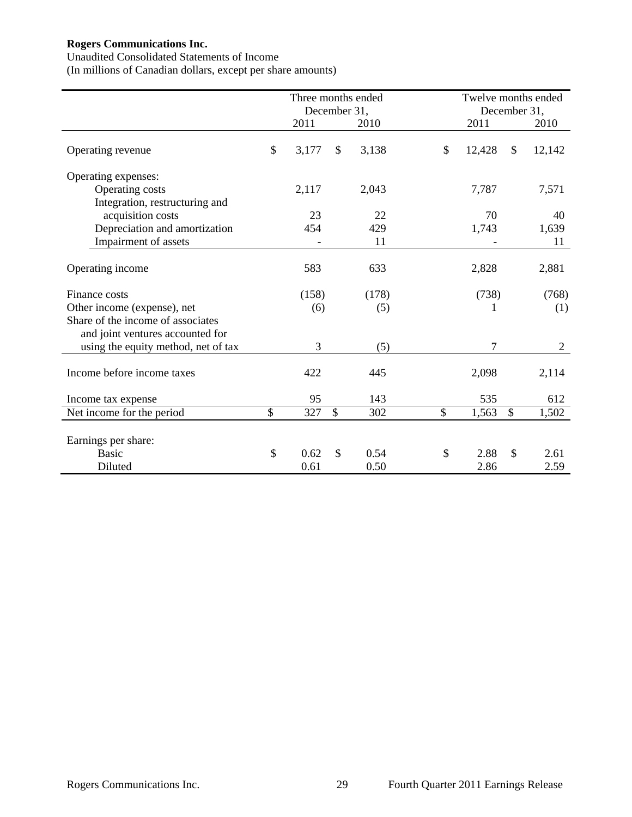Unaudited Consolidated Statements of Income

(In millions of Canadian dollars, except per share amounts)

|                                     | Three months ended |               |       | Twelve months ended |                |  |
|-------------------------------------|--------------------|---------------|-------|---------------------|----------------|--|
|                                     | December 31,       |               |       | December 31,        |                |  |
|                                     | 2011               |               | 2010  | 2011                | 2010           |  |
| Operating revenue                   | \$<br>3,177        | \$            | 3,138 | \$<br>12,428        | \$<br>12,142   |  |
| Operating expenses:                 |                    |               |       |                     |                |  |
| Operating costs                     | 2,117              |               | 2,043 | 7,787               | 7,571          |  |
| Integration, restructuring and      |                    |               |       |                     |                |  |
| acquisition costs                   | 23                 |               | 22    | 70                  | 40             |  |
| Depreciation and amortization       | 454                |               | 429   | 1,743               | 1,639          |  |
| Impairment of assets                |                    |               | 11    |                     | 11             |  |
| Operating income                    | 583                |               | 633   | 2,828               | 2,881          |  |
| Finance costs                       | (158)              |               | (178) | (738)               | (768)          |  |
| Other income (expense), net         | (6)                |               | (5)   |                     | (1)            |  |
| Share of the income of associates   |                    |               |       |                     |                |  |
| and joint ventures accounted for    |                    |               |       |                     |                |  |
| using the equity method, net of tax | 3                  |               | (5)   | 7                   | $\overline{2}$ |  |
| Income before income taxes          | 422                |               | 445   | 2,098               | 2,114          |  |
| Income tax expense                  | 95                 |               | 143   | 535                 | 612            |  |
| Net income for the period           | \$<br>327          | $\mathcal{S}$ | 302   | \$<br>1,563         | \$<br>1,502    |  |
| Earnings per share:                 |                    |               |       |                     |                |  |
| <b>Basic</b>                        | \$<br>0.62         | $\mathcal{S}$ | 0.54  | \$<br>2.88          | \$<br>2.61     |  |
| Diluted                             | 0.61               |               | 0.50  | 2.86                | 2.59           |  |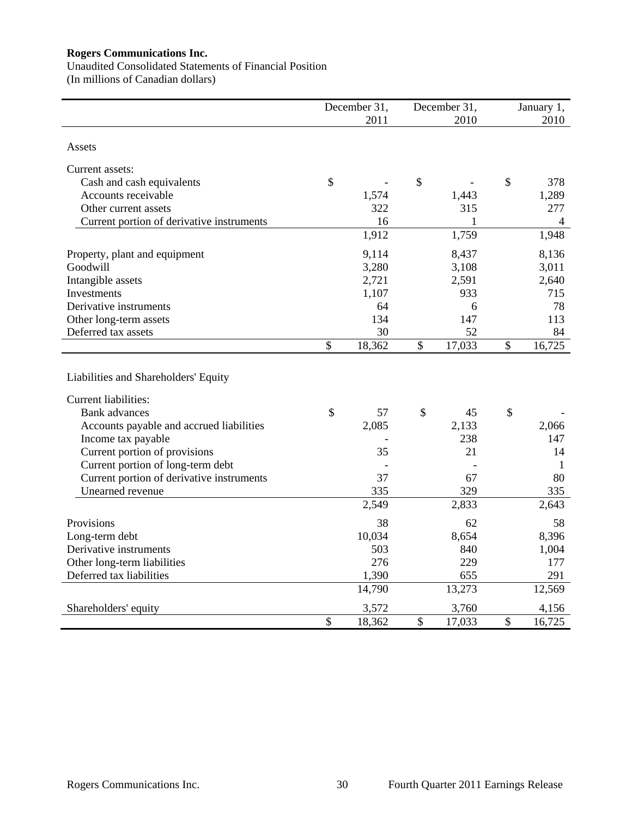Unaudited Consolidated Statements of Financial Position (In millions of Canadian dollars)

|                                                                     | December 31, |              | December 31, |               | January 1, |
|---------------------------------------------------------------------|--------------|--------------|--------------|---------------|------------|
|                                                                     | 2011         |              | 2010         |               | 2010       |
| Assets                                                              |              |              |              |               |            |
| Current assets:                                                     |              |              |              |               |            |
| Cash and cash equivalents                                           | \$           | \$           |              | \$            | 378        |
| Accounts receivable                                                 | 1,574        |              | 1,443        |               | 1,289      |
| Other current assets                                                | 322          |              | 315          |               | 277        |
| Current portion of derivative instruments                           | 16           |              | 1            |               | 4          |
|                                                                     | 1,912        |              | 1,759        |               | 1,948      |
| Property, plant and equipment                                       | 9,114        |              | 8,437        |               | 8,136      |
| Goodwill                                                            | 3,280        |              | 3,108        |               | 3,011      |
| Intangible assets                                                   | 2,721        |              | 2,591        |               | 2,640      |
| Investments                                                         | 1,107        |              | 933          |               | 715        |
| Derivative instruments                                              | 64           |              | 6            |               | 78         |
| Other long-term assets                                              | 134          |              | 147          |               | 113        |
| Deferred tax assets                                                 | 30           |              | 52           |               | 84         |
|                                                                     | \$<br>18,362 | $\mathbb{S}$ | 17,033       | $\mathcal{S}$ | 16,725     |
| Liabilities and Shareholders' Equity<br><b>Current liabilities:</b> |              |              |              |               |            |
| <b>Bank</b> advances                                                | \$<br>57     | \$           | 45           | $\mathcal{S}$ |            |
| Accounts payable and accrued liabilities                            | 2,085        |              | 2,133        |               | 2,066      |
| Income tax payable                                                  |              |              | 238          |               | 147        |
| Current portion of provisions                                       | 35           |              | 21           |               | 14         |
| Current portion of long-term debt                                   |              |              |              |               | 1          |
| Current portion of derivative instruments                           | 37           |              | 67           |               | 80         |
| Unearned revenue                                                    | 335          |              | 329          |               | 335        |
|                                                                     | 2,549        |              | 2,833        |               | 2,643      |
| Provisions                                                          | 38           |              | 62           |               | 58         |
| Long-term debt                                                      | 10,034       |              | 8,654        |               | 8,396      |
| Derivative instruments                                              | 503          |              | 840          |               | 1,004      |
| Other long-term liabilities                                         | 276          |              | 229          |               | 177        |
| Deferred tax liabilities                                            | 1,390        |              | 655          |               | 291        |
|                                                                     | 14,790       |              | 13,273       |               | 12,569     |
| Shareholders' equity                                                | 3,572        |              | 3,760        |               | 4,156      |
|                                                                     | \$<br>18,362 | $\mathbb{S}$ | 17,033       | $\mathcal{S}$ | 16,725     |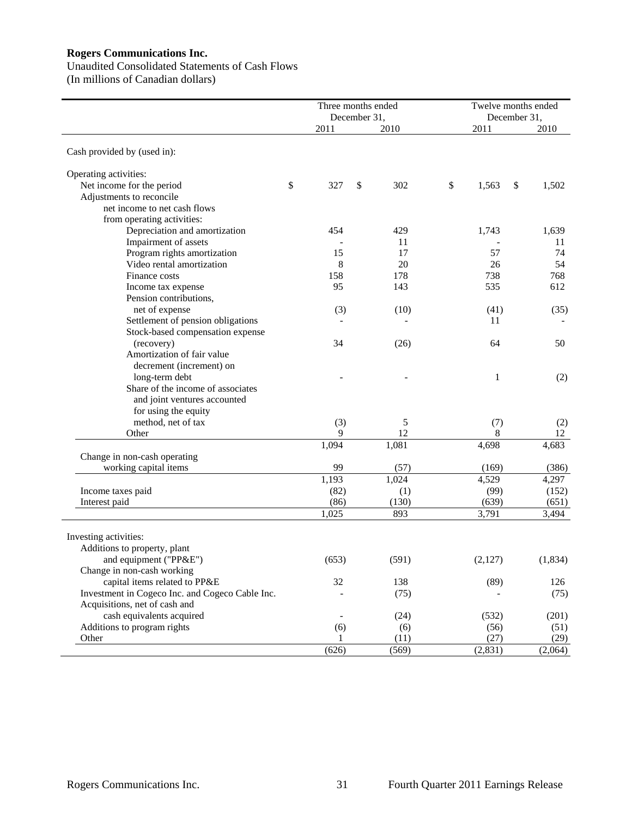# Unaudited Consolidated Statements of Cash Flows

(In millions of Canadian dollars)

|                                                 | Three months ended | December 31, |       | Twelve months ended | December 31, |          |
|-------------------------------------------------|--------------------|--------------|-------|---------------------|--------------|----------|
|                                                 | 2011               |              | 2010  | 2011                |              | 2010     |
| Cash provided by (used in):                     |                    |              |       |                     |              |          |
| Operating activities:                           |                    |              |       |                     |              |          |
| Net income for the period                       | \$<br>327          | \$           | 302   | \$<br>1,563         | \$           | 1,502    |
| Adjustments to reconcile                        |                    |              |       |                     |              |          |
| net income to net cash flows                    |                    |              |       |                     |              |          |
| from operating activities:                      |                    |              |       |                     |              |          |
| Depreciation and amortization                   | 454                |              | 429   | 1,743               |              | 1,639    |
| Impairment of assets                            |                    |              | 11    |                     |              | 11       |
| Program rights amortization                     | 15                 |              | 17    | 57                  |              | 74       |
| Video rental amortization                       | 8                  |              | 20    | 26                  |              | 54       |
| Finance costs                                   | 158                |              | 178   | 738                 |              | 768      |
| Income tax expense                              | 95                 |              | 143   | 535                 |              | 612      |
| Pension contributions,                          |                    |              |       |                     |              |          |
| net of expense                                  | (3)                |              | (10)  | (41)                |              | (35)     |
| Settlement of pension obligations               |                    |              |       | 11                  |              |          |
| Stock-based compensation expense                |                    |              |       |                     |              |          |
| (recovery)                                      | 34                 |              | (26)  | 64                  |              | 50       |
| Amortization of fair value                      |                    |              |       |                     |              |          |
| decrement (increment) on                        |                    |              |       |                     |              |          |
| long-term debt                                  |                    |              |       | 1                   |              | (2)      |
| Share of the income of associates               |                    |              |       |                     |              |          |
| and joint ventures accounted                    |                    |              |       |                     |              |          |
| for using the equity                            |                    |              |       |                     |              |          |
| method, net of tax                              | (3)                |              | 5     | (7)                 |              | (2)      |
| Other                                           | 9                  |              | 12    | 8                   |              | 12       |
|                                                 | 1,094              |              | 1,081 | 4,698               |              | 4,683    |
| Change in non-cash operating                    |                    |              |       |                     |              |          |
| working capital items                           | 99                 |              | (57)  | (169)               |              | (386)    |
|                                                 | 1,193              |              | 1,024 | 4,529               |              | 4,297    |
| Income taxes paid                               | (82)               |              | (1)   | (99)                |              | (152)    |
| Interest paid                                   | (86)               |              | (130) | (639)               |              | (651)    |
|                                                 |                    |              |       |                     |              |          |
|                                                 | 1,025              |              | 893   | 3,791               |              | 3,494    |
|                                                 |                    |              |       |                     |              |          |
| Investing activities:                           |                    |              |       |                     |              |          |
| Additions to property, plant                    |                    |              |       |                     |              |          |
| and equipment ("PP&E")                          | (653)              |              | (591) | (2,127)             |              | (1, 834) |
| Change in non-cash working                      |                    |              |       |                     |              |          |
| capital items related to PP&E                   | 32                 |              | 138   | (89)                |              | 126      |
| Investment in Cogeco Inc. and Cogeco Cable Inc. |                    |              | (75)  |                     |              | (75)     |
| Acquisitions, net of cash and                   |                    |              |       |                     |              |          |
| cash equivalents acquired                       |                    |              | (24)  | (532)               |              | (201)    |
| Additions to program rights                     | (6)                |              | (6)   | (56)                |              | (51)     |
| Other                                           |                    |              | (11)  | (27)                |              | (29)     |
|                                                 | (626)              |              | (569) | (2, 831)            |              | (2,064)  |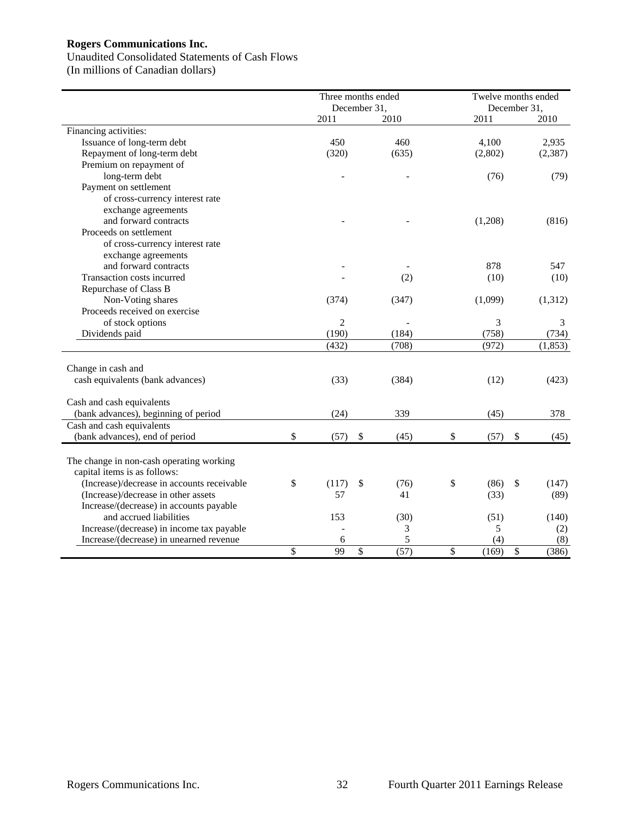#### Unaudited Consolidated Statements of Cash Flows

(In millions of Canadian dollars)

| December 31,<br>December 31,<br>2011<br>2010<br>2011<br>2010<br>Financing activities:<br>Issuance of long-term debt<br>450<br>2,935<br>460<br>4,100<br>Repayment of long-term debt<br>(320)<br>(2, 387)<br>(635)<br>(2,802)<br>Premium on repayment of<br>long-term debt<br>(76)<br>(79) |
|------------------------------------------------------------------------------------------------------------------------------------------------------------------------------------------------------------------------------------------------------------------------------------------|
|                                                                                                                                                                                                                                                                                          |
|                                                                                                                                                                                                                                                                                          |
|                                                                                                                                                                                                                                                                                          |
|                                                                                                                                                                                                                                                                                          |
|                                                                                                                                                                                                                                                                                          |
|                                                                                                                                                                                                                                                                                          |
| Payment on settlement                                                                                                                                                                                                                                                                    |
| of cross-currency interest rate                                                                                                                                                                                                                                                          |
| exchange agreements                                                                                                                                                                                                                                                                      |
| and forward contracts<br>(1,208)<br>(816)                                                                                                                                                                                                                                                |
| Proceeds on settlement                                                                                                                                                                                                                                                                   |
| of cross-currency interest rate                                                                                                                                                                                                                                                          |
| exchange agreements                                                                                                                                                                                                                                                                      |
| and forward contracts<br>878<br>547                                                                                                                                                                                                                                                      |
| Transaction costs incurred<br>(2)<br>(10)<br>(10)                                                                                                                                                                                                                                        |
| Repurchase of Class B                                                                                                                                                                                                                                                                    |
| Non-Voting shares<br>(1,099)<br>(1,312)<br>(374)<br>(347)                                                                                                                                                                                                                                |
| Proceeds received on exercise                                                                                                                                                                                                                                                            |
| $\overline{c}$<br>of stock options<br>3<br>3                                                                                                                                                                                                                                             |
| (190)<br>(758)<br>Dividends paid<br>(184)<br>(734)                                                                                                                                                                                                                                       |
| (972)<br>(432)<br>(708)<br>(1, 853)                                                                                                                                                                                                                                                      |
|                                                                                                                                                                                                                                                                                          |
| Change in cash and                                                                                                                                                                                                                                                                       |
| cash equivalents (bank advances)<br>(33)<br>(12)<br>(423)<br>(384)                                                                                                                                                                                                                       |
|                                                                                                                                                                                                                                                                                          |
| Cash and cash equivalents                                                                                                                                                                                                                                                                |
| (bank advances), beginning of period<br>(24)<br>339<br>(45)<br>378                                                                                                                                                                                                                       |
| Cash and cash equivalents                                                                                                                                                                                                                                                                |
| \$<br>(bank advances), end of period<br>(57)<br>\$<br>(45)<br>\$<br>(57)<br>\$<br>(45)                                                                                                                                                                                                   |
|                                                                                                                                                                                                                                                                                          |
| The change in non-cash operating working<br>capital items is as follows:                                                                                                                                                                                                                 |
| (Increase)/decrease in accounts receivable<br>\$<br>\$<br>(117)<br>(86)<br>\$                                                                                                                                                                                                            |
| \$<br>(76)<br>(147)<br>(Increase)/decrease in other assets<br>57<br>41<br>(33)                                                                                                                                                                                                           |
| (89)<br>Increase/(decrease) in accounts payable                                                                                                                                                                                                                                          |
| and accrued liabilities<br>153<br>(30)<br>(51)<br>(140)                                                                                                                                                                                                                                  |
| Increase/(decrease) in income tax payable<br>3<br>5<br>(2)                                                                                                                                                                                                                               |
| 6<br>5<br>(4)<br>Increase/(decrease) in unearned revenue<br>(8)                                                                                                                                                                                                                          |
| \$<br>99<br>\$<br>(57)<br>\$<br>(169)<br>\$<br>(386)                                                                                                                                                                                                                                     |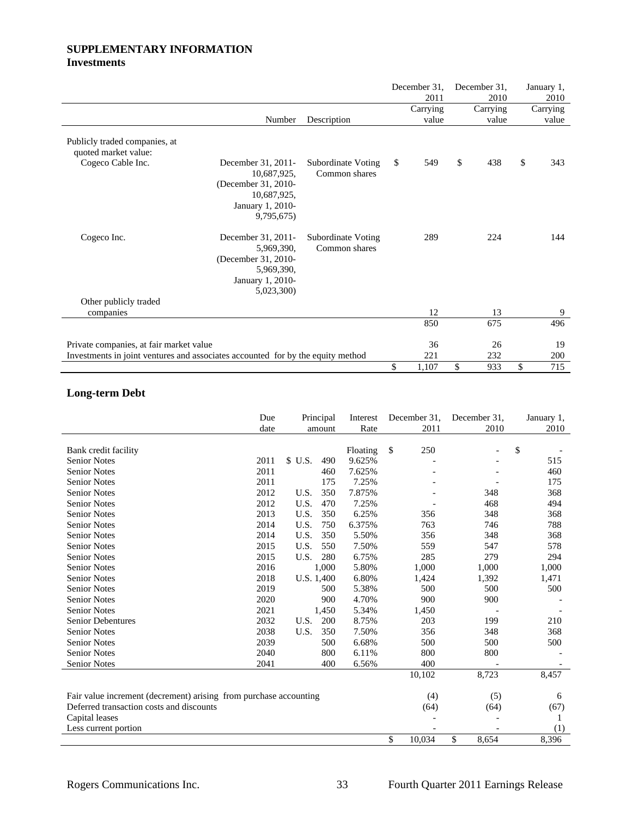# **SUPPLEMENTARY INFORMATION Investments**

|                                                                                 |                                                                                                           |                                            | December 31,<br>2011 | December 31,<br>2010 | January 1,<br>2010 |
|---------------------------------------------------------------------------------|-----------------------------------------------------------------------------------------------------------|--------------------------------------------|----------------------|----------------------|--------------------|
|                                                                                 |                                                                                                           |                                            | Carrying             | Carrying             | Carrying           |
|                                                                                 | Number                                                                                                    | Description                                | value                | value                | value              |
| Publicly traded companies, at<br>quoted market value:                           |                                                                                                           |                                            |                      |                      |                    |
| Cogeco Cable Inc.                                                               | December 31, 2011-<br>10,687,925,<br>(December 31, 2010-<br>10,687,925,<br>January 1, 2010-<br>9,795,675) | <b>Subordinate Voting</b><br>Common shares | \$<br>549            | \$<br>438            | \$<br>343          |
| Cogeco Inc.                                                                     | December 31, 2011-<br>5,969,390,<br>(December 31, 2010-<br>5,969,390,<br>January 1, 2010-<br>5,023,300)   | Subordinate Voting<br>Common shares        | 289                  | 224                  | 144                |
| Other publicly traded<br>companies                                              |                                                                                                           |                                            | 12                   | 13                   | 9                  |
|                                                                                 |                                                                                                           |                                            | 850                  | 675                  | 496                |
|                                                                                 |                                                                                                           |                                            |                      |                      |                    |
| Private companies, at fair market value                                         |                                                                                                           |                                            | 36                   | 26                   | 19                 |
| Investments in joint ventures and associates accounted for by the equity method |                                                                                                           |                                            | 221                  | 232                  | 200                |
|                                                                                 |                                                                                                           |                                            | \$<br>1,107          | \$<br>933            | \$<br>715          |

# **Long-term Debt**

|                                                                   | Due<br>date |            | Principal | Interest<br>Rate | December 31.<br>2011 | December 31.<br>2010 | January 1,<br>2010 |
|-------------------------------------------------------------------|-------------|------------|-----------|------------------|----------------------|----------------------|--------------------|
|                                                                   |             |            | amount    |                  |                      |                      |                    |
| Bank credit facility                                              |             |            |           | Floating         | \$<br>250            |                      | \$                 |
| <b>Senior Notes</b>                                               | 2011        | \$ U.S.    | 490       | 9.625%           |                      |                      | 515                |
| <b>Senior Notes</b>                                               | 2011        |            | 460       | 7.625%           |                      |                      | 460                |
| <b>Senior Notes</b>                                               | 2011        |            | 175       | 7.25%            |                      |                      | 175                |
| <b>Senior Notes</b>                                               | 2012        | U.S.       | 350       | 7.875%           |                      | 348                  | 368                |
| <b>Senior Notes</b>                                               | 2012        | U.S.       | 470       | 7.25%            |                      | 468                  | 494                |
| <b>Senior Notes</b>                                               | 2013        | U.S.       | 350       | 6.25%            | 356                  | 348                  | 368                |
| <b>Senior Notes</b>                                               | 2014        | U.S.       | 750       | 6.375%           | 763                  | 746                  | 788                |
| <b>Senior Notes</b>                                               | 2014        | U.S.       | 350       | 5.50%            | 356                  | 348                  | 368                |
| <b>Senior Notes</b>                                               | 2015        | U.S.       | 550       | 7.50%            | 559                  | 547                  | 578                |
| <b>Senior Notes</b>                                               | 2015        | U.S.       | 280       | 6.75%            | 285                  | 279                  | 294                |
| <b>Senior Notes</b>                                               | 2016        |            | 1.000     | 5.80%            | 1,000                | 1,000                | 1,000              |
| <b>Senior Notes</b>                                               | 2018        | U.S. 1,400 |           | 6.80%            | 1,424                | 1,392                | 1,471              |
| <b>Senior Notes</b>                                               | 2019        |            | 500       | 5.38%            | 500                  | 500                  | 500                |
| <b>Senior Notes</b>                                               | 2020        |            | 900       | 4.70%            | 900                  | 900                  |                    |
| <b>Senior Notes</b>                                               | 2021        |            | 1,450     | 5.34%            | 1,450                |                      |                    |
| <b>Senior Debentures</b>                                          | 2032        | U.S.       | 200       | 8.75%            | 203                  | 199                  | 210                |
| <b>Senior Notes</b>                                               | 2038        | U.S.       | 350       | 7.50%            | 356                  | 348                  | 368                |
| <b>Senior Notes</b>                                               | 2039        |            | 500       | 6.68%            | 500                  | 500                  | 500                |
| <b>Senior Notes</b>                                               | 2040        |            | 800       | 6.11%            | 800                  | 800                  |                    |
| <b>Senior Notes</b>                                               | 2041        |            | 400       | 6.56%            | 400                  |                      |                    |
|                                                                   |             |            |           |                  | 10,102               | 8,723                | 8,457              |
|                                                                   |             |            |           |                  |                      |                      |                    |
| Fair value increment (decrement) arising from purchase accounting |             |            |           |                  | (4)                  | (5)                  | 6                  |
| Deferred transaction costs and discounts                          |             |            |           |                  | (64)                 | (64)                 | (67)               |
| Capital leases                                                    |             |            |           |                  |                      |                      |                    |
| Less current portion                                              |             |            |           |                  |                      |                      | (1)                |
|                                                                   |             |            |           |                  | \$<br>10,034         | \$<br>8.654          | 8,396              |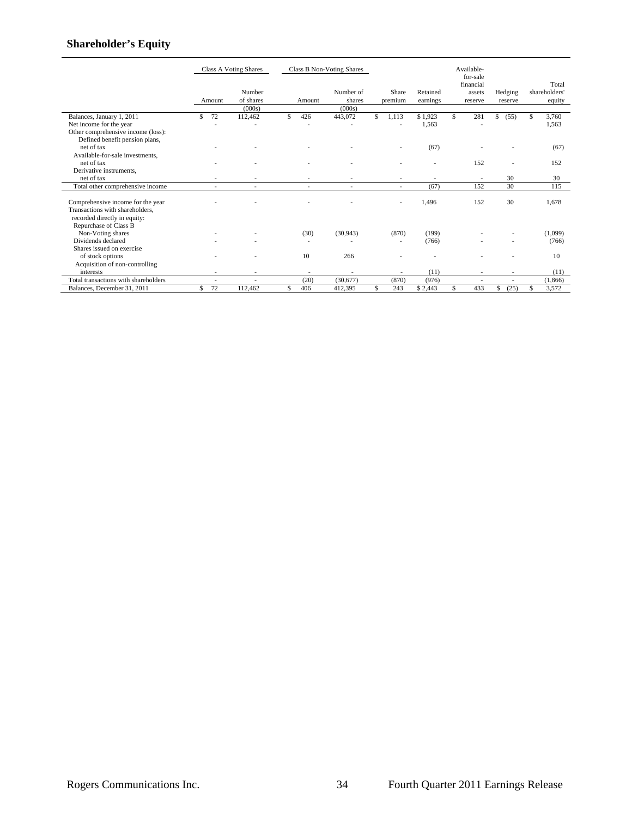# **Shareholder's Equity**

|                                                                                                                               |           | Class A Voting Shares         | <b>Class B Non-Voting Shares</b> |        |                               |    | Available-<br>for-sale   |                      |   |                                |                          |    |                                  |
|-------------------------------------------------------------------------------------------------------------------------------|-----------|-------------------------------|----------------------------------|--------|-------------------------------|----|--------------------------|----------------------|---|--------------------------------|--------------------------|----|----------------------------------|
|                                                                                                                               | Amount    | Number<br>of shares<br>(000s) |                                  | Amount | Number of<br>shares<br>(000s) |    | Share<br>premium         | Retained<br>earnings |   | financial<br>assets<br>reserve | Hedging<br>reserve       |    | Total<br>shareholders'<br>equity |
| Balances, January 1, 2011                                                                                                     | 72<br>\$. | 112,462                       | \$.                              | 426    | 443,072                       | \$ | 1,113                    | \$1,923              | S | 281                            | \$<br>(55)               | S  | 3,760                            |
| Net income for the year                                                                                                       |           |                               |                                  | ٠      | ٠                             |    |                          | 1,563                |   |                                |                          |    | 1,563                            |
| Other comprehensive income (loss):                                                                                            |           |                               |                                  |        |                               |    |                          |                      |   |                                |                          |    |                                  |
| Defined benefit pension plans,                                                                                                |           |                               |                                  |        |                               |    |                          |                      |   |                                |                          |    |                                  |
| net of tax                                                                                                                    |           |                               |                                  |        |                               |    |                          | (67)                 |   |                                |                          |    | (67)                             |
| Available-for-sale investments.                                                                                               |           |                               |                                  |        |                               |    |                          |                      |   |                                |                          |    |                                  |
| net of tax                                                                                                                    |           |                               |                                  |        |                               |    |                          |                      |   | 152                            |                          |    | 152                              |
| Derivative instruments.                                                                                                       |           |                               |                                  |        |                               |    |                          |                      |   |                                |                          |    |                                  |
| net of tax                                                                                                                    |           |                               |                                  |        |                               |    | $\overline{\phantom{a}}$ |                      |   |                                | 30                       |    | 30                               |
| Total other comprehensive income                                                                                              |           | $\overline{\phantom{a}}$      |                                  | ٠      | ٠                             |    | $\sim$                   | (67)                 |   | 152                            | 30                       |    | 115                              |
| Comprehensive income for the year<br>Transactions with shareholders,<br>recorded directly in equity:<br>Repurchase of Class B |           |                               |                                  |        |                               |    |                          | 1.496                |   | 152                            | 30                       |    | 1,678                            |
| Non-Voting shares                                                                                                             |           |                               |                                  | (30)   | (30, 943)                     |    | (870)                    | (199)                |   |                                |                          |    | (1,099)                          |
| Dividends declared                                                                                                            |           |                               |                                  | ٠      |                               |    | ٠                        | (766)                |   |                                |                          |    | (766)                            |
| Shares issued on exercise                                                                                                     |           |                               |                                  |        |                               |    |                          |                      |   |                                |                          |    |                                  |
| of stock options                                                                                                              |           |                               |                                  | 10     | 266                           |    |                          |                      |   |                                |                          |    | 10                               |
| Acquisition of non-controlling                                                                                                |           |                               |                                  |        |                               |    |                          |                      |   |                                |                          |    |                                  |
| interests                                                                                                                     |           |                               |                                  | ٠      |                               |    |                          | (11)                 |   | ٠                              |                          |    | (11)                             |
| Total transactions with shareholders                                                                                          | ٠         | $\overline{\phantom{a}}$      |                                  | (20)   | (30,677)                      |    | (870)                    | (976)                |   | $\overline{\phantom{a}}$       | $\overline{\phantom{a}}$ |    | (1,866)                          |
| Balances, December 31, 2011                                                                                                   | 72<br>S   | 112,462                       | \$                               | 406    | 412.395                       | \$ | 243                      | \$2.443              | Ŝ | 433                            | (25)<br>\$               | \$ | 3,572                            |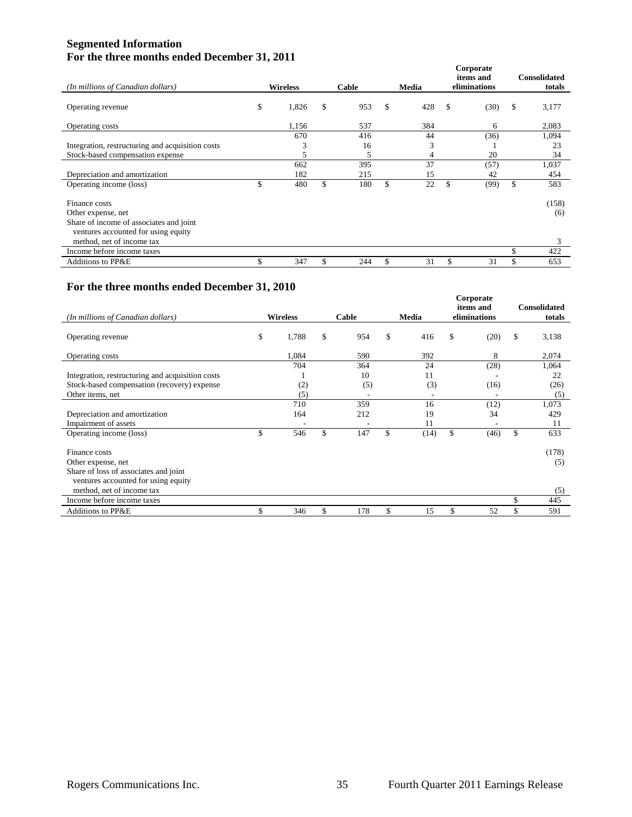# **Segmented Information For the three months ended December 31, 2011**

|                                                                                                             |                 |       |           |       |     |              | Corporate<br>items and | <b>Consolidated</b> |              |
|-------------------------------------------------------------------------------------------------------------|-----------------|-------|-----------|-------|-----|--------------|------------------------|---------------------|--------------|
| (In millions of Canadian dollars)                                                                           | <b>Wireless</b> |       | Cable     | Media |     | eliminations |                        |                     | totals       |
| Operating revenue                                                                                           | \$              | 1,826 | \$<br>953 | \$    | 428 | \$           | (30)                   | \$                  | 3,177        |
| Operating costs                                                                                             |                 | 1,156 | 537       |       | 384 |              | 6                      |                     | 2,083        |
|                                                                                                             |                 | 670   | 416       |       | 44  |              | (36)                   |                     | 1,094        |
| Integration, restructuring and acquisition costs                                                            |                 | 3     | 16        |       | 3   |              |                        |                     | 23           |
| Stock-based compensation expense                                                                            |                 | 5     | 5         |       | 4   |              | 20                     |                     | 34           |
|                                                                                                             |                 | 662   | 395       |       | 37  |              | (57)                   |                     | 1,037        |
| Depreciation and amortization                                                                               |                 | 182   | 215       |       | 15  |              | 42                     |                     | 454          |
| Operating income (loss)                                                                                     | \$              | 480   | \$<br>180 | \$    | 22  | \$.          | (99)                   | \$                  | 583          |
| Finance costs<br>Other expense, net                                                                         |                 |       |           |       |     |              |                        |                     | (158)<br>(6) |
| Share of income of associates and joint<br>ventures accounted for using equity<br>method, net of income tax |                 |       |           |       |     |              |                        |                     | 3            |
| Income before income taxes                                                                                  |                 |       |           |       |     |              |                        | \$                  | 422          |
| <b>Additions to PP&amp;E</b>                                                                                |                 | 347   | 244       |       | 31  |              | 31                     | \$                  | 653          |

# **For the three months ended December 31, 2010**

| (In millions of Canadian dollars)                | <b>Wireless</b> | Cable     | Media      | Corporate<br>items and<br>eliminations |      | <b>Consolidated</b><br>totals |       |
|--------------------------------------------------|-----------------|-----------|------------|----------------------------------------|------|-------------------------------|-------|
|                                                  |                 |           |            |                                        |      |                               |       |
| Operating revenue                                | \$<br>1,788     | \$<br>954 | \$<br>416  | \$                                     | (20) | \$                            | 3,138 |
| Operating costs                                  | 1,084           | 590       | 392        |                                        | 8    |                               | 2,074 |
|                                                  | 704             | 364       | 24         |                                        | (28) |                               | 1,064 |
| Integration, restructuring and acquisition costs |                 | 10        | 11         |                                        |      |                               | 22    |
| Stock-based compensation (recovery) expense      | (2)             | (5)       | (3)        |                                        | (16) |                               | (26)  |
| Other items, net                                 | (5)             |           | ٠          |                                        |      |                               | (5)   |
|                                                  | 710             | 359       | 16         |                                        | (12) |                               | 1,073 |
| Depreciation and amortization                    | 164             | 212       | 19         |                                        | 34   |                               | 429   |
| Impairment of assets                             |                 |           | 11         |                                        |      |                               | 11    |
| Operating income (loss)                          | \$<br>546       | \$<br>147 | \$<br>(14) | \$                                     | (46) | \$                            | 633   |
| Finance costs                                    |                 |           |            |                                        |      |                               | (178) |
| Other expense, net                               |                 |           |            |                                        |      |                               | (5)   |
| Share of loss of associates and joint            |                 |           |            |                                        |      |                               |       |
| ventures accounted for using equity              |                 |           |            |                                        |      |                               |       |
| method, net of income tax                        |                 |           |            |                                        |      |                               | (5)   |
| Income before income taxes                       |                 |           |            |                                        |      | \$                            | 445   |
| <b>Additions to PP&amp;E</b>                     | \$<br>346       | \$<br>178 | \$<br>15   | \$                                     | 52   | \$                            | 591   |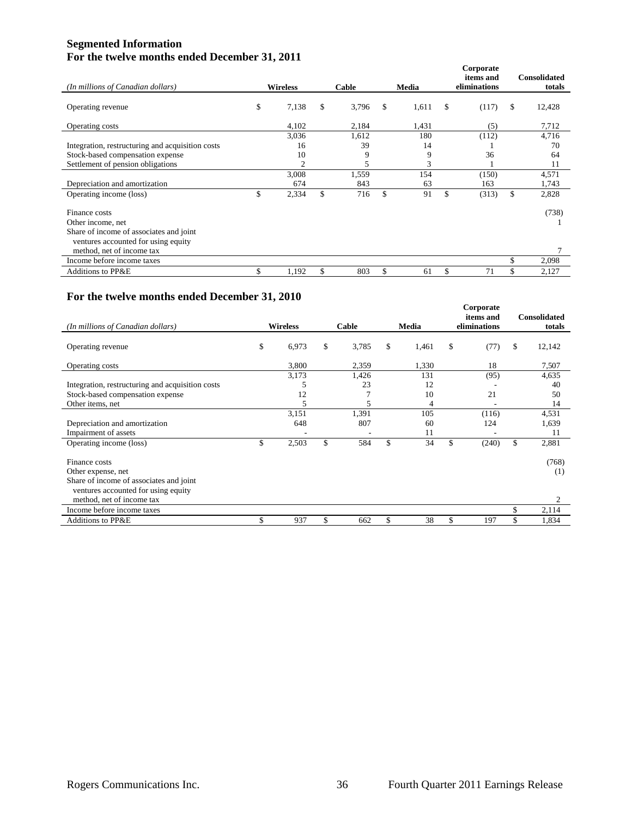# **Segmented Information For the twelve months ended December 31, 2011**

|                                                                                |                 |       |                |       |    |       | Corporate<br>items and | <b>Consolidated</b> |
|--------------------------------------------------------------------------------|-----------------|-------|----------------|-------|----|-------|------------------------|---------------------|
| (In millions of Canadian dollars)                                              | <b>Wireless</b> |       | Cable<br>Media |       |    |       | eliminations           | totals              |
| Operating revenue                                                              | \$              | 7,138 | \$             | 3,796 | \$ | 1,611 | \$<br>(117)            | \$<br>12,428        |
| Operating costs                                                                |                 | 4,102 |                | 2,184 |    | 1,431 | (5)                    | 7,712               |
|                                                                                |                 | 3,036 |                | 1,612 |    | 180   | (112)                  | 4,716               |
| Integration, restructuring and acquisition costs                               |                 | 16    |                | 39    |    | 14    |                        | 70                  |
| Stock-based compensation expense                                               |                 | 10    |                | 9     |    | 9     | 36                     | 64                  |
| Settlement of pension obligations                                              |                 | 2     |                | 5     |    | 3     |                        | 11                  |
|                                                                                |                 | 3,008 |                | 1,559 |    | 154   | (150)                  | 4,571               |
| Depreciation and amortization                                                  |                 | 674   |                | 843   |    | 63    | 163                    | 1,743               |
| Operating income (loss)                                                        | ъ               | 2,334 | \$             | 716   | \$ | 91    | \$<br>(313)            | \$<br>2,828         |
| Finance costs                                                                  |                 |       |                |       |    |       |                        | (738)               |
| Other income, net                                                              |                 |       |                |       |    |       |                        |                     |
| Share of income of associates and joint<br>ventures accounted for using equity |                 |       |                |       |    |       |                        |                     |
| method, net of income tax                                                      |                 |       |                |       |    |       |                        |                     |
| Income before income taxes                                                     |                 |       |                |       |    |       |                        | \$<br>2,098         |
| <b>Additions to PP&amp;E</b>                                                   |                 | 1,192 | \$             | 803   | \$ | 61    | \$<br>71               | \$<br>2,127         |

# **For the twelve months ended December 31, 2010**

| (In millions of Canadian dollars)                | <b>Wireless</b> |       | Cable       | Media |       | Corporate<br>items and<br>eliminations |       | <b>Consolidated</b><br>totals |        |
|--------------------------------------------------|-----------------|-------|-------------|-------|-------|----------------------------------------|-------|-------------------------------|--------|
| Operating revenue                                | \$              | 6,973 | \$<br>3,785 | \$    | 1,461 | \$                                     | (77)  | \$                            | 12,142 |
| Operating costs                                  |                 | 3,800 | 2,359       |       | 1,330 |                                        | 18    |                               | 7,507  |
|                                                  |                 | 3,173 | 1,426       |       | 131   |                                        | (95)  |                               | 4,635  |
| Integration, restructuring and acquisition costs |                 |       | 23          |       | 12    |                                        |       |                               | 40     |
| Stock-based compensation expense                 |                 | 12    |             |       | 10    |                                        | 21    |                               | 50     |
| Other items, net                                 |                 |       | 5           |       | 4     |                                        |       |                               | 14     |
|                                                  |                 | 3,151 | 1,391       |       | 105   |                                        | (116) |                               | 4,531  |
| Depreciation and amortization                    |                 | 648   | 807         |       | 60    |                                        | 124   |                               | 1,639  |
| Impairment of assets                             |                 |       |             |       | 11    |                                        |       |                               | 11     |
| Operating income (loss)                          | \$              | 2,503 | \$<br>584   | \$    | 34    | \$                                     | (240) | \$                            | 2,881  |
| Finance costs                                    |                 |       |             |       |       |                                        |       |                               | (768)  |
| Other expense, net                               |                 |       |             |       |       |                                        |       |                               | (1)    |
| Share of income of associates and joint          |                 |       |             |       |       |                                        |       |                               |        |
| ventures accounted for using equity              |                 |       |             |       |       |                                        |       |                               |        |
| method, net of income tax                        |                 |       |             |       |       |                                        |       |                               | 2      |
| Income before income taxes                       |                 |       |             |       |       |                                        |       | \$                            | 2,114  |
| Additions to PP&E                                | \$              | 937   | \$<br>662   | \$    | 38    | \$                                     | 197   | \$                            | 1,834  |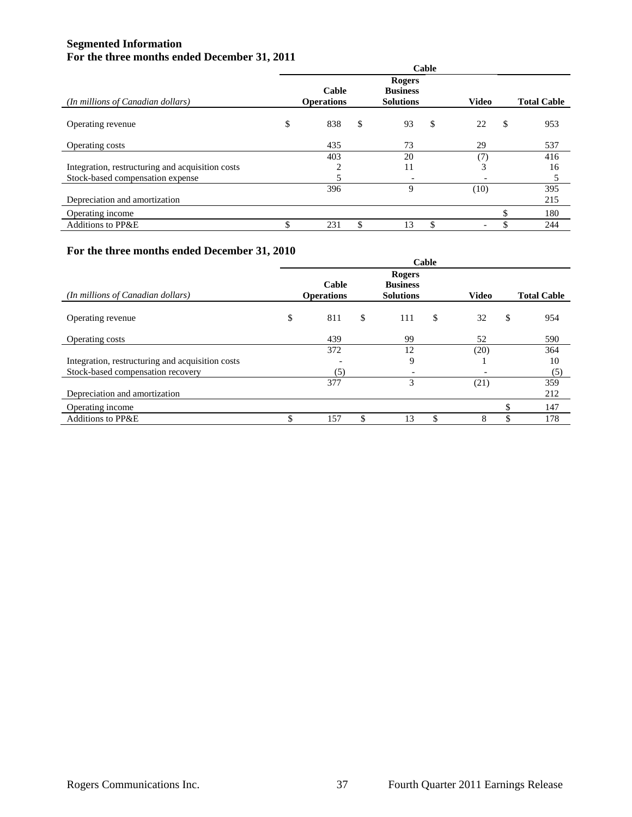# **Segmented Information For the three months ended December 31, 2011**

|                                                  | Cable                      |    |                                                      |                          |    |                    |  |  |  |
|--------------------------------------------------|----------------------------|----|------------------------------------------------------|--------------------------|----|--------------------|--|--|--|
| (In millions of Canadian dollars)                | Cable<br><b>Operations</b> |    | <b>Rogers</b><br><b>Business</b><br><b>Solutions</b> | <b>Video</b>             |    | <b>Total Cable</b> |  |  |  |
| Operating revenue                                | \$<br>838                  | \$ | \$<br>93                                             | 22                       | \$ | 953                |  |  |  |
| Operating costs                                  | 435                        |    | 73                                                   | 29                       |    | 537                |  |  |  |
|                                                  | 403                        |    | 20                                                   | (7)                      |    | 416                |  |  |  |
| Integration, restructuring and acquisition costs | 2                          |    | 11                                                   | 3                        |    | 16                 |  |  |  |
| Stock-based compensation expense                 | 5                          |    | $\overline{\phantom{a}}$                             | $\overline{\phantom{0}}$ |    | 5                  |  |  |  |
|                                                  | 396                        |    | 9                                                    | (10)                     |    | 395                |  |  |  |
| Depreciation and amortization                    |                            |    |                                                      |                          |    | 215                |  |  |  |
| Operating income                                 |                            |    |                                                      |                          |    | 180                |  |  |  |
| <b>Additions to PP&amp;E</b>                     | 231                        | S. | \$<br>13                                             |                          |    | 244                |  |  |  |

# **For the three months ended December 31, 2010**

|                                                  | Cable |                            |    |                                               |    |                          |    |                    |
|--------------------------------------------------|-------|----------------------------|----|-----------------------------------------------|----|--------------------------|----|--------------------|
| (In millions of Canadian dollars)                |       | Cable<br><b>Operations</b> |    | Rogers<br><b>Business</b><br><b>Solutions</b> |    | <b>Video</b>             |    | <b>Total Cable</b> |
| Operating revenue                                | \$    | 811                        | \$ | 111                                           | \$ | 32                       | \$ | 954                |
| Operating costs                                  |       | 439                        |    | 99                                            |    | 52                       |    | 590                |
|                                                  |       | 372                        |    | 12                                            |    | (20)                     |    | 364                |
| Integration, restructuring and acquisition costs |       |                            |    | 9                                             |    |                          |    | 10                 |
| Stock-based compensation recovery                |       | (5)                        |    | $\overline{\phantom{a}}$                      |    | $\overline{\phantom{0}}$ |    | (5)                |
|                                                  |       | 377                        |    | 3                                             |    | (21)                     |    | 359                |
| Depreciation and amortization                    |       |                            |    |                                               |    |                          |    | 212                |
| Operating income                                 |       |                            |    |                                               |    |                          |    | 147                |
| <b>Additions to PP&amp;E</b>                     |       | 157                        |    | 13                                            |    | 8                        |    | 178                |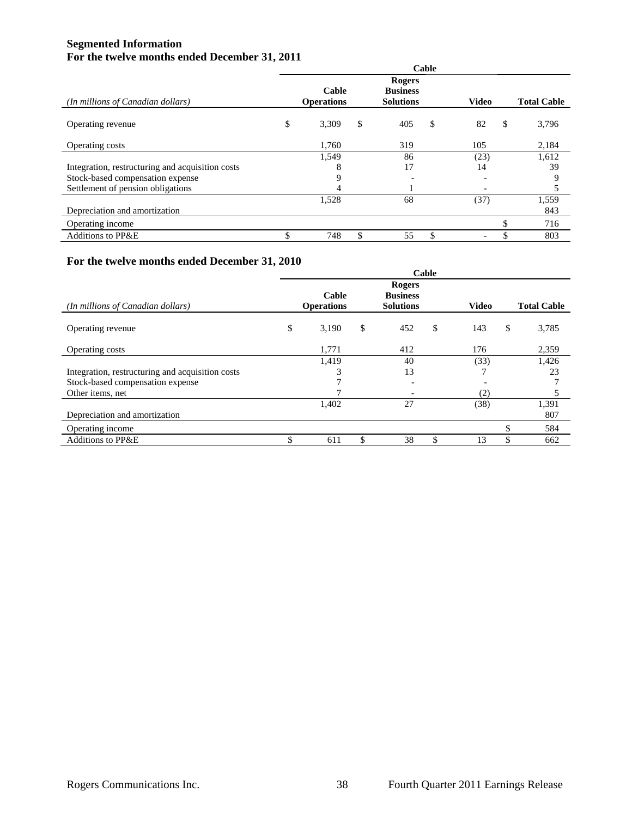# **Segmented Information For the twelve months ended December 31, 2011**

|                                                  | Cable |                            |    |                                                      |    |              |    |                    |  |
|--------------------------------------------------|-------|----------------------------|----|------------------------------------------------------|----|--------------|----|--------------------|--|
| (In millions of Canadian dollars)                |       | Cable<br><b>Operations</b> |    | <b>Rogers</b><br><b>Business</b><br><b>Solutions</b> |    | <b>Video</b> |    | <b>Total Cable</b> |  |
| Operating revenue                                | \$    | 3,309                      | \$ | 405                                                  | \$ | 82           | \$ | 3,796              |  |
| Operating costs                                  |       | 1,760                      |    | 319                                                  |    | 105          |    | 2,184              |  |
|                                                  |       | 1,549                      |    | 86                                                   |    | (23)         |    | 1,612              |  |
| Integration, restructuring and acquisition costs |       | 8                          |    | 17                                                   |    | 14           |    | 39                 |  |
| Stock-based compensation expense                 |       | 9                          |    |                                                      |    |              |    | 9                  |  |
| Settlement of pension obligations                |       | 4                          |    |                                                      |    |              |    | 5                  |  |
|                                                  |       | 1,528                      |    | 68                                                   |    | (37)         |    | 1,559              |  |
| Depreciation and amortization                    |       |                            |    |                                                      |    |              |    | 843                |  |
| Operating income                                 |       |                            |    |                                                      |    |              |    | 716                |  |
| <b>Additions to PP&amp;E</b>                     |       | 748                        | \$ | 55                                                   |    |              |    | 803                |  |

# **For the twelve months ended December 31, 2010**

|                                                  | Cable |                            |    |                                                      |    |              |    |                    |  |
|--------------------------------------------------|-------|----------------------------|----|------------------------------------------------------|----|--------------|----|--------------------|--|
| (In millions of Canadian dollars)                |       | Cable<br><b>Operations</b> |    | <b>Rogers</b><br><b>Business</b><br><b>Solutions</b> |    | <b>Video</b> |    | <b>Total Cable</b> |  |
| Operating revenue                                | \$    | 3,190                      | \$ | 452                                                  | \$ | 143          | \$ | 3,785              |  |
| Operating costs                                  |       | 1,771                      |    | 412                                                  |    | 176          |    | 2,359              |  |
|                                                  |       | 1,419                      |    | 40                                                   |    | (33)         |    | 1,426              |  |
| Integration, restructuring and acquisition costs |       | 3                          |    | 13                                                   |    |              |    | 23                 |  |
| Stock-based compensation expense                 |       | π                          |    | $\overline{\phantom{0}}$                             |    |              |    |                    |  |
| Other items, net                                 |       |                            |    |                                                      |    | (2)          |    | 5                  |  |
|                                                  |       | 1,402                      |    | 27                                                   |    | (38)         |    | 1,391              |  |
| Depreciation and amortization                    |       |                            |    |                                                      |    |              |    | 807                |  |
| Operating income                                 |       |                            |    |                                                      |    |              |    | 584                |  |
| Additions to PP&E                                |       | 611                        | \$ | 38                                                   | \$ | 13           |    | 662                |  |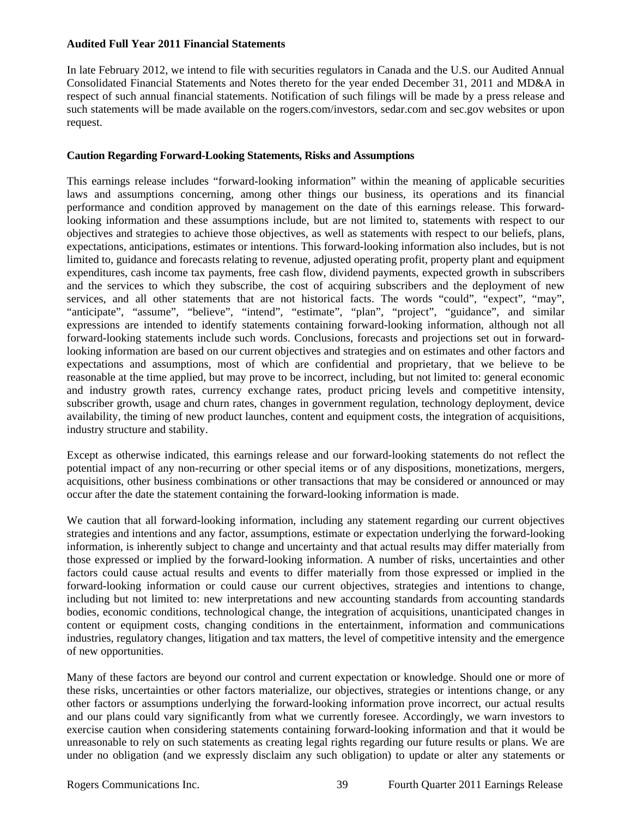## **Audited Full Year 2011 Financial Statements**

In late February 2012, we intend to file with securities regulators in Canada and the U.S. our Audited Annual Consolidated Financial Statements and Notes thereto for the year ended December 31, 2011 and MD&A in respect of such annual financial statements. Notification of such filings will be made by a press release and such statements will be made available on the rogers.com/investors, sedar.com and sec.gov websites or upon request.

## **Caution Regarding Forward-Looking Statements, Risks and Assumptions**

This earnings release includes "forward-looking information" within the meaning of applicable securities laws and assumptions concerning, among other things our business, its operations and its financial performance and condition approved by management on the date of this earnings release. This forwardlooking information and these assumptions include, but are not limited to, statements with respect to our objectives and strategies to achieve those objectives, as well as statements with respect to our beliefs, plans, expectations, anticipations, estimates or intentions. This forward-looking information also includes, but is not limited to, guidance and forecasts relating to revenue, adjusted operating profit, property plant and equipment expenditures, cash income tax payments, free cash flow, dividend payments, expected growth in subscribers and the services to which they subscribe, the cost of acquiring subscribers and the deployment of new services, and all other statements that are not historical facts. The words "could", "expect", "may", "anticipate", "assume", "believe", "intend", "estimate", "plan", "project", "guidance", and similar expressions are intended to identify statements containing forward-looking information, although not all forward-looking statements include such words. Conclusions, forecasts and projections set out in forwardlooking information are based on our current objectives and strategies and on estimates and other factors and expectations and assumptions, most of which are confidential and proprietary, that we believe to be reasonable at the time applied, but may prove to be incorrect, including, but not limited to: general economic and industry growth rates, currency exchange rates, product pricing levels and competitive intensity, subscriber growth, usage and churn rates, changes in government regulation, technology deployment, device availability, the timing of new product launches, content and equipment costs, the integration of acquisitions, industry structure and stability.

Except as otherwise indicated, this earnings release and our forward-looking statements do not reflect the potential impact of any non-recurring or other special items or of any dispositions, monetizations, mergers, acquisitions, other business combinations or other transactions that may be considered or announced or may occur after the date the statement containing the forward-looking information is made.

We caution that all forward-looking information, including any statement regarding our current objectives strategies and intentions and any factor, assumptions, estimate or expectation underlying the forward-looking information, is inherently subject to change and uncertainty and that actual results may differ materially from those expressed or implied by the forward-looking information. A number of risks, uncertainties and other factors could cause actual results and events to differ materially from those expressed or implied in the forward-looking information or could cause our current objectives, strategies and intentions to change, including but not limited to: new interpretations and new accounting standards from accounting standards bodies, economic conditions, technological change, the integration of acquisitions, unanticipated changes in content or equipment costs, changing conditions in the entertainment, information and communications industries, regulatory changes, litigation and tax matters, the level of competitive intensity and the emergence of new opportunities.

Many of these factors are beyond our control and current expectation or knowledge. Should one or more of these risks, uncertainties or other factors materialize, our objectives, strategies or intentions change, or any other factors or assumptions underlying the forward-looking information prove incorrect, our actual results and our plans could vary significantly from what we currently foresee. Accordingly, we warn investors to exercise caution when considering statements containing forward-looking information and that it would be unreasonable to rely on such statements as creating legal rights regarding our future results or plans. We are under no obligation (and we expressly disclaim any such obligation) to update or alter any statements or